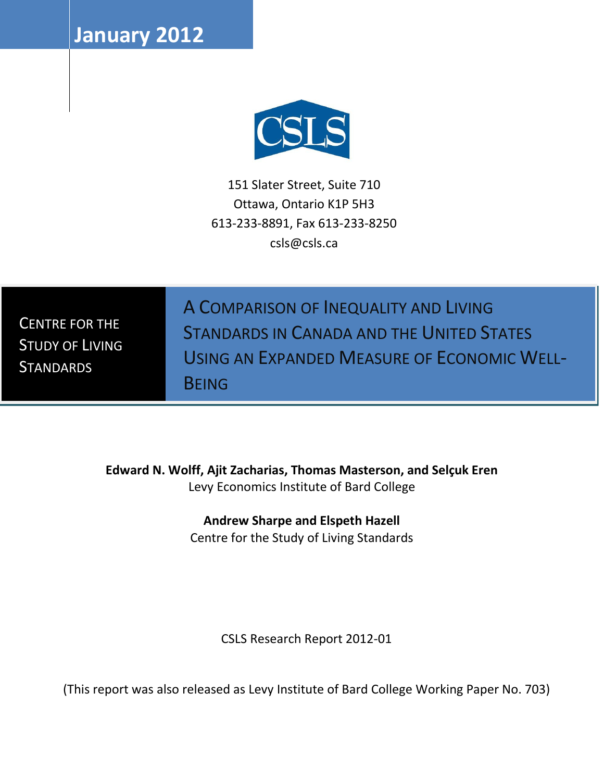**January 2012**



151 Slater Street, Suite 710 Ottawa, Ontario K1P 5H3 613-233-8891, Fax 613-233-8250 csls@csls.ca

CENTRE FOR THE STUDY OF LIVING **STANDARDS** 

STANDARDS IN CANADA AND THE UNITED STATES USING AN EXPANDED MEASURE OF ECONOMIC WELL-A COMPARISON OF INEQUALITY AND LIVING **BEING** 

**Edward N. Wolff, Ajit Zacharias, Thomas Masterson, and Selçuk Eren** Levy Economics Institute of Bard College

> **Andrew Sharpe and Elspeth Hazell** Centre for the Study of Living Standards

> > CSLS Research Report 2012-01

(This report was also released as Levy Institute of Bard College Working Paper No. 703)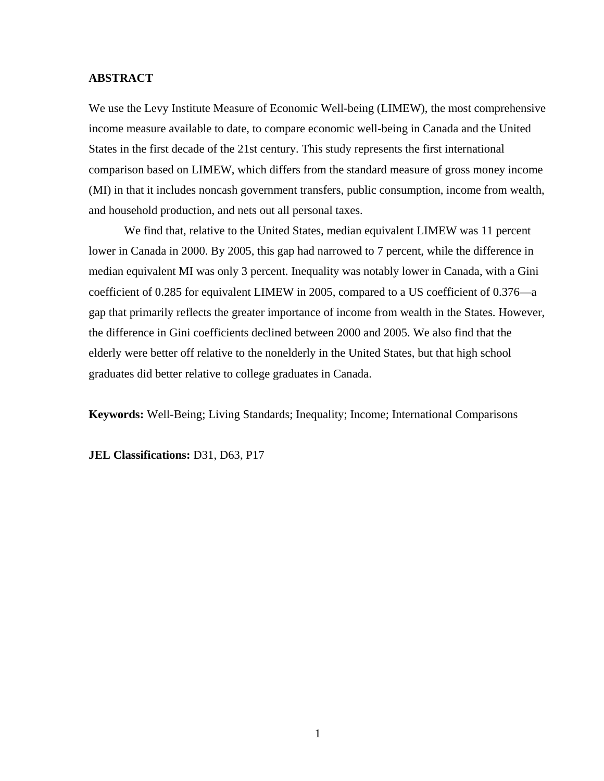## **ABSTRACT**

We use the Levy Institute Measure of Economic Well-being (LIMEW), the most comprehensive income measure available to date, to compare economic well-being in Canada and the United States in the first decade of the 21st century. This study represents the first international comparison based on LIMEW, which differs from the standard measure of gross money income (MI) in that it includes noncash government transfers, public consumption, income from wealth, and household production, and nets out all personal taxes.

We find that, relative to the United States, median equivalent LIMEW was 11 percent lower in Canada in 2000. By 2005, this gap had narrowed to 7 percent, while the difference in median equivalent MI was only 3 percent. Inequality was notably lower in Canada, with a Gini coefficient of 0.285 for equivalent LIMEW in 2005, compared to a US coefficient of 0.376—a gap that primarily reflects the greater importance of income from wealth in the States. However, the difference in Gini coefficients declined between 2000 and 2005. We also find that the elderly were better off relative to the nonelderly in the United States, but that high school graduates did better relative to college graduates in Canada.

**Keywords:** Well-Being; Living Standards; Inequality; Income; International Comparisons

**JEL Classifications:** D31, D63, P17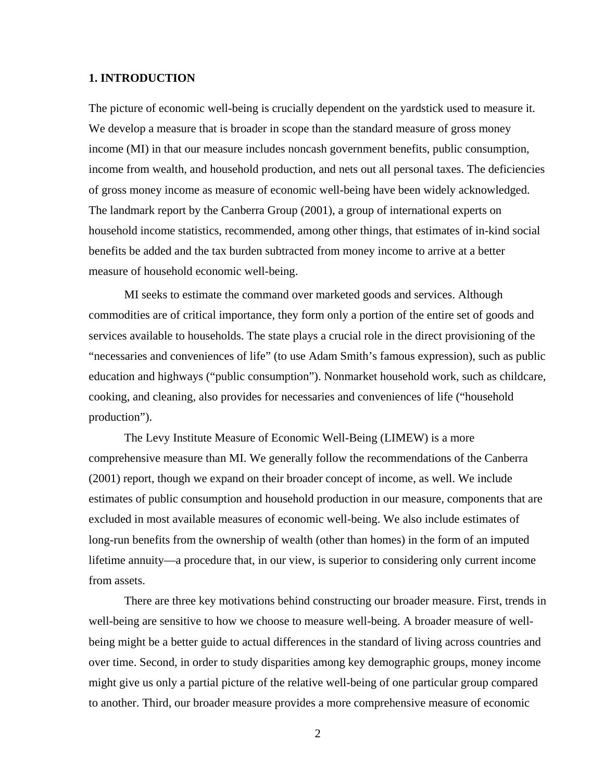## **1. INTRODUCTION**

The picture of economic well-being is crucially dependent on the yardstick used to measure it. We develop a measure that is broader in scope than the standard measure of gross money income (MI) in that our measure includes noncash government benefits, public consumption, income from wealth, and household production, and nets out all personal taxes. The deficiencies of gross money income as measure of economic well-being have been widely acknowledged. The landmark report by the Canberra Group (2001), a group of international experts on household income statistics, recommended, among other things, that estimates of in-kind social benefits be added and the tax burden subtracted from money income to arrive at a better measure of household economic well-being.

MI seeks to estimate the command over marketed goods and services. Although commodities are of critical importance, they form only a portion of the entire set of goods and services available to households. The state plays a crucial role in the direct provisioning of the "necessaries and conveniences of life" (to use Adam Smith's famous expression), such as public education and highways ("public consumption"). Nonmarket household work, such as childcare, cooking, and cleaning, also provides for necessaries and conveniences of life ("household production").

The Levy Institute Measure of Economic Well-Being (LIMEW) is a more comprehensive measure than MI. We generally follow the recommendations of the Canberra (2001) report, though we expand on their broader concept of income, as well. We include estimates of public consumption and household production in our measure, components that are excluded in most available measures of economic well-being. We also include estimates of long-run benefits from the ownership of wealth (other than homes) in the form of an imputed lifetime annuity—a procedure that, in our view, is superior to considering only current income from assets.

There are three key motivations behind constructing our broader measure. First, trends in well-being are sensitive to how we choose to measure well-being. A broader measure of wellbeing might be a better guide to actual differences in the standard of living across countries and over time. Second, in order to study disparities among key demographic groups, money income might give us only a partial picture of the relative well-being of one particular group compared to another. Third, our broader measure provides a more comprehensive measure of economic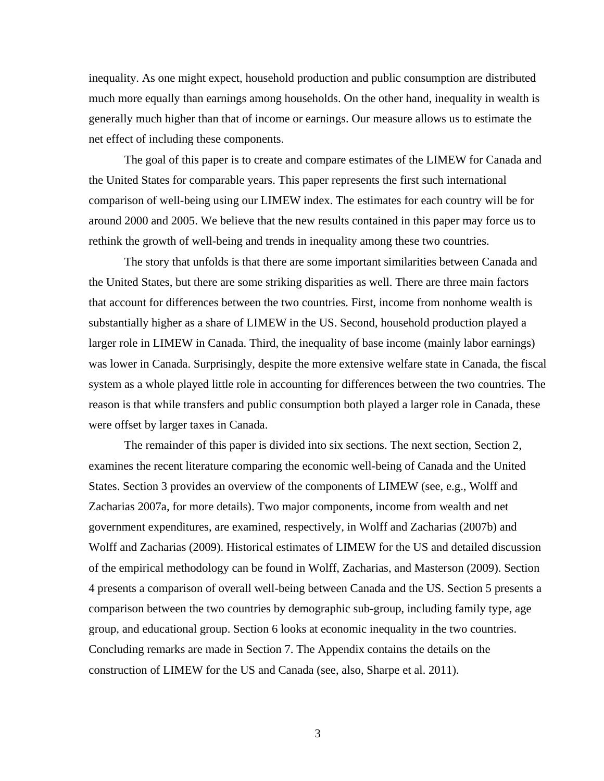inequality. As one might expect, household production and public consumption are distributed much more equally than earnings among households. On the other hand, inequality in wealth is generally much higher than that of income or earnings. Our measure allows us to estimate the net effect of including these components.

The goal of this paper is to create and compare estimates of the LIMEW for Canada and the United States for comparable years. This paper represents the first such international comparison of well-being using our LIMEW index. The estimates for each country will be for around 2000 and 2005. We believe that the new results contained in this paper may force us to rethink the growth of well-being and trends in inequality among these two countries.

The story that unfolds is that there are some important similarities between Canada and the United States, but there are some striking disparities as well. There are three main factors that account for differences between the two countries. First, income from nonhome wealth is substantially higher as a share of LIMEW in the US. Second, household production played a larger role in LIMEW in Canada. Third, the inequality of base income (mainly labor earnings) was lower in Canada. Surprisingly, despite the more extensive welfare state in Canada, the fiscal system as a whole played little role in accounting for differences between the two countries. The reason is that while transfers and public consumption both played a larger role in Canada, these were offset by larger taxes in Canada.

The remainder of this paper is divided into six sections. The next section, Section 2, examines the recent literature comparing the economic well-being of Canada and the United States. Section 3 provides an overview of the components of LIMEW (see, e.g., Wolff and Zacharias 2007a, for more details). Two major components, income from wealth and net government expenditures, are examined, respectively, in Wolff and Zacharias (2007b) and Wolff and Zacharias (2009). Historical estimates of LIMEW for the US and detailed discussion of the empirical methodology can be found in Wolff, Zacharias, and Masterson (2009). Section 4 presents a comparison of overall well-being between Canada and the US. Section 5 presents a comparison between the two countries by demographic sub-group, including family type, age group, and educational group. Section 6 looks at economic inequality in the two countries. Concluding remarks are made in Section 7. The Appendix contains the details on the construction of LIMEW for the US and Canada (see, also, Sharpe et al. 2011).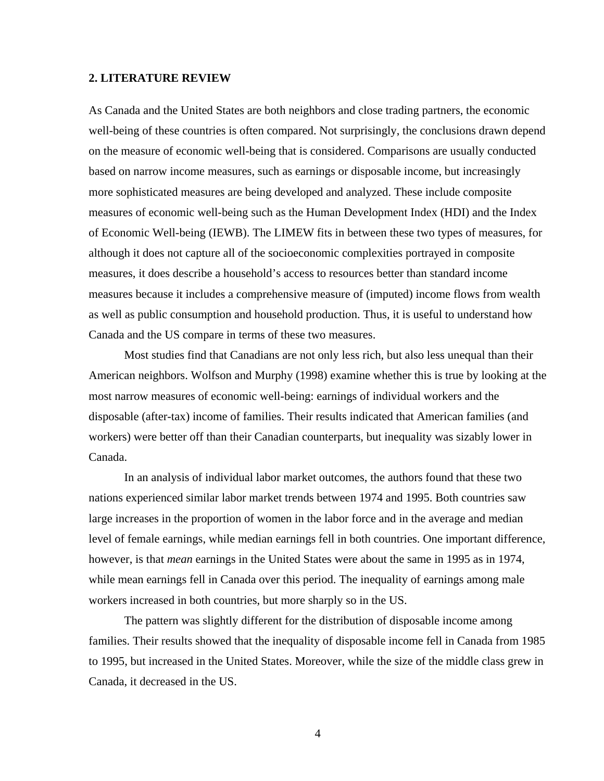## **2. LITERATURE REVIEW**

As Canada and the United States are both neighbors and close trading partners, the economic well-being of these countries is often compared. Not surprisingly, the conclusions drawn depend on the measure of economic well-being that is considered. Comparisons are usually conducted based on narrow income measures, such as earnings or disposable income, but increasingly more sophisticated measures are being developed and analyzed. These include composite measures of economic well-being such as the Human Development Index (HDI) and the Index of Economic Well-being (IEWB). The LIMEW fits in between these two types of measures, for although it does not capture all of the socioeconomic complexities portrayed in composite measures, it does describe a household's access to resources better than standard income measures because it includes a comprehensive measure of (imputed) income flows from wealth as well as public consumption and household production. Thus, it is useful to understand how Canada and the US compare in terms of these two measures.

Most studies find that Canadians are not only less rich, but also less unequal than their American neighbors. Wolfson and Murphy (1998) examine whether this is true by looking at the most narrow measures of economic well-being: earnings of individual workers and the disposable (after-tax) income of families. Their results indicated that American families (and workers) were better off than their Canadian counterparts, but inequality was sizably lower in Canada.

In an analysis of individual labor market outcomes, the authors found that these two nations experienced similar labor market trends between 1974 and 1995. Both countries saw large increases in the proportion of women in the labor force and in the average and median level of female earnings, while median earnings fell in both countries. One important difference, however, is that *mean* earnings in the United States were about the same in 1995 as in 1974, while mean earnings fell in Canada over this period. The inequality of earnings among male workers increased in both countries, but more sharply so in the US.

The pattern was slightly different for the distribution of disposable income among families. Their results showed that the inequality of disposable income fell in Canada from 1985 to 1995, but increased in the United States. Moreover, while the size of the middle class grew in Canada, it decreased in the US.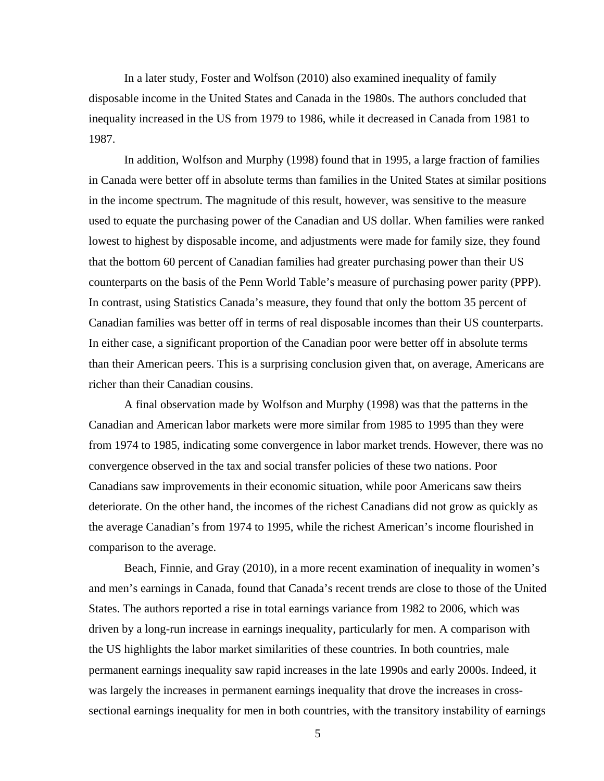In a later study, Foster and Wolfson (2010) also examined inequality of family disposable income in the United States and Canada in the 1980s. The authors concluded that inequality increased in the US from 1979 to 1986, while it decreased in Canada from 1981 to 1987.

In addition, Wolfson and Murphy (1998) found that in 1995, a large fraction of families in Canada were better off in absolute terms than families in the United States at similar positions in the income spectrum. The magnitude of this result, however, was sensitive to the measure used to equate the purchasing power of the Canadian and US dollar. When families were ranked lowest to highest by disposable income, and adjustments were made for family size, they found that the bottom 60 percent of Canadian families had greater purchasing power than their US counterparts on the basis of the Penn World Table's measure of purchasing power parity (PPP). In contrast, using Statistics Canada's measure, they found that only the bottom 35 percent of Canadian families was better off in terms of real disposable incomes than their US counterparts. In either case, a significant proportion of the Canadian poor were better off in absolute terms than their American peers. This is a surprising conclusion given that, on average, Americans are richer than their Canadian cousins.

A final observation made by Wolfson and Murphy (1998) was that the patterns in the Canadian and American labor markets were more similar from 1985 to 1995 than they were from 1974 to 1985, indicating some convergence in labor market trends. However, there was no convergence observed in the tax and social transfer policies of these two nations. Poor Canadians saw improvements in their economic situation, while poor Americans saw theirs deteriorate. On the other hand, the incomes of the richest Canadians did not grow as quickly as the average Canadian's from 1974 to 1995, while the richest American's income flourished in comparison to the average.

Beach, Finnie, and Gray (2010), in a more recent examination of inequality in women's and men's earnings in Canada, found that Canada's recent trends are close to those of the United States. The authors reported a rise in total earnings variance from 1982 to 2006, which was driven by a long-run increase in earnings inequality, particularly for men. A comparison with the US highlights the labor market similarities of these countries. In both countries, male permanent earnings inequality saw rapid increases in the late 1990s and early 2000s. Indeed, it was largely the increases in permanent earnings inequality that drove the increases in crosssectional earnings inequality for men in both countries, with the transitory instability of earnings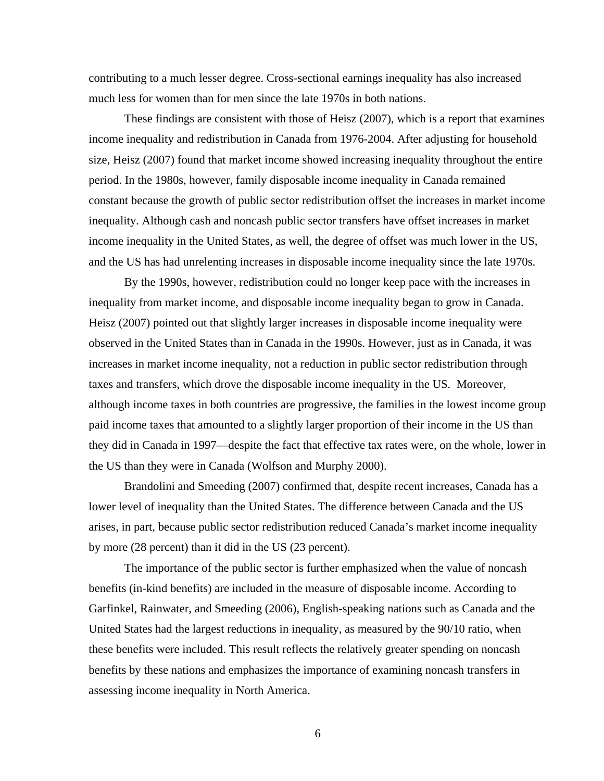contributing to a much lesser degree. Cross-sectional earnings inequality has also increased much less for women than for men since the late 1970s in both nations.

These findings are consistent with those of Heisz (2007), which is a report that examines income inequality and redistribution in Canada from 1976-2004. After adjusting for household size, Heisz (2007) found that market income showed increasing inequality throughout the entire period. In the 1980s, however, family disposable income inequality in Canada remained constant because the growth of public sector redistribution offset the increases in market income inequality. Although cash and noncash public sector transfers have offset increases in market income inequality in the United States, as well, the degree of offset was much lower in the US, and the US has had unrelenting increases in disposable income inequality since the late 1970s.

By the 1990s, however, redistribution could no longer keep pace with the increases in inequality from market income, and disposable income inequality began to grow in Canada. Heisz (2007) pointed out that slightly larger increases in disposable income inequality were observed in the United States than in Canada in the 1990s. However, just as in Canada, it was increases in market income inequality, not a reduction in public sector redistribution through taxes and transfers, which drove the disposable income inequality in the US. Moreover, although income taxes in both countries are progressive, the families in the lowest income group paid income taxes that amounted to a slightly larger proportion of their income in the US than they did in Canada in 1997—despite the fact that effective tax rates were, on the whole, lower in the US than they were in Canada (Wolfson and Murphy 2000).

Brandolini and Smeeding (2007) confirmed that, despite recent increases, Canada has a lower level of inequality than the United States. The difference between Canada and the US arises, in part, because public sector redistribution reduced Canada's market income inequality by more (28 percent) than it did in the US (23 percent).

The importance of the public sector is further emphasized when the value of noncash benefits (in-kind benefits) are included in the measure of disposable income. According to Garfinkel, Rainwater, and Smeeding (2006), English-speaking nations such as Canada and the United States had the largest reductions in inequality, as measured by the 90/10 ratio, when these benefits were included. This result reflects the relatively greater spending on noncash benefits by these nations and emphasizes the importance of examining noncash transfers in assessing income inequality in North America.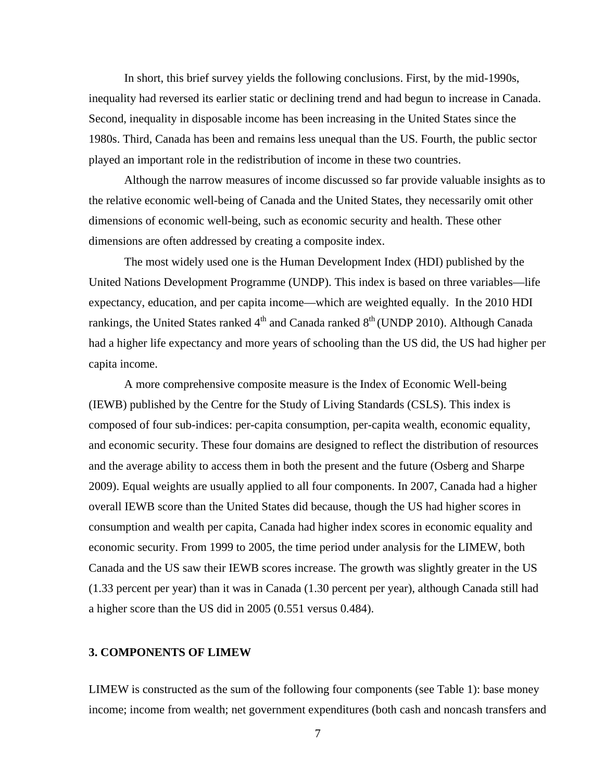In short, this brief survey yields the following conclusions. First, by the mid-1990s, inequality had reversed its earlier static or declining trend and had begun to increase in Canada. Second, inequality in disposable income has been increasing in the United States since the 1980s. Third, Canada has been and remains less unequal than the US. Fourth, the public sector played an important role in the redistribution of income in these two countries.

Although the narrow measures of income discussed so far provide valuable insights as to the relative economic well-being of Canada and the United States, they necessarily omit other dimensions of economic well-being, such as economic security and health. These other dimensions are often addressed by creating a composite index.

The most widely used one is the Human Development Index (HDI) published by the United Nations Development Programme (UNDP). This index is based on three variables—life expectancy, education, and per capita income—which are weighted equally. In the 2010 HDI rankings, the United States ranked  $4<sup>th</sup>$  and Canada ranked  $8<sup>th</sup>$  (UNDP 2010). Although Canada had a higher life expectancy and more years of schooling than the US did, the US had higher per capita income.

A more comprehensive composite measure is the Index of Economic Well-being (IEWB) published by the Centre for the Study of Living Standards (CSLS). This index is composed of four sub-indices: per-capita consumption, per-capita wealth, economic equality, and economic security. These four domains are designed to reflect the distribution of resources and the average ability to access them in both the present and the future (Osberg and Sharpe 2009). Equal weights are usually applied to all four components. In 2007, Canada had a higher overall IEWB score than the United States did because, though the US had higher scores in consumption and wealth per capita, Canada had higher index scores in economic equality and economic security. From 1999 to 2005, the time period under analysis for the LIMEW, both Canada and the US saw their IEWB scores increase. The growth was slightly greater in the US (1.33 percent per year) than it was in Canada (1.30 percent per year), although Canada still had a higher score than the US did in 2005 (0.551 versus 0.484).

## **3. COMPONENTS OF LIMEW**

LIMEW is constructed as the sum of the following four components (see Table 1): base money income; income from wealth; net government expenditures (both cash and noncash transfers and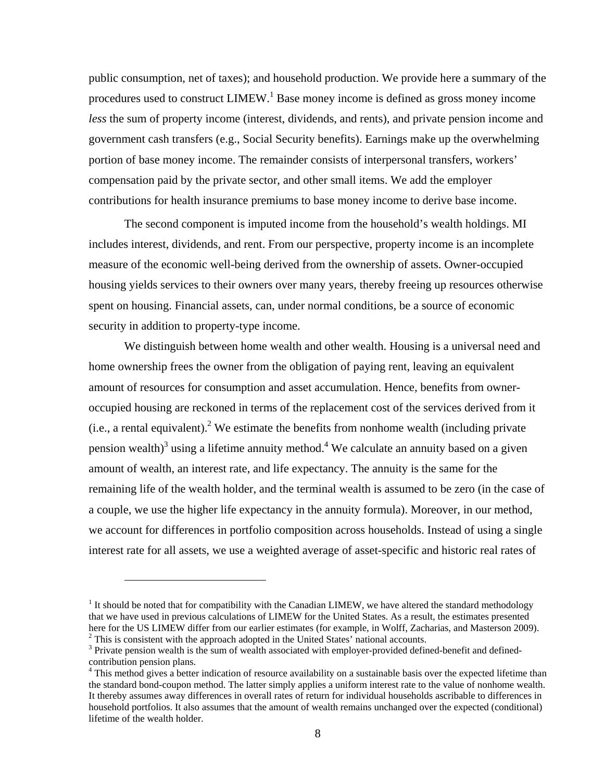public consumption, net of taxes); and household production. We provide here a summary of the procedures used to construct  $LIMEW$ .<sup>1</sup> Base money income is defined as gross money income *less* the sum of property income (interest, dividends, and rents), and private pension income and government cash transfers (e.g., Social Security benefits). Earnings make up the overwhelming portion of base money income. The remainder consists of interpersonal transfers, workers' compensation paid by the private sector, and other small items. We add the employer contributions for health insurance premiums to base money income to derive base income.

The second component is imputed income from the household's wealth holdings. MI includes interest, dividends, and rent. From our perspective, property income is an incomplete measure of the economic well-being derived from the ownership of assets. Owner-occupied housing yields services to their owners over many years, thereby freeing up resources otherwise spent on housing. Financial assets, can, under normal conditions, be a source of economic security in addition to property-type income.

We distinguish between home wealth and other wealth. Housing is a universal need and home ownership frees the owner from the obligation of paying rent, leaving an equivalent amount of resources for consumption and asset accumulation. Hence, benefits from owneroccupied housing are reckoned in terms of the replacement cost of the services derived from it  $(i.e., a)$  rental equivalent).<sup>2</sup> We estimate the benefits from nonhome wealth (including private pension wealth)<sup>3</sup> using a lifetime annuity method.<sup>4</sup> We calculate an annuity based on a given amount of wealth, an interest rate, and life expectancy. The annuity is the same for the remaining life of the wealth holder, and the terminal wealth is assumed to be zero (in the case of a couple, we use the higher life expectancy in the annuity formula). Moreover, in our method, we account for differences in portfolio composition across households. Instead of using a single interest rate for all assets, we use a weighted average of asset-specific and historic real rates of

<sup>&</sup>lt;sup>1</sup> It should be noted that for compatibility with the Canadian LIMEW, we have altered the standard methodology that we have used in previous calculations of LIMEW for the United States. As a result, the estimates presented here for the US LIMEW differ from our earlier estimates (for example, in Wolff, Zacharias, and Masterson 2009). 2  $2$  This is consistent with the approach adopted in the United States' national accounts.

<sup>&</sup>lt;sup>3</sup> Private pension wealth is the sum of wealth associated with employer-provided defined-benefit and definedcontribution pension plans.

<sup>&</sup>lt;sup>4</sup> This method gives a better indication of resource availability on a sustainable basis over the expected lifetime than the standard bond-coupon method. The latter simply applies a uniform interest rate to the value of nonhome wealth. It thereby assumes away differences in overall rates of return for individual households ascribable to differences in household portfolios. It also assumes that the amount of wealth remains unchanged over the expected (conditional) lifetime of the wealth holder.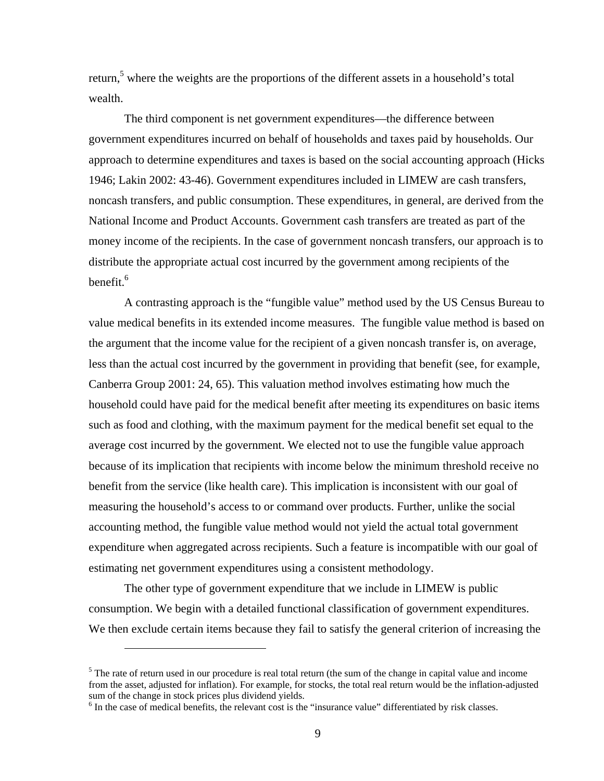return,<sup>5</sup> where the weights are the proportions of the different assets in a household's total wealth.

The third component is net government expenditures—the difference between government expenditures incurred on behalf of households and taxes paid by households. Our approach to determine expenditures and taxes is based on the social accounting approach (Hicks 1946; Lakin 2002: 43-46). Government expenditures included in LIMEW are cash transfers, noncash transfers, and public consumption. These expenditures, in general, are derived from the National Income and Product Accounts. Government cash transfers are treated as part of the money income of the recipients. In the case of government noncash transfers, our approach is to distribute the appropriate actual cost incurred by the government among recipients of the benefit.<sup>6</sup>

A contrasting approach is the "fungible value" method used by the US Census Bureau to value medical benefits in its extended income measures. The fungible value method is based on the argument that the income value for the recipient of a given noncash transfer is, on average, less than the actual cost incurred by the government in providing that benefit (see, for example, Canberra Group 2001: 24, 65). This valuation method involves estimating how much the household could have paid for the medical benefit after meeting its expenditures on basic items such as food and clothing, with the maximum payment for the medical benefit set equal to the average cost incurred by the government. We elected not to use the fungible value approach because of its implication that recipients with income below the minimum threshold receive no benefit from the service (like health care). This implication is inconsistent with our goal of measuring the household's access to or command over products. Further, unlike the social accounting method, the fungible value method would not yield the actual total government expenditure when aggregated across recipients. Such a feature is incompatible with our goal of estimating net government expenditures using a consistent methodology.

The other type of government expenditure that we include in LIMEW is public consumption. We begin with a detailed functional classification of government expenditures. We then exclude certain items because they fail to satisfy the general criterion of increasing the

 $<sup>5</sup>$  The rate of return used in our procedure is real total return (the sum of the change in capital value and income</sup> from the asset, adjusted for inflation). For example, for stocks, the total real return would be the inflation-adjusted sum of the change in stock prices plus dividend yields.

<sup>&</sup>lt;sup>6</sup> In the case of medical benefits, the relevant cost is the "insurance value" differentiated by risk classes.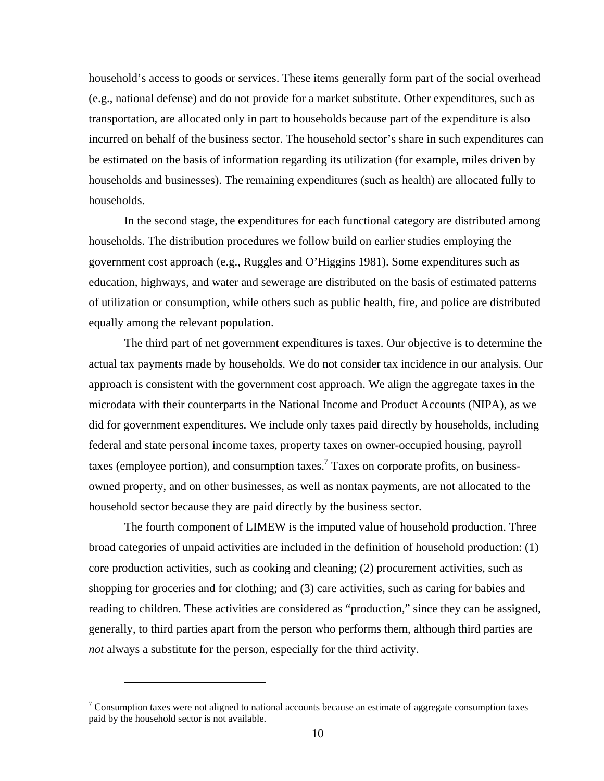household's access to goods or services. These items generally form part of the social overhead (e.g., national defense) and do not provide for a market substitute. Other expenditures, such as transportation, are allocated only in part to households because part of the expenditure is also incurred on behalf of the business sector. The household sector's share in such expenditures can be estimated on the basis of information regarding its utilization (for example, miles driven by households and businesses). The remaining expenditures (such as health) are allocated fully to households.

In the second stage, the expenditures for each functional category are distributed among households. The distribution procedures we follow build on earlier studies employing the government cost approach (e.g., Ruggles and O'Higgins 1981). Some expenditures such as education, highways, and water and sewerage are distributed on the basis of estimated patterns of utilization or consumption, while others such as public health, fire, and police are distributed equally among the relevant population.

The third part of net government expenditures is taxes. Our objective is to determine the actual tax payments made by households. We do not consider tax incidence in our analysis. Our approach is consistent with the government cost approach. We align the aggregate taxes in the microdata with their counterparts in the National Income and Product Accounts (NIPA), as we did for government expenditures. We include only taxes paid directly by households, including federal and state personal income taxes, property taxes on owner-occupied housing, payroll taxes (employee portion), and consumption taxes.<sup>7</sup> Taxes on corporate profits, on businessowned property, and on other businesses, as well as nontax payments, are not allocated to the household sector because they are paid directly by the business sector.

The fourth component of LIMEW is the imputed value of household production. Three broad categories of unpaid activities are included in the definition of household production: (1) core production activities, such as cooking and cleaning; (2) procurement activities, such as shopping for groceries and for clothing; and (3) care activities, such as caring for babies and reading to children. These activities are considered as "production," since they can be assigned, generally, to third parties apart from the person who performs them, although third parties are *not* always a substitute for the person, especially for the third activity.

 $7$  Consumption taxes were not aligned to national accounts because an estimate of aggregate consumption taxes paid by the household sector is not available.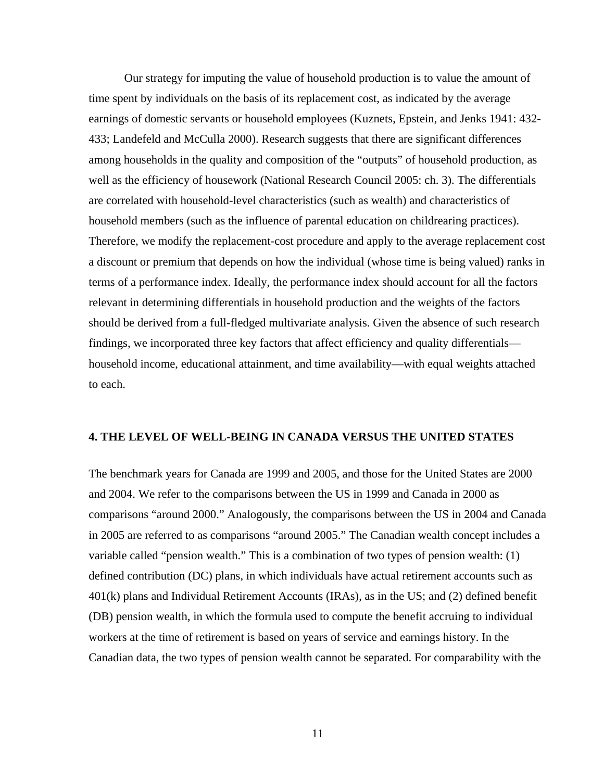Our strategy for imputing the value of household production is to value the amount of time spent by individuals on the basis of its replacement cost, as indicated by the average earnings of domestic servants or household employees (Kuznets, Epstein, and Jenks 1941: 432- 433; Landefeld and McCulla 2000). Research suggests that there are significant differences among households in the quality and composition of the "outputs" of household production, as well as the efficiency of housework (National Research Council 2005: ch. 3). The differentials are correlated with household-level characteristics (such as wealth) and characteristics of household members (such as the influence of parental education on childrearing practices). Therefore, we modify the replacement-cost procedure and apply to the average replacement cost a discount or premium that depends on how the individual (whose time is being valued) ranks in terms of a performance index. Ideally, the performance index should account for all the factors relevant in determining differentials in household production and the weights of the factors should be derived from a full-fledged multivariate analysis. Given the absence of such research findings, we incorporated three key factors that affect efficiency and quality differentials household income, educational attainment, and time availability—with equal weights attached to each.

## **4. THE LEVEL OF WELL-BEING IN CANADA VERSUS THE UNITED STATES**

The benchmark years for Canada are 1999 and 2005, and those for the United States are 2000 and 2004. We refer to the comparisons between the US in 1999 and Canada in 2000 as comparisons "around 2000." Analogously, the comparisons between the US in 2004 and Canada in 2005 are referred to as comparisons "around 2005." The Canadian wealth concept includes a variable called "pension wealth." This is a combination of two types of pension wealth: (1) defined contribution (DC) plans, in which individuals have actual retirement accounts such as 401(k) plans and Individual Retirement Accounts (IRAs), as in the US; and (2) defined benefit (DB) pension wealth, in which the formula used to compute the benefit accruing to individual workers at the time of retirement is based on years of service and earnings history. In the Canadian data, the two types of pension wealth cannot be separated. For comparability with the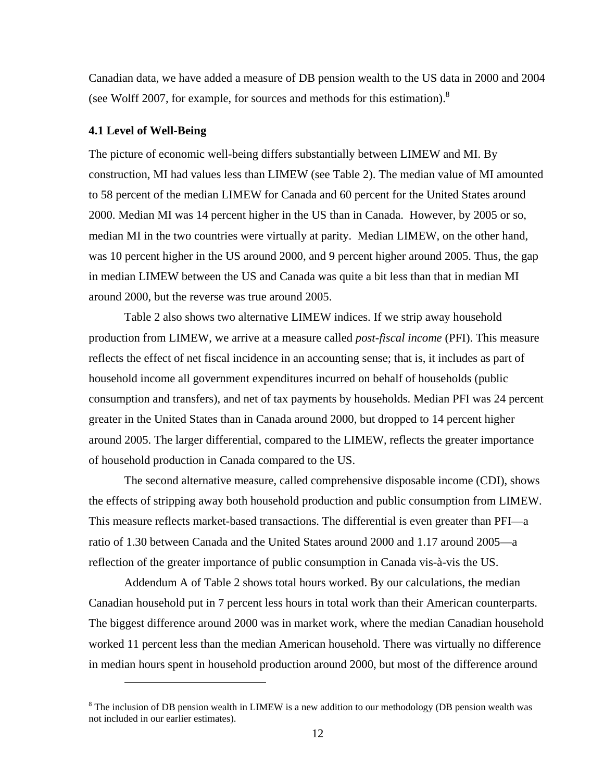Canadian data, we have added a measure of DB pension wealth to the US data in 2000 and 2004 (see Wolff 2007, for example, for sources and methods for this estimation).<sup>8</sup>

## **4.1 Level of Well-Being**

 $\overline{a}$ 

The picture of economic well-being differs substantially between LIMEW and MI. By construction, MI had values less than LIMEW (see Table 2). The median value of MI amounted to 58 percent of the median LIMEW for Canada and 60 percent for the United States around 2000. Median MI was 14 percent higher in the US than in Canada. However, by 2005 or so, median MI in the two countries were virtually at parity. Median LIMEW, on the other hand, was 10 percent higher in the US around 2000, and 9 percent higher around 2005. Thus, the gap in median LIMEW between the US and Canada was quite a bit less than that in median MI around 2000, but the reverse was true around 2005.

Table 2 also shows two alternative LIMEW indices. If we strip away household production from LIMEW, we arrive at a measure called *post-fiscal income* (PFI). This measure reflects the effect of net fiscal incidence in an accounting sense; that is, it includes as part of household income all government expenditures incurred on behalf of households (public consumption and transfers), and net of tax payments by households. Median PFI was 24 percent greater in the United States than in Canada around 2000, but dropped to 14 percent higher around 2005. The larger differential, compared to the LIMEW, reflects the greater importance of household production in Canada compared to the US.

The second alternative measure, called comprehensive disposable income (CDI), shows the effects of stripping away both household production and public consumption from LIMEW. This measure reflects market-based transactions. The differential is even greater than PFI—a ratio of 1.30 between Canada and the United States around 2000 and 1.17 around 2005—a reflection of the greater importance of public consumption in Canada vis-à-vis the US.

Addendum A of Table 2 shows total hours worked. By our calculations, the median Canadian household put in 7 percent less hours in total work than their American counterparts. The biggest difference around 2000 was in market work, where the median Canadian household worked 11 percent less than the median American household. There was virtually no difference in median hours spent in household production around 2000, but most of the difference around

 $8$  The inclusion of DB pension wealth in LIMEW is a new addition to our methodology (DB pension wealth was not included in our earlier estimates).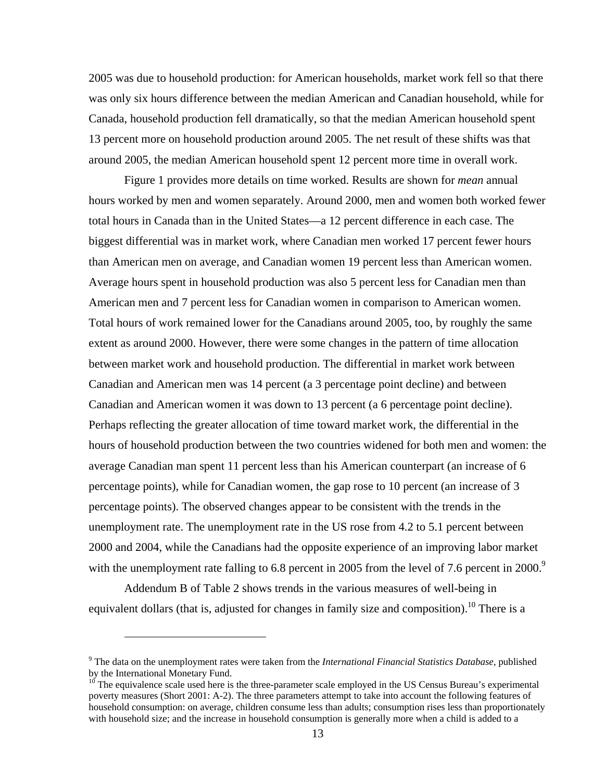2005 was due to household production: for American households, market work fell so that there was only six hours difference between the median American and Canadian household, while for Canada, household production fell dramatically, so that the median American household spent 13 percent more on household production around 2005. The net result of these shifts was that around 2005, the median American household spent 12 percent more time in overall work.

Figure 1 provides more details on time worked. Results are shown for *mean* annual hours worked by men and women separately. Around 2000, men and women both worked fewer total hours in Canada than in the United States—a 12 percent difference in each case. The biggest differential was in market work, where Canadian men worked 17 percent fewer hours than American men on average, and Canadian women 19 percent less than American women. Average hours spent in household production was also 5 percent less for Canadian men than American men and 7 percent less for Canadian women in comparison to American women. Total hours of work remained lower for the Canadians around 2005, too, by roughly the same extent as around 2000. However, there were some changes in the pattern of time allocation between market work and household production. The differential in market work between Canadian and American men was 14 percent (a 3 percentage point decline) and between Canadian and American women it was down to 13 percent (a 6 percentage point decline). Perhaps reflecting the greater allocation of time toward market work, the differential in the hours of household production between the two countries widened for both men and women: the average Canadian man spent 11 percent less than his American counterpart (an increase of 6 percentage points), while for Canadian women, the gap rose to 10 percent (an increase of 3 percentage points). The observed changes appear to be consistent with the trends in the unemployment rate. The unemployment rate in the US rose from 4.2 to 5.1 percent between 2000 and 2004, while the Canadians had the opposite experience of an improving labor market with the unemployment rate falling to 6.8 percent in 2005 from the level of 7.6 percent in 2000.<sup>9</sup>

Addendum B of Table 2 shows trends in the various measures of well-being in equivalent dollars (that is, adjusted for changes in family size and composition).<sup>10</sup> There is a

<sup>9</sup> The data on the unemployment rates were taken from the *International Financial Statistics Database*, published by the International Monetary Fund.

<sup>&</sup>lt;sup>10</sup> The equivalence scale used here is the three-parameter scale employed in the US Census Bureau's experimental poverty measures (Short 2001: A-2). The three parameters attempt to take into account the following features of household consumption: on average, children consume less than adults; consumption rises less than proportionately with household size; and the increase in household consumption is generally more when a child is added to a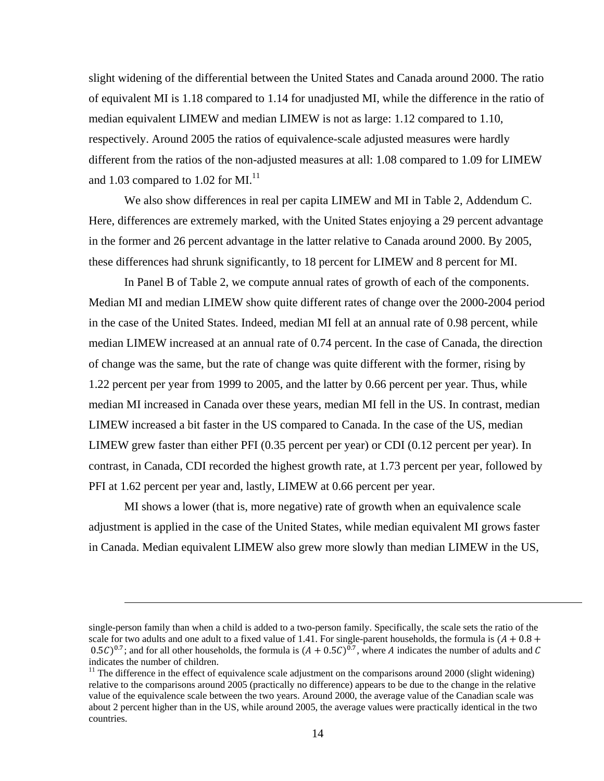slight widening of the differential between the United States and Canada around 2000. The ratio of equivalent MI is 1.18 compared to 1.14 for unadjusted MI, while the difference in the ratio of median equivalent LIMEW and median LIMEW is not as large: 1.12 compared to 1.10, respectively. Around 2005 the ratios of equivalence-scale adjusted measures were hardly different from the ratios of the non-adjusted measures at all: 1.08 compared to 1.09 for LIMEW and 1.03 compared to 1.02 for  $MI$ <sup>11</sup>

We also show differences in real per capita LIMEW and MI in Table 2, Addendum C. Here, differences are extremely marked, with the United States enjoying a 29 percent advantage in the former and 26 percent advantage in the latter relative to Canada around 2000. By 2005, these differences had shrunk significantly, to 18 percent for LIMEW and 8 percent for MI.

In Panel B of Table 2, we compute annual rates of growth of each of the components. Median MI and median LIMEW show quite different rates of change over the 2000-2004 period in the case of the United States. Indeed, median MI fell at an annual rate of 0.98 percent, while median LIMEW increased at an annual rate of 0.74 percent. In the case of Canada, the direction of change was the same, but the rate of change was quite different with the former, rising by 1.22 percent per year from 1999 to 2005, and the latter by 0.66 percent per year. Thus, while median MI increased in Canada over these years, median MI fell in the US. In contrast, median LIMEW increased a bit faster in the US compared to Canada. In the case of the US, median LIMEW grew faster than either PFI (0.35 percent per year) or CDI (0.12 percent per year). In contrast, in Canada, CDI recorded the highest growth rate, at 1.73 percent per year, followed by PFI at 1.62 percent per year and, lastly, LIMEW at 0.66 percent per year.

MI shows a lower (that is, more negative) rate of growth when an equivalence scale adjustment is applied in the case of the United States, while median equivalent MI grows faster in Canada. Median equivalent LIMEW also grew more slowly than median LIMEW in the US,

single-person family than when a child is added to a two-person family. Specifically, the scale sets the ratio of the scale for two adults and one adult to a fixed value of 1.41. For single-parent households, the formula is  $(A + 0.8 +$ 0.5C)<sup>0.7</sup>; and for all other households, the formula is  $(A + 0.5C)^{0.7}$ , where A indicates the number of adults and C indicates the number of children.

 $11$  The difference in the effect of equivalence scale adjustment on the comparisons around 2000 (slight widening) relative to the comparisons around 2005 (practically no difference) appears to be due to the change in the relative value of the equivalence scale between the two years. Around 2000, the average value of the Canadian scale was about 2 percent higher than in the US, while around 2005, the average values were practically identical in the two countries.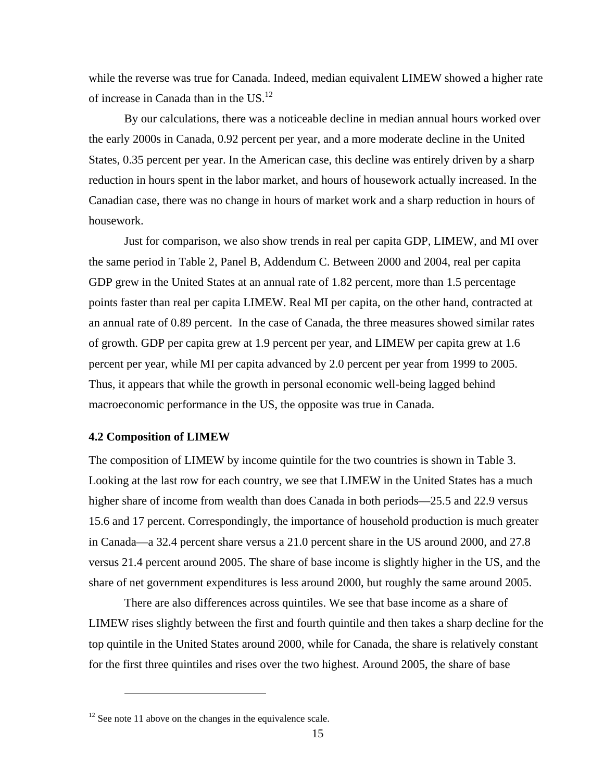while the reverse was true for Canada. Indeed, median equivalent LIMEW showed a higher rate of increase in Canada than in the  $US<sup>12</sup>$ 

By our calculations, there was a noticeable decline in median annual hours worked over the early 2000s in Canada, 0.92 percent per year, and a more moderate decline in the United States, 0.35 percent per year. In the American case, this decline was entirely driven by a sharp reduction in hours spent in the labor market, and hours of housework actually increased. In the Canadian case, there was no change in hours of market work and a sharp reduction in hours of housework.

Just for comparison, we also show trends in real per capita GDP, LIMEW, and MI over the same period in Table 2, Panel B, Addendum C. Between 2000 and 2004, real per capita GDP grew in the United States at an annual rate of 1.82 percent, more than 1.5 percentage points faster than real per capita LIMEW. Real MI per capita, on the other hand, contracted at an annual rate of 0.89 percent. In the case of Canada, the three measures showed similar rates of growth. GDP per capita grew at 1.9 percent per year, and LIMEW per capita grew at 1.6 percent per year, while MI per capita advanced by 2.0 percent per year from 1999 to 2005. Thus, it appears that while the growth in personal economic well-being lagged behind macroeconomic performance in the US, the opposite was true in Canada.

#### **4.2 Composition of LIMEW**

 $\overline{a}$ 

The composition of LIMEW by income quintile for the two countries is shown in Table 3. Looking at the last row for each country, we see that LIMEW in the United States has a much higher share of income from wealth than does Canada in both periods—25.5 and 22.9 versus 15.6 and 17 percent. Correspondingly, the importance of household production is much greater in Canada—a 32.4 percent share versus a 21.0 percent share in the US around 2000, and 27.8 versus 21.4 percent around 2005. The share of base income is slightly higher in the US, and the share of net government expenditures is less around 2000, but roughly the same around 2005.

There are also differences across quintiles. We see that base income as a share of LIMEW rises slightly between the first and fourth quintile and then takes a sharp decline for the top quintile in the United States around 2000, while for Canada, the share is relatively constant for the first three quintiles and rises over the two highest. Around 2005, the share of base

 $12$  See note 11 above on the changes in the equivalence scale.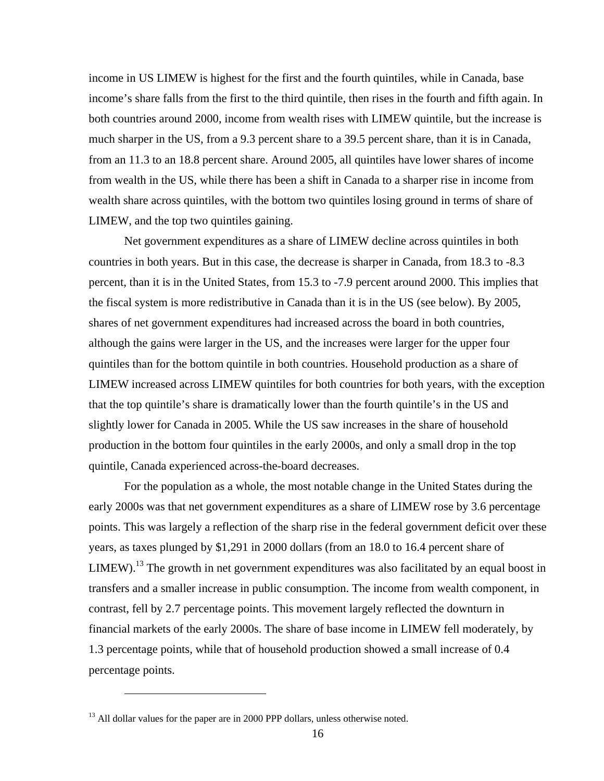income in US LIMEW is highest for the first and the fourth quintiles, while in Canada, base income's share falls from the first to the third quintile, then rises in the fourth and fifth again. In both countries around 2000, income from wealth rises with LIMEW quintile, but the increase is much sharper in the US, from a 9.3 percent share to a 39.5 percent share, than it is in Canada, from an 11.3 to an 18.8 percent share. Around 2005, all quintiles have lower shares of income from wealth in the US, while there has been a shift in Canada to a sharper rise in income from wealth share across quintiles, with the bottom two quintiles losing ground in terms of share of LIMEW, and the top two quintiles gaining.

Net government expenditures as a share of LIMEW decline across quintiles in both countries in both years. But in this case, the decrease is sharper in Canada, from 18.3 to -8.3 percent, than it is in the United States, from 15.3 to -7.9 percent around 2000. This implies that the fiscal system is more redistributive in Canada than it is in the US (see below). By 2005, shares of net government expenditures had increased across the board in both countries, although the gains were larger in the US, and the increases were larger for the upper four quintiles than for the bottom quintile in both countries. Household production as a share of LIMEW increased across LIMEW quintiles for both countries for both years, with the exception that the top quintile's share is dramatically lower than the fourth quintile's in the US and slightly lower for Canada in 2005. While the US saw increases in the share of household production in the bottom four quintiles in the early 2000s, and only a small drop in the top quintile, Canada experienced across-the-board decreases.

For the population as a whole, the most notable change in the United States during the early 2000s was that net government expenditures as a share of LIMEW rose by 3.6 percentage points. This was largely a reflection of the sharp rise in the federal government deficit over these years, as taxes plunged by \$1,291 in 2000 dollars (from an 18.0 to 16.4 percent share of LIMEW).<sup>13</sup> The growth in net government expenditures was also facilitated by an equal boost in transfers and a smaller increase in public consumption. The income from wealth component, in contrast, fell by 2.7 percentage points. This movement largely reflected the downturn in financial markets of the early 2000s. The share of base income in LIMEW fell moderately, by 1.3 percentage points, while that of household production showed a small increase of 0.4 percentage points.

 $13$  All dollar values for the paper are in 2000 PPP dollars, unless otherwise noted.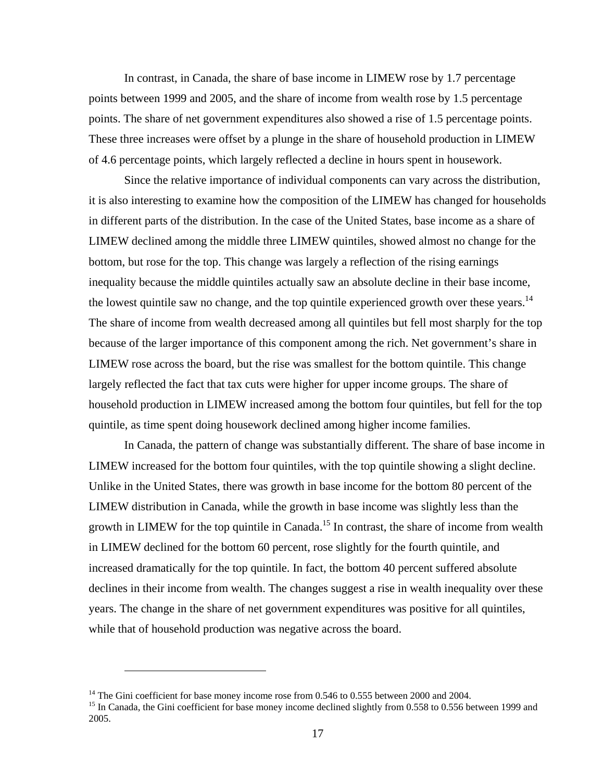In contrast, in Canada, the share of base income in LIMEW rose by 1.7 percentage points between 1999 and 2005, and the share of income from wealth rose by 1.5 percentage points. The share of net government expenditures also showed a rise of 1.5 percentage points. These three increases were offset by a plunge in the share of household production in LIMEW of 4.6 percentage points, which largely reflected a decline in hours spent in housework.

Since the relative importance of individual components can vary across the distribution, it is also interesting to examine how the composition of the LIMEW has changed for households in different parts of the distribution. In the case of the United States, base income as a share of LIMEW declined among the middle three LIMEW quintiles, showed almost no change for the bottom, but rose for the top. This change was largely a reflection of the rising earnings inequality because the middle quintiles actually saw an absolute decline in their base income, the lowest quintile saw no change, and the top quintile experienced growth over these years.<sup>14</sup> The share of income from wealth decreased among all quintiles but fell most sharply for the top because of the larger importance of this component among the rich. Net government's share in LIMEW rose across the board, but the rise was smallest for the bottom quintile. This change largely reflected the fact that tax cuts were higher for upper income groups. The share of household production in LIMEW increased among the bottom four quintiles, but fell for the top quintile, as time spent doing housework declined among higher income families.

In Canada, the pattern of change was substantially different. The share of base income in LIMEW increased for the bottom four quintiles, with the top quintile showing a slight decline. Unlike in the United States, there was growth in base income for the bottom 80 percent of the LIMEW distribution in Canada, while the growth in base income was slightly less than the growth in LIMEW for the top quintile in Canada.<sup>15</sup> In contrast, the share of income from wealth in LIMEW declined for the bottom 60 percent, rose slightly for the fourth quintile, and increased dramatically for the top quintile. In fact, the bottom 40 percent suffered absolute declines in their income from wealth. The changes suggest a rise in wealth inequality over these years. The change in the share of net government expenditures was positive for all quintiles, while that of household production was negative across the board.

<sup>&</sup>lt;sup>14</sup> The Gini coefficient for base money income rose from 0.546 to 0.555 between 2000 and 2004.

<sup>&</sup>lt;sup>15</sup> In Canada, the Gini coefficient for base money income declined slightly from 0.558 to 0.556 between 1999 and 2005.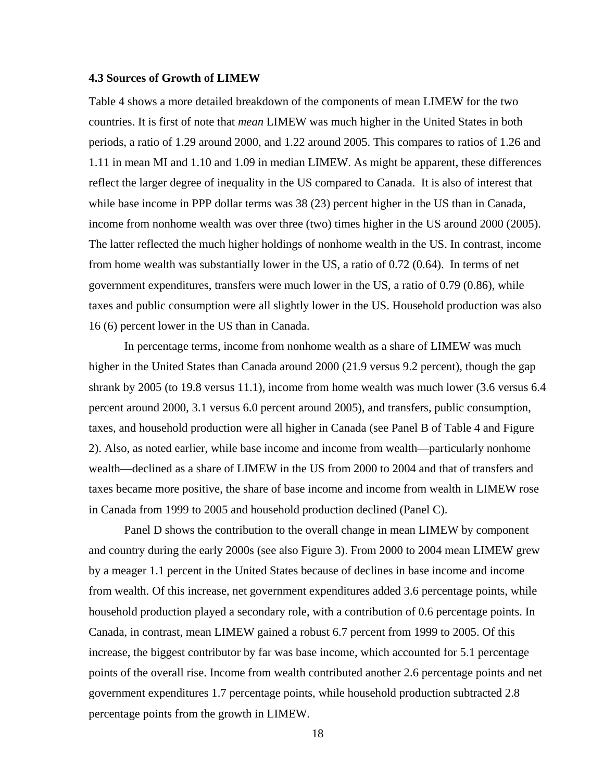## **4.3 Sources of Growth of LIMEW**

Table 4 shows a more detailed breakdown of the components of mean LIMEW for the two countries. It is first of note that *mean* LIMEW was much higher in the United States in both periods, a ratio of 1.29 around 2000, and 1.22 around 2005. This compares to ratios of 1.26 and 1.11 in mean MI and 1.10 and 1.09 in median LIMEW. As might be apparent, these differences reflect the larger degree of inequality in the US compared to Canada. It is also of interest that while base income in PPP dollar terms was 38 (23) percent higher in the US than in Canada, income from nonhome wealth was over three (two) times higher in the US around 2000 (2005). The latter reflected the much higher holdings of nonhome wealth in the US. In contrast, income from home wealth was substantially lower in the US, a ratio of 0.72 (0.64). In terms of net government expenditures, transfers were much lower in the US, a ratio of 0.79 (0.86), while taxes and public consumption were all slightly lower in the US. Household production was also 16 (6) percent lower in the US than in Canada.

In percentage terms, income from nonhome wealth as a share of LIMEW was much higher in the United States than Canada around 2000 (21.9 versus 9.2 percent), though the gap shrank by 2005 (to 19.8 versus 11.1), income from home wealth was much lower (3.6 versus 6.4 percent around 2000, 3.1 versus 6.0 percent around 2005), and transfers, public consumption, taxes, and household production were all higher in Canada (see Panel B of Table 4 and Figure 2). Also, as noted earlier, while base income and income from wealth—particularly nonhome wealth—declined as a share of LIMEW in the US from 2000 to 2004 and that of transfers and taxes became more positive, the share of base income and income from wealth in LIMEW rose in Canada from 1999 to 2005 and household production declined (Panel C).

Panel D shows the contribution to the overall change in mean LIMEW by component and country during the early 2000s (see also Figure 3). From 2000 to 2004 mean LIMEW grew by a meager 1.1 percent in the United States because of declines in base income and income from wealth. Of this increase, net government expenditures added 3.6 percentage points, while household production played a secondary role, with a contribution of 0.6 percentage points. In Canada, in contrast, mean LIMEW gained a robust 6.7 percent from 1999 to 2005. Of this increase, the biggest contributor by far was base income, which accounted for 5.1 percentage points of the overall rise. Income from wealth contributed another 2.6 percentage points and net government expenditures 1.7 percentage points, while household production subtracted 2.8 percentage points from the growth in LIMEW.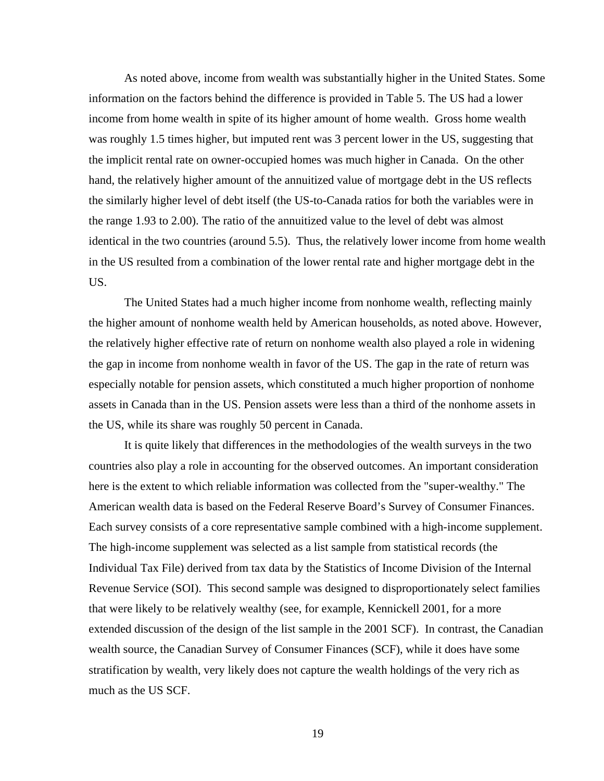As noted above, income from wealth was substantially higher in the United States. Some information on the factors behind the difference is provided in Table 5. The US had a lower income from home wealth in spite of its higher amount of home wealth. Gross home wealth was roughly 1.5 times higher, but imputed rent was 3 percent lower in the US, suggesting that the implicit rental rate on owner-occupied homes was much higher in Canada. On the other hand, the relatively higher amount of the annuitized value of mortgage debt in the US reflects the similarly higher level of debt itself (the US-to-Canada ratios for both the variables were in the range 1.93 to 2.00). The ratio of the annuitized value to the level of debt was almost identical in the two countries (around 5.5). Thus, the relatively lower income from home wealth in the US resulted from a combination of the lower rental rate and higher mortgage debt in the US.

The United States had a much higher income from nonhome wealth, reflecting mainly the higher amount of nonhome wealth held by American households, as noted above. However, the relatively higher effective rate of return on nonhome wealth also played a role in widening the gap in income from nonhome wealth in favor of the US. The gap in the rate of return was especially notable for pension assets, which constituted a much higher proportion of nonhome assets in Canada than in the US. Pension assets were less than a third of the nonhome assets in the US, while its share was roughly 50 percent in Canada.

It is quite likely that differences in the methodologies of the wealth surveys in the two countries also play a role in accounting for the observed outcomes. An important consideration here is the extent to which reliable information was collected from the "super-wealthy." The American wealth data is based on the Federal Reserve Board's Survey of Consumer Finances. Each survey consists of a core representative sample combined with a high-income supplement. The high-income supplement was selected as a list sample from statistical records (the Individual Tax File) derived from tax data by the Statistics of Income Division of the Internal Revenue Service (SOI). This second sample was designed to disproportionately select families that were likely to be relatively wealthy (see, for example, Kennickell 2001, for a more extended discussion of the design of the list sample in the 2001 SCF). In contrast, the Canadian wealth source, the Canadian Survey of Consumer Finances (SCF), while it does have some stratification by wealth, very likely does not capture the wealth holdings of the very rich as much as the US SCF.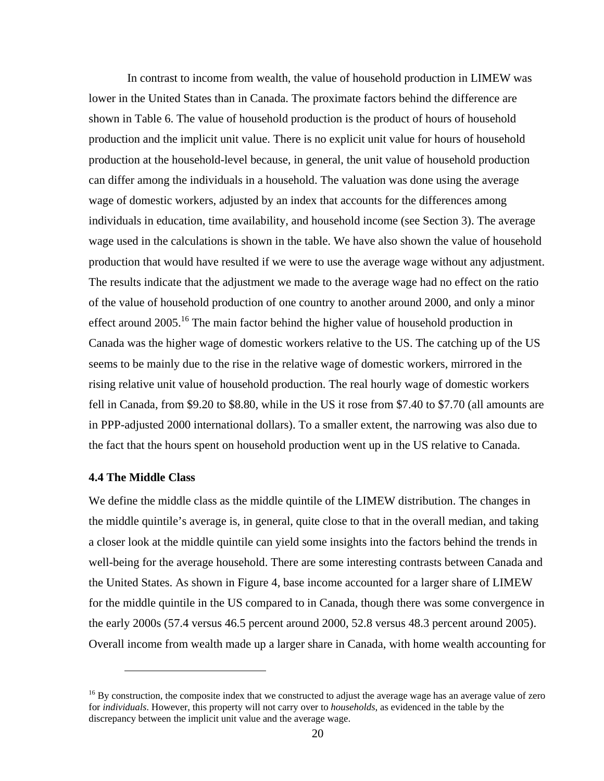In contrast to income from wealth, the value of household production in LIMEW was lower in the United States than in Canada. The proximate factors behind the difference are shown in Table 6. The value of household production is the product of hours of household production and the implicit unit value. There is no explicit unit value for hours of household production at the household-level because, in general, the unit value of household production can differ among the individuals in a household. The valuation was done using the average wage of domestic workers, adjusted by an index that accounts for the differences among individuals in education, time availability, and household income (see Section 3). The average wage used in the calculations is shown in the table. We have also shown the value of household production that would have resulted if we were to use the average wage without any adjustment. The results indicate that the adjustment we made to the average wage had no effect on the ratio of the value of household production of one country to another around 2000, and only a minor effect around 2005.<sup>16</sup> The main factor behind the higher value of household production in Canada was the higher wage of domestic workers relative to the US. The catching up of the US seems to be mainly due to the rise in the relative wage of domestic workers, mirrored in the rising relative unit value of household production. The real hourly wage of domestic workers fell in Canada, from \$9.20 to \$8.80, while in the US it rose from \$7.40 to \$7.70 (all amounts are in PPP-adjusted 2000 international dollars). To a smaller extent, the narrowing was also due to the fact that the hours spent on household production went up in the US relative to Canada.

## **4.4 The Middle Class**

 $\overline{a}$ 

We define the middle class as the middle quintile of the LIMEW distribution. The changes in the middle quintile's average is, in general, quite close to that in the overall median, and taking a closer look at the middle quintile can yield some insights into the factors behind the trends in well-being for the average household. There are some interesting contrasts between Canada and the United States. As shown in Figure 4, base income accounted for a larger share of LIMEW for the middle quintile in the US compared to in Canada, though there was some convergence in the early 2000s (57.4 versus 46.5 percent around 2000, 52.8 versus 48.3 percent around 2005). Overall income from wealth made up a larger share in Canada, with home wealth accounting for

 $16$  By construction, the composite index that we constructed to adjust the average wage has an average value of zero for *individuals*. However, this property will not carry over to *households*, as evidenced in the table by the discrepancy between the implicit unit value and the average wage.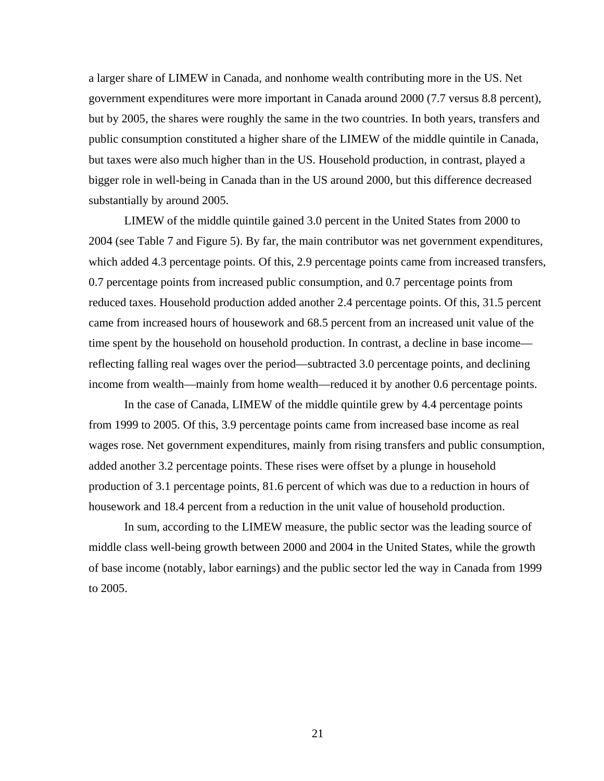a larger share of LIMEW in Canada, and nonhome wealth contributing more in the US. Net government expenditures were more important in Canada around 2000 (7.7 versus 8.8 percent), but by 2005, the shares were roughly the same in the two countries. In both years, transfers and public consumption constituted a higher share of the LIMEW of the middle quintile in Canada, but taxes were also much higher than in the US. Household production, in contrast, played a bigger role in well-being in Canada than in the US around 2000, but this difference decreased substantially by around 2005.

LIMEW of the middle quintile gained 3.0 percent in the United States from 2000 to 2004 (see Table 7 and Figure 5). By far, the main contributor was net government expenditures, which added 4.3 percentage points. Of this, 2.9 percentage points came from increased transfers, 0.7 percentage points from increased public consumption, and 0.7 percentage points from reduced taxes. Household production added another 2.4 percentage points. Of this, 31.5 percent came from increased hours of housework and 68.5 percent from an increased unit value of the time spent by the household on household production. In contrast, a decline in base income reflecting falling real wages over the period—subtracted 3.0 percentage points, and declining income from wealth—mainly from home wealth—reduced it by another 0.6 percentage points.

In the case of Canada, LIMEW of the middle quintile grew by 4.4 percentage points from 1999 to 2005. Of this, 3.9 percentage points came from increased base income as real wages rose. Net government expenditures, mainly from rising transfers and public consumption, added another 3.2 percentage points. These rises were offset by a plunge in household production of 3.1 percentage points, 81.6 percent of which was due to a reduction in hours of housework and 18.4 percent from a reduction in the unit value of household production.

In sum, according to the LIMEW measure, the public sector was the leading source of middle class well-being growth between 2000 and 2004 in the United States, while the growth of base income (notably, labor earnings) and the public sector led the way in Canada from 1999 to 2005.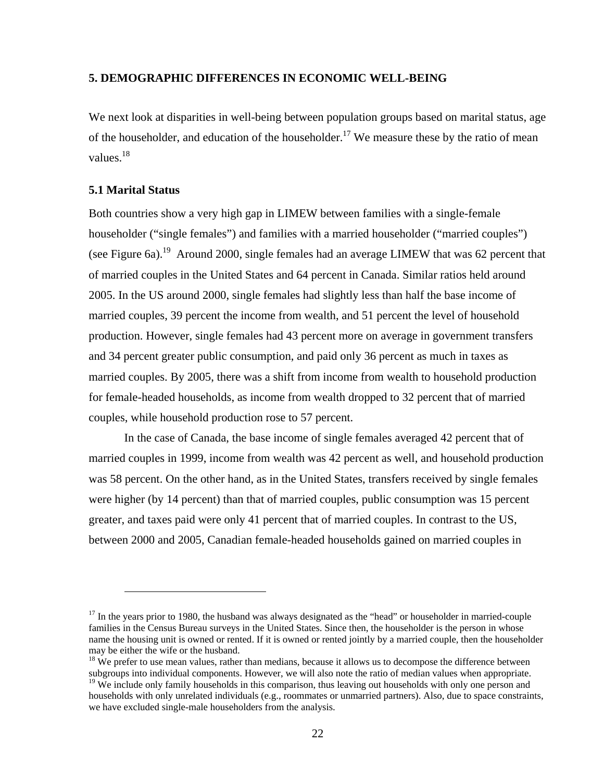## **5. DEMOGRAPHIC DIFFERENCES IN ECONOMIC WELL-BEING**

We next look at disparities in well-being between population groups based on marital status, age of the householder, and education of the householder.<sup>17</sup> We measure these by the ratio of mean values.<sup>18</sup>

## **5.1 Marital Status**

 $\overline{a}$ 

Both countries show a very high gap in LIMEW between families with a single-female householder ("single females") and families with a married householder ("married couples") (see Figure 6a).<sup>19</sup> Around 2000, single females had an average LIMEW that was 62 percent that of married couples in the United States and 64 percent in Canada. Similar ratios held around 2005. In the US around 2000, single females had slightly less than half the base income of married couples, 39 percent the income from wealth, and 51 percent the level of household production. However, single females had 43 percent more on average in government transfers and 34 percent greater public consumption, and paid only 36 percent as much in taxes as married couples. By 2005, there was a shift from income from wealth to household production for female-headed households, as income from wealth dropped to 32 percent that of married couples, while household production rose to 57 percent.

In the case of Canada, the base income of single females averaged 42 percent that of married couples in 1999, income from wealth was 42 percent as well, and household production was 58 percent. On the other hand, as in the United States, transfers received by single females were higher (by 14 percent) than that of married couples, public consumption was 15 percent greater, and taxes paid were only 41 percent that of married couples. In contrast to the US, between 2000 and 2005, Canadian female-headed households gained on married couples in

 $17$  In the years prior to 1980, the husband was always designated as the "head" or householder in married-couple families in the Census Bureau surveys in the United States. Since then, the householder is the person in whose name the housing unit is owned or rented. If it is owned or rented jointly by a married couple, then the householder may be either the wife or the husband.

<sup>&</sup>lt;sup>18</sup> We prefer to use mean values, rather than medians, because it allows us to decompose the difference between subgroups into individual components. However, we will also note the ratio of median values when appropriate.

<sup>&</sup>lt;sup>19</sup> We include only family households in this comparison, thus leaving out households with only one person and households with only unrelated individuals (e.g., roommates or unmarried partners). Also, due to space constraints, we have excluded single-male householders from the analysis.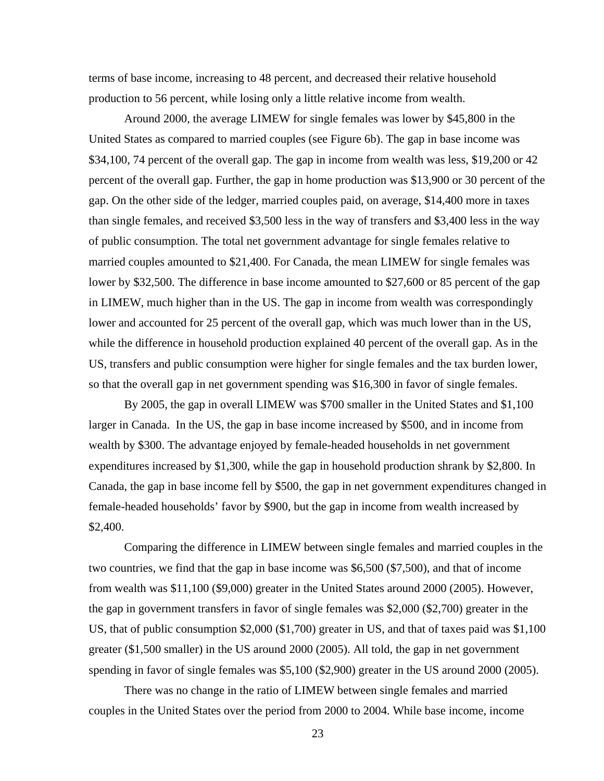terms of base income, increasing to 48 percent, and decreased their relative household production to 56 percent, while losing only a little relative income from wealth.

Around 2000, the average LIMEW for single females was lower by \$45,800 in the United States as compared to married couples (see Figure 6b). The gap in base income was \$34,100, 74 percent of the overall gap. The gap in income from wealth was less, \$19,200 or 42 percent of the overall gap. Further, the gap in home production was \$13,900 or 30 percent of the gap. On the other side of the ledger, married couples paid, on average, \$14,400 more in taxes than single females, and received \$3,500 less in the way of transfers and \$3,400 less in the way of public consumption. The total net government advantage for single females relative to married couples amounted to \$21,400. For Canada, the mean LIMEW for single females was lower by \$32,500. The difference in base income amounted to \$27,600 or 85 percent of the gap in LIMEW, much higher than in the US. The gap in income from wealth was correspondingly lower and accounted for 25 percent of the overall gap, which was much lower than in the US, while the difference in household production explained 40 percent of the overall gap. As in the US, transfers and public consumption were higher for single females and the tax burden lower, so that the overall gap in net government spending was \$16,300 in favor of single females.

By 2005, the gap in overall LIMEW was \$700 smaller in the United States and \$1,100 larger in Canada. In the US, the gap in base income increased by \$500, and in income from wealth by \$300. The advantage enjoyed by female-headed households in net government expenditures increased by \$1,300, while the gap in household production shrank by \$2,800. In Canada, the gap in base income fell by \$500, the gap in net government expenditures changed in female-headed households' favor by \$900, but the gap in income from wealth increased by \$2,400.

Comparing the difference in LIMEW between single females and married couples in the two countries, we find that the gap in base income was \$6,500 (\$7,500), and that of income from wealth was \$11,100 (\$9,000) greater in the United States around 2000 (2005). However, the gap in government transfers in favor of single females was \$2,000 (\$2,700) greater in the US, that of public consumption \$2,000 (\$1,700) greater in US, and that of taxes paid was \$1,100 greater (\$1,500 smaller) in the US around 2000 (2005). All told, the gap in net government spending in favor of single females was \$5,100 (\$2,900) greater in the US around 2000 (2005).

There was no change in the ratio of LIMEW between single females and married couples in the United States over the period from 2000 to 2004. While base income, income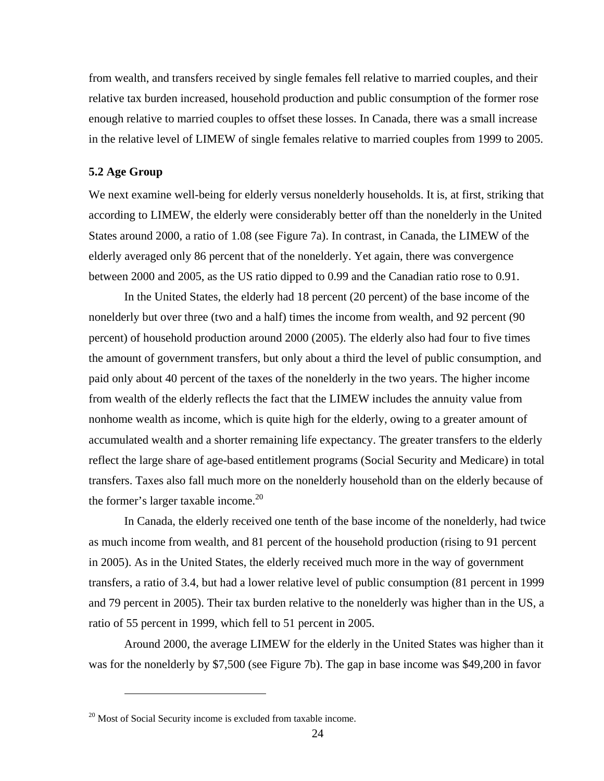from wealth, and transfers received by single females fell relative to married couples, and their relative tax burden increased, household production and public consumption of the former rose enough relative to married couples to offset these losses. In Canada, there was a small increase in the relative level of LIMEW of single females relative to married couples from 1999 to 2005.

#### **5.2 Age Group**

We next examine well-being for elderly versus nonelderly households. It is, at first, striking that according to LIMEW, the elderly were considerably better off than the nonelderly in the United States around 2000, a ratio of 1.08 (see Figure 7a). In contrast, in Canada, the LIMEW of the elderly averaged only 86 percent that of the nonelderly. Yet again, there was convergence between 2000 and 2005, as the US ratio dipped to 0.99 and the Canadian ratio rose to 0.91.

In the United States, the elderly had 18 percent (20 percent) of the base income of the nonelderly but over three (two and a half) times the income from wealth, and 92 percent (90 percent) of household production around 2000 (2005). The elderly also had four to five times the amount of government transfers, but only about a third the level of public consumption, and paid only about 40 percent of the taxes of the nonelderly in the two years. The higher income from wealth of the elderly reflects the fact that the LIMEW includes the annuity value from nonhome wealth as income, which is quite high for the elderly, owing to a greater amount of accumulated wealth and a shorter remaining life expectancy. The greater transfers to the elderly reflect the large share of age-based entitlement programs (Social Security and Medicare) in total transfers. Taxes also fall much more on the nonelderly household than on the elderly because of the former's larger taxable income.<sup>20</sup>

In Canada, the elderly received one tenth of the base income of the nonelderly, had twice as much income from wealth, and 81 percent of the household production (rising to 91 percent in 2005). As in the United States, the elderly received much more in the way of government transfers, a ratio of 3.4, but had a lower relative level of public consumption (81 percent in 1999 and 79 percent in 2005). Their tax burden relative to the nonelderly was higher than in the US, a ratio of 55 percent in 1999, which fell to 51 percent in 2005.

Around 2000, the average LIMEW for the elderly in the United States was higher than it was for the nonelderly by \$7,500 (see Figure 7b). The gap in base income was \$49,200 in favor

 $^{20}$  Most of Social Security income is excluded from taxable income.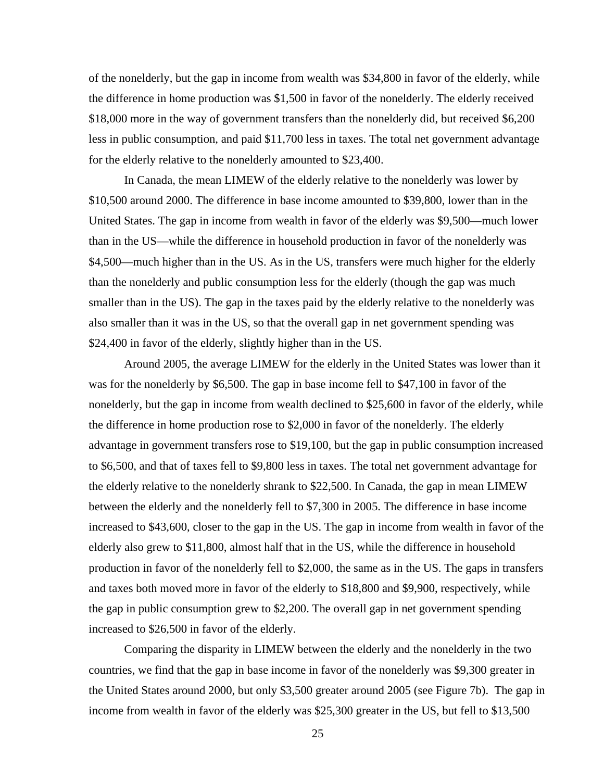of the nonelderly, but the gap in income from wealth was \$34,800 in favor of the elderly, while the difference in home production was \$1,500 in favor of the nonelderly. The elderly received \$18,000 more in the way of government transfers than the nonelderly did, but received \$6,200 less in public consumption, and paid \$11,700 less in taxes. The total net government advantage for the elderly relative to the nonelderly amounted to \$23,400.

In Canada, the mean LIMEW of the elderly relative to the nonelderly was lower by \$10,500 around 2000. The difference in base income amounted to \$39,800, lower than in the United States. The gap in income from wealth in favor of the elderly was \$9,500—much lower than in the US—while the difference in household production in favor of the nonelderly was \$4,500—much higher than in the US. As in the US, transfers were much higher for the elderly than the nonelderly and public consumption less for the elderly (though the gap was much smaller than in the US). The gap in the taxes paid by the elderly relative to the nonelderly was also smaller than it was in the US, so that the overall gap in net government spending was \$24,400 in favor of the elderly, slightly higher than in the US.

Around 2005, the average LIMEW for the elderly in the United States was lower than it was for the nonelderly by \$6,500. The gap in base income fell to \$47,100 in favor of the nonelderly, but the gap in income from wealth declined to \$25,600 in favor of the elderly, while the difference in home production rose to \$2,000 in favor of the nonelderly. The elderly advantage in government transfers rose to \$19,100, but the gap in public consumption increased to \$6,500, and that of taxes fell to \$9,800 less in taxes. The total net government advantage for the elderly relative to the nonelderly shrank to \$22,500. In Canada, the gap in mean LIMEW between the elderly and the nonelderly fell to \$7,300 in 2005. The difference in base income increased to \$43,600, closer to the gap in the US. The gap in income from wealth in favor of the elderly also grew to \$11,800, almost half that in the US, while the difference in household production in favor of the nonelderly fell to \$2,000, the same as in the US. The gaps in transfers and taxes both moved more in favor of the elderly to \$18,800 and \$9,900, respectively, while the gap in public consumption grew to \$2,200. The overall gap in net government spending increased to \$26,500 in favor of the elderly.

Comparing the disparity in LIMEW between the elderly and the nonelderly in the two countries, we find that the gap in base income in favor of the nonelderly was \$9,300 greater in the United States around 2000, but only \$3,500 greater around 2005 (see Figure 7b). The gap in income from wealth in favor of the elderly was \$25,300 greater in the US, but fell to \$13,500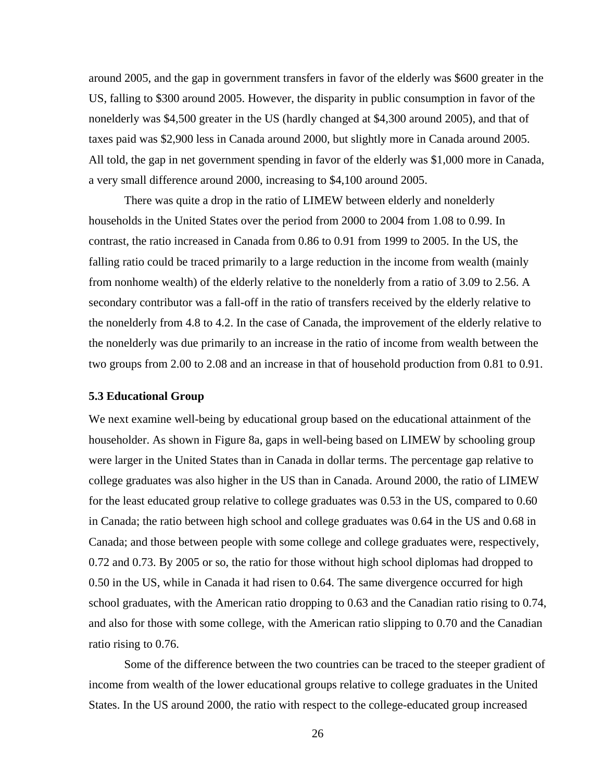around 2005, and the gap in government transfers in favor of the elderly was \$600 greater in the US, falling to \$300 around 2005. However, the disparity in public consumption in favor of the nonelderly was \$4,500 greater in the US (hardly changed at \$4,300 around 2005), and that of taxes paid was \$2,900 less in Canada around 2000, but slightly more in Canada around 2005. All told, the gap in net government spending in favor of the elderly was \$1,000 more in Canada, a very small difference around 2000, increasing to \$4,100 around 2005.

There was quite a drop in the ratio of LIMEW between elderly and nonelderly households in the United States over the period from 2000 to 2004 from 1.08 to 0.99. In contrast, the ratio increased in Canada from 0.86 to 0.91 from 1999 to 2005. In the US, the falling ratio could be traced primarily to a large reduction in the income from wealth (mainly from nonhome wealth) of the elderly relative to the nonelderly from a ratio of 3.09 to 2.56. A secondary contributor was a fall-off in the ratio of transfers received by the elderly relative to the nonelderly from 4.8 to 4.2. In the case of Canada, the improvement of the elderly relative to the nonelderly was due primarily to an increase in the ratio of income from wealth between the two groups from 2.00 to 2.08 and an increase in that of household production from 0.81 to 0.91.

## **5.3 Educational Group**

We next examine well-being by educational group based on the educational attainment of the householder. As shown in Figure 8a, gaps in well-being based on LIMEW by schooling group were larger in the United States than in Canada in dollar terms. The percentage gap relative to college graduates was also higher in the US than in Canada. Around 2000, the ratio of LIMEW for the least educated group relative to college graduates was 0.53 in the US, compared to 0.60 in Canada; the ratio between high school and college graduates was 0.64 in the US and 0.68 in Canada; and those between people with some college and college graduates were, respectively, 0.72 and 0.73. By 2005 or so, the ratio for those without high school diplomas had dropped to 0.50 in the US, while in Canada it had risen to 0.64. The same divergence occurred for high school graduates, with the American ratio dropping to 0.63 and the Canadian ratio rising to 0.74, and also for those with some college, with the American ratio slipping to 0.70 and the Canadian ratio rising to 0.76.

Some of the difference between the two countries can be traced to the steeper gradient of income from wealth of the lower educational groups relative to college graduates in the United States. In the US around 2000, the ratio with respect to the college-educated group increased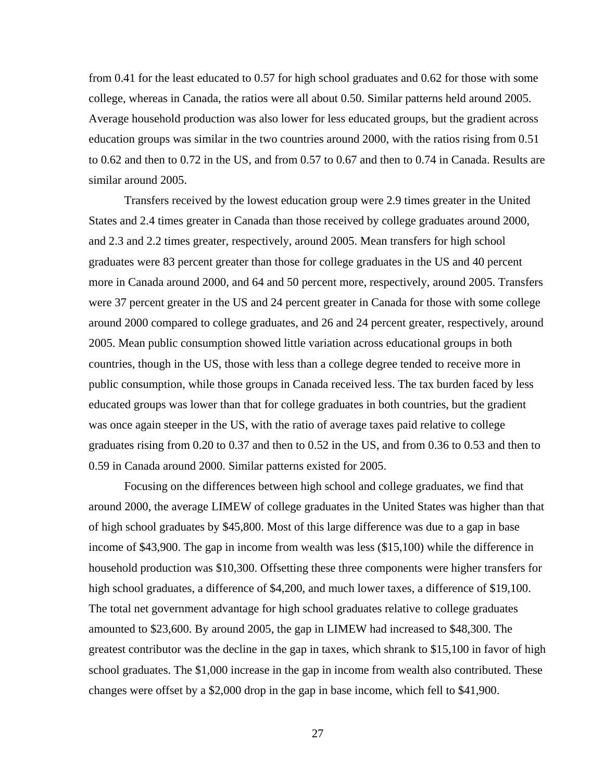from 0.41 for the least educated to 0.57 for high school graduates and 0.62 for those with some college, whereas in Canada, the ratios were all about 0.50. Similar patterns held around 2005. Average household production was also lower for less educated groups, but the gradient across education groups was similar in the two countries around 2000, with the ratios rising from 0.51 to 0.62 and then to 0.72 in the US, and from 0.57 to 0.67 and then to 0.74 in Canada. Results are similar around 2005.

Transfers received by the lowest education group were 2.9 times greater in the United States and 2.4 times greater in Canada than those received by college graduates around 2000, and 2.3 and 2.2 times greater, respectively, around 2005. Mean transfers for high school graduates were 83 percent greater than those for college graduates in the US and 40 percent more in Canada around 2000, and 64 and 50 percent more, respectively, around 2005. Transfers were 37 percent greater in the US and 24 percent greater in Canada for those with some college around 2000 compared to college graduates, and 26 and 24 percent greater, respectively, around 2005. Mean public consumption showed little variation across educational groups in both countries, though in the US, those with less than a college degree tended to receive more in public consumption, while those groups in Canada received less. The tax burden faced by less educated groups was lower than that for college graduates in both countries, but the gradient was once again steeper in the US, with the ratio of average taxes paid relative to college graduates rising from 0.20 to 0.37 and then to 0.52 in the US, and from 0.36 to 0.53 and then to 0.59 in Canada around 2000. Similar patterns existed for 2005.

Focusing on the differences between high school and college graduates, we find that around 2000, the average LIMEW of college graduates in the United States was higher than that of high school graduates by \$45,800. Most of this large difference was due to a gap in base income of \$43,900. The gap in income from wealth was less (\$15,100) while the difference in household production was \$10,300. Offsetting these three components were higher transfers for high school graduates, a difference of \$4,200, and much lower taxes, a difference of \$19,100. The total net government advantage for high school graduates relative to college graduates amounted to \$23,600. By around 2005, the gap in LIMEW had increased to \$48,300. The greatest contributor was the decline in the gap in taxes, which shrank to \$15,100 in favor of high school graduates. The \$1,000 increase in the gap in income from wealth also contributed. These changes were offset by a \$2,000 drop in the gap in base income, which fell to \$41,900.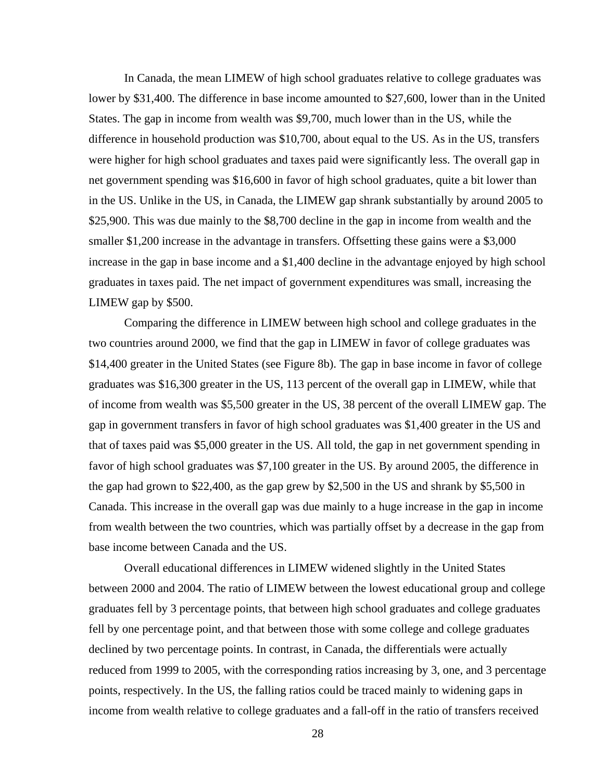In Canada, the mean LIMEW of high school graduates relative to college graduates was lower by \$31,400. The difference in base income amounted to \$27,600, lower than in the United States. The gap in income from wealth was \$9,700, much lower than in the US, while the difference in household production was \$10,700, about equal to the US. As in the US, transfers were higher for high school graduates and taxes paid were significantly less. The overall gap in net government spending was \$16,600 in favor of high school graduates, quite a bit lower than in the US. Unlike in the US, in Canada, the LIMEW gap shrank substantially by around 2005 to \$25,900. This was due mainly to the \$8,700 decline in the gap in income from wealth and the smaller \$1,200 increase in the advantage in transfers. Offsetting these gains were a \$3,000 increase in the gap in base income and a \$1,400 decline in the advantage enjoyed by high school graduates in taxes paid. The net impact of government expenditures was small, increasing the LIMEW gap by \$500.

Comparing the difference in LIMEW between high school and college graduates in the two countries around 2000, we find that the gap in LIMEW in favor of college graduates was \$14,400 greater in the United States (see Figure 8b). The gap in base income in favor of college graduates was \$16,300 greater in the US, 113 percent of the overall gap in LIMEW, while that of income from wealth was \$5,500 greater in the US, 38 percent of the overall LIMEW gap. The gap in government transfers in favor of high school graduates was \$1,400 greater in the US and that of taxes paid was \$5,000 greater in the US. All told, the gap in net government spending in favor of high school graduates was \$7,100 greater in the US. By around 2005, the difference in the gap had grown to \$22,400, as the gap grew by \$2,500 in the US and shrank by \$5,500 in Canada. This increase in the overall gap was due mainly to a huge increase in the gap in income from wealth between the two countries, which was partially offset by a decrease in the gap from base income between Canada and the US.

Overall educational differences in LIMEW widened slightly in the United States between 2000 and 2004. The ratio of LIMEW between the lowest educational group and college graduates fell by 3 percentage points, that between high school graduates and college graduates fell by one percentage point, and that between those with some college and college graduates declined by two percentage points. In contrast, in Canada, the differentials were actually reduced from 1999 to 2005, with the corresponding ratios increasing by 3, one, and 3 percentage points, respectively. In the US, the falling ratios could be traced mainly to widening gaps in income from wealth relative to college graduates and a fall-off in the ratio of transfers received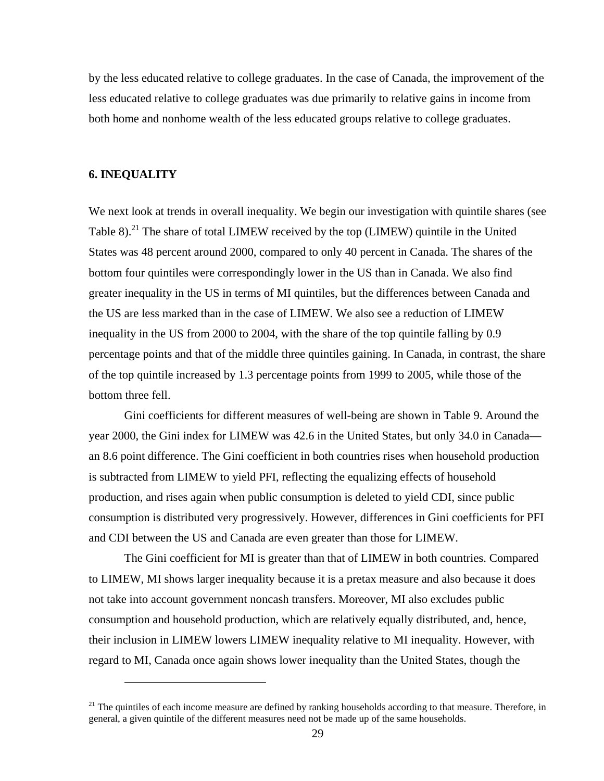by the less educated relative to college graduates. In the case of Canada, the improvement of the less educated relative to college graduates was due primarily to relative gains in income from both home and nonhome wealth of the less educated groups relative to college graduates.

## **6. INEQUALITY**

 $\overline{a}$ 

We next look at trends in overall inequality. We begin our investigation with quintile shares (see Table 8).<sup>21</sup> The share of total LIMEW received by the top (LIMEW) quintile in the United States was 48 percent around 2000, compared to only 40 percent in Canada. The shares of the bottom four quintiles were correspondingly lower in the US than in Canada. We also find greater inequality in the US in terms of MI quintiles, but the differences between Canada and the US are less marked than in the case of LIMEW. We also see a reduction of LIMEW inequality in the US from 2000 to 2004, with the share of the top quintile falling by 0.9 percentage points and that of the middle three quintiles gaining. In Canada, in contrast, the share of the top quintile increased by 1.3 percentage points from 1999 to 2005, while those of the bottom three fell.

Gini coefficients for different measures of well-being are shown in Table 9. Around the year 2000, the Gini index for LIMEW was 42.6 in the United States, but only 34.0 in Canada an 8.6 point difference. The Gini coefficient in both countries rises when household production is subtracted from LIMEW to yield PFI, reflecting the equalizing effects of household production, and rises again when public consumption is deleted to yield CDI, since public consumption is distributed very progressively. However, differences in Gini coefficients for PFI and CDI between the US and Canada are even greater than those for LIMEW.

The Gini coefficient for MI is greater than that of LIMEW in both countries. Compared to LIMEW, MI shows larger inequality because it is a pretax measure and also because it does not take into account government noncash transfers. Moreover, MI also excludes public consumption and household production, which are relatively equally distributed, and, hence, their inclusion in LIMEW lowers LIMEW inequality relative to MI inequality. However, with regard to MI, Canada once again shows lower inequality than the United States, though the

 $21$  The quintiles of each income measure are defined by ranking households according to that measure. Therefore, in general, a given quintile of the different measures need not be made up of the same households.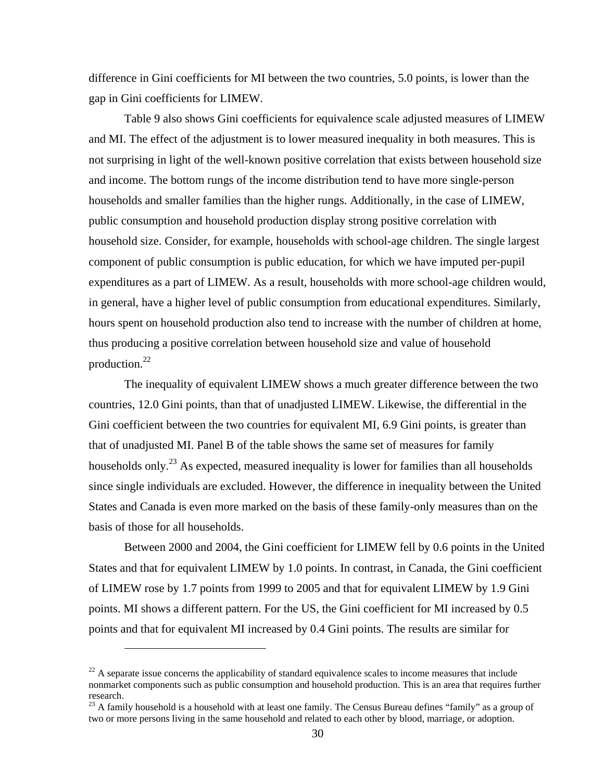difference in Gini coefficients for MI between the two countries, 5.0 points, is lower than the gap in Gini coefficients for LIMEW.

Table 9 also shows Gini coefficients for equivalence scale adjusted measures of LIMEW and MI. The effect of the adjustment is to lower measured inequality in both measures. This is not surprising in light of the well-known positive correlation that exists between household size and income. The bottom rungs of the income distribution tend to have more single-person households and smaller families than the higher rungs. Additionally, in the case of LIMEW, public consumption and household production display strong positive correlation with household size. Consider, for example, households with school-age children. The single largest component of public consumption is public education, for which we have imputed per-pupil expenditures as a part of LIMEW. As a result, households with more school-age children would, in general, have a higher level of public consumption from educational expenditures. Similarly, hours spent on household production also tend to increase with the number of children at home, thus producing a positive correlation between household size and value of household production. $^{22}$ 

The inequality of equivalent LIMEW shows a much greater difference between the two countries, 12.0 Gini points, than that of unadjusted LIMEW. Likewise, the differential in the Gini coefficient between the two countries for equivalent MI, 6.9 Gini points, is greater than that of unadjusted MI. Panel B of the table shows the same set of measures for family households only.<sup>23</sup> As expected, measured inequality is lower for families than all households since single individuals are excluded. However, the difference in inequality between the United States and Canada is even more marked on the basis of these family-only measures than on the basis of those for all households.

Between 2000 and 2004, the Gini coefficient for LIMEW fell by 0.6 points in the United States and that for equivalent LIMEW by 1.0 points. In contrast, in Canada, the Gini coefficient of LIMEW rose by 1.7 points from 1999 to 2005 and that for equivalent LIMEW by 1.9 Gini points. MI shows a different pattern. For the US, the Gini coefficient for MI increased by 0.5 points and that for equivalent MI increased by 0.4 Gini points. The results are similar for

<u>.</u>

 $^{22}$  A separate issue concerns the applicability of standard equivalence scales to income measures that include nonmarket components such as public consumption and household production. This is an area that requires further research.

 $^{23}$  A family household is a household with at least one family. The Census Bureau defines "family" as a group of two or more persons living in the same household and related to each other by blood, marriage, or adoption.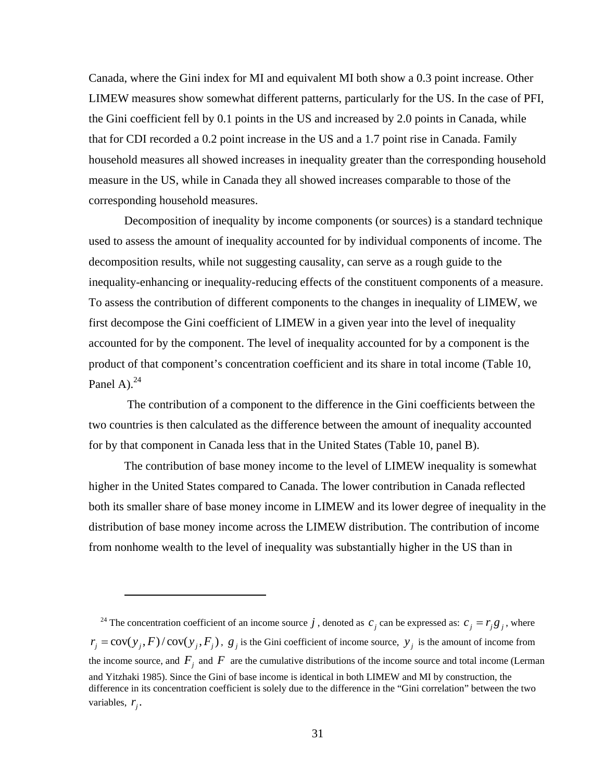Canada, where the Gini index for MI and equivalent MI both show a 0.3 point increase. Other LIMEW measures show somewhat different patterns, particularly for the US. In the case of PFI, the Gini coefficient fell by 0.1 points in the US and increased by 2.0 points in Canada, while that for CDI recorded a 0.2 point increase in the US and a 1.7 point rise in Canada. Family household measures all showed increases in inequality greater than the corresponding household measure in the US, while in Canada they all showed increases comparable to those of the corresponding household measures.

Decomposition of inequality by income components (or sources) is a standard technique used to assess the amount of inequality accounted for by individual components of income. The decomposition results, while not suggesting causality, can serve as a rough guide to the inequality-enhancing or inequality-reducing effects of the constituent components of a measure. To assess the contribution of different components to the changes in inequality of LIMEW, we first decompose the Gini coefficient of LIMEW in a given year into the level of inequality accounted for by the component. The level of inequality accounted for by a component is the product of that component's concentration coefficient and its share in total income (Table 10, Panel A). $^{24}$ 

 The contribution of a component to the difference in the Gini coefficients between the two countries is then calculated as the difference between the amount of inequality accounted for by that component in Canada less that in the United States (Table 10, panel B).

The contribution of base money income to the level of LIMEW inequality is somewhat higher in the United States compared to Canada. The lower contribution in Canada reflected both its smaller share of base money income in LIMEW and its lower degree of inequality in the distribution of base money income across the LIMEW distribution. The contribution of income from nonhome wealth to the level of inequality was substantially higher in the US than in

<u>.</u>

<sup>&</sup>lt;sup>24</sup> The concentration coefficient of an income source *j*, denoted as *c*<sub>*i*</sub> can be expressed as: *c*<sub>*i*</sub> =  $r$ <sub>*i*</sub>g<sub>*i*</sub>, where  $r_j = \text{cov}(y_j, F) / \text{cov}(y_j, F_j)$ ,  $g_j$  is the Gini coefficient of income source,  $y_j$  is the amount of income from the income source, and  $F_j$  and  $F_j$  are the cumulative distributions of the income source and total income (Lerman and Yitzhaki 1985). Since the Gini of base income is identical in both LIMEW and MI by construction, the difference in its concentration coefficient is solely due to the difference in the "Gini correlation" between the two variables,  $r_j$ .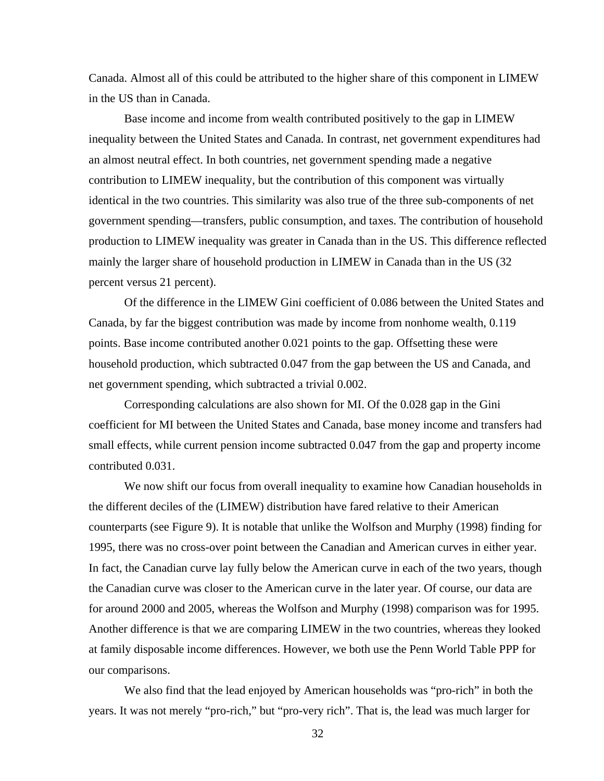Canada. Almost all of this could be attributed to the higher share of this component in LIMEW in the US than in Canada.

Base income and income from wealth contributed positively to the gap in LIMEW inequality between the United States and Canada. In contrast, net government expenditures had an almost neutral effect. In both countries, net government spending made a negative contribution to LIMEW inequality, but the contribution of this component was virtually identical in the two countries. This similarity was also true of the three sub-components of net government spending—transfers, public consumption, and taxes. The contribution of household production to LIMEW inequality was greater in Canada than in the US. This difference reflected mainly the larger share of household production in LIMEW in Canada than in the US (32 percent versus 21 percent).

Of the difference in the LIMEW Gini coefficient of 0.086 between the United States and Canada, by far the biggest contribution was made by income from nonhome wealth, 0.119 points. Base income contributed another 0.021 points to the gap. Offsetting these were household production, which subtracted 0.047 from the gap between the US and Canada, and net government spending, which subtracted a trivial 0.002.

Corresponding calculations are also shown for MI. Of the 0.028 gap in the Gini coefficient for MI between the United States and Canada, base money income and transfers had small effects, while current pension income subtracted 0.047 from the gap and property income contributed 0.031.

We now shift our focus from overall inequality to examine how Canadian households in the different deciles of the (LIMEW) distribution have fared relative to their American counterparts (see Figure 9). It is notable that unlike the Wolfson and Murphy (1998) finding for 1995, there was no cross-over point between the Canadian and American curves in either year. In fact, the Canadian curve lay fully below the American curve in each of the two years, though the Canadian curve was closer to the American curve in the later year. Of course, our data are for around 2000 and 2005, whereas the Wolfson and Murphy (1998) comparison was for 1995. Another difference is that we are comparing LIMEW in the two countries, whereas they looked at family disposable income differences. However, we both use the Penn World Table PPP for our comparisons.

We also find that the lead enjoyed by American households was "pro-rich" in both the years. It was not merely "pro-rich," but "pro-very rich". That is, the lead was much larger for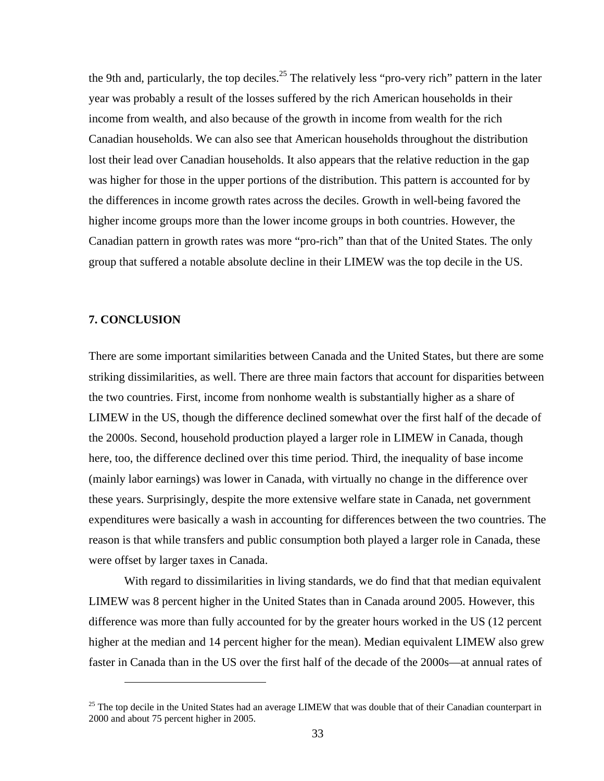the 9th and, particularly, the top deciles.<sup>25</sup> The relatively less "pro-very rich" pattern in the later year was probably a result of the losses suffered by the rich American households in their income from wealth, and also because of the growth in income from wealth for the rich Canadian households. We can also see that American households throughout the distribution lost their lead over Canadian households. It also appears that the relative reduction in the gap was higher for those in the upper portions of the distribution. This pattern is accounted for by the differences in income growth rates across the deciles. Growth in well-being favored the higher income groups more than the lower income groups in both countries. However, the Canadian pattern in growth rates was more "pro-rich" than that of the United States. The only group that suffered a notable absolute decline in their LIMEW was the top decile in the US.

## **7. CONCLUSION**

 $\overline{a}$ 

There are some important similarities between Canada and the United States, but there are some striking dissimilarities, as well. There are three main factors that account for disparities between the two countries. First, income from nonhome wealth is substantially higher as a share of LIMEW in the US, though the difference declined somewhat over the first half of the decade of the 2000s. Second, household production played a larger role in LIMEW in Canada, though here, too, the difference declined over this time period. Third, the inequality of base income (mainly labor earnings) was lower in Canada, with virtually no change in the difference over these years. Surprisingly, despite the more extensive welfare state in Canada, net government expenditures were basically a wash in accounting for differences between the two countries. The reason is that while transfers and public consumption both played a larger role in Canada, these were offset by larger taxes in Canada.

With regard to dissimilarities in living standards, we do find that that median equivalent LIMEW was 8 percent higher in the United States than in Canada around 2005. However, this difference was more than fully accounted for by the greater hours worked in the US (12 percent higher at the median and 14 percent higher for the mean). Median equivalent LIMEW also grew faster in Canada than in the US over the first half of the decade of the 2000s—at annual rates of

 $^{25}$  The top decile in the United States had an average LIMEW that was double that of their Canadian counterpart in 2000 and about 75 percent higher in 2005.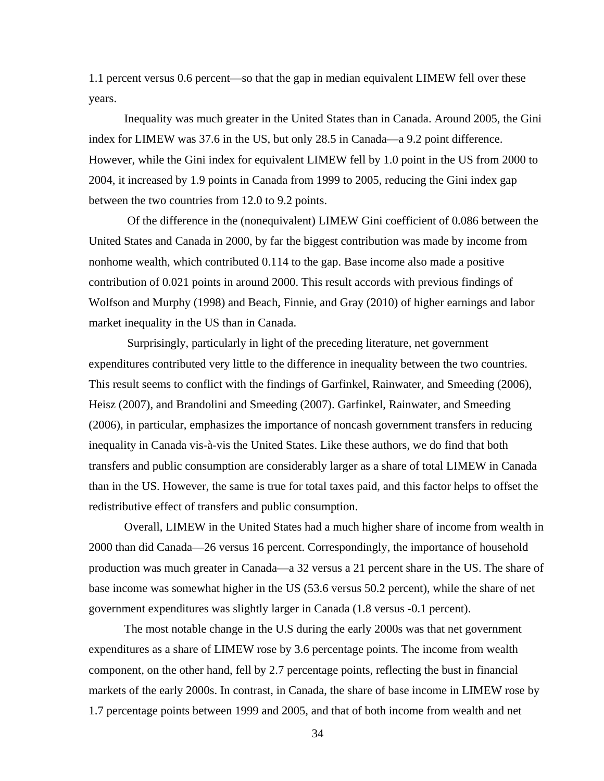1.1 percent versus 0.6 percent—so that the gap in median equivalent LIMEW fell over these years.

Inequality was much greater in the United States than in Canada. Around 2005, the Gini index for LIMEW was 37.6 in the US, but only 28.5 in Canada—a 9.2 point difference. However, while the Gini index for equivalent LIMEW fell by 1.0 point in the US from 2000 to 2004, it increased by 1.9 points in Canada from 1999 to 2005, reducing the Gini index gap between the two countries from 12.0 to 9.2 points.

 Of the difference in the (nonequivalent) LIMEW Gini coefficient of 0.086 between the United States and Canada in 2000, by far the biggest contribution was made by income from nonhome wealth, which contributed 0.114 to the gap. Base income also made a positive contribution of 0.021 points in around 2000. This result accords with previous findings of Wolfson and Murphy (1998) and Beach, Finnie, and Gray (2010) of higher earnings and labor market inequality in the US than in Canada.

 Surprisingly, particularly in light of the preceding literature, net government expenditures contributed very little to the difference in inequality between the two countries. This result seems to conflict with the findings of Garfinkel, Rainwater, and Smeeding (2006), Heisz (2007), and Brandolini and Smeeding (2007). Garfinkel, Rainwater, and Smeeding (2006), in particular, emphasizes the importance of noncash government transfers in reducing inequality in Canada vis-à-vis the United States. Like these authors, we do find that both transfers and public consumption are considerably larger as a share of total LIMEW in Canada than in the US. However, the same is true for total taxes paid, and this factor helps to offset the redistributive effect of transfers and public consumption.

Overall, LIMEW in the United States had a much higher share of income from wealth in 2000 than did Canada—26 versus 16 percent. Correspondingly, the importance of household production was much greater in Canada—a 32 versus a 21 percent share in the US. The share of base income was somewhat higher in the US (53.6 versus 50.2 percent), while the share of net government expenditures was slightly larger in Canada (1.8 versus -0.1 percent).

The most notable change in the U.S during the early 2000s was that net government expenditures as a share of LIMEW rose by 3.6 percentage points. The income from wealth component, on the other hand, fell by 2.7 percentage points, reflecting the bust in financial markets of the early 2000s. In contrast, in Canada, the share of base income in LIMEW rose by 1.7 percentage points between 1999 and 2005, and that of both income from wealth and net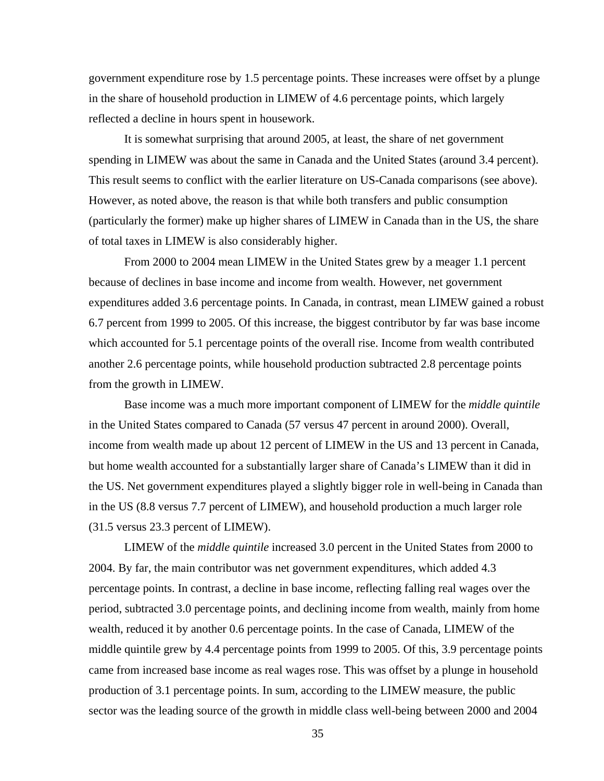government expenditure rose by 1.5 percentage points. These increases were offset by a plunge in the share of household production in LIMEW of 4.6 percentage points, which largely reflected a decline in hours spent in housework.

It is somewhat surprising that around 2005, at least, the share of net government spending in LIMEW was about the same in Canada and the United States (around 3.4 percent). This result seems to conflict with the earlier literature on US-Canada comparisons (see above). However, as noted above, the reason is that while both transfers and public consumption (particularly the former) make up higher shares of LIMEW in Canada than in the US, the share of total taxes in LIMEW is also considerably higher.

From 2000 to 2004 mean LIMEW in the United States grew by a meager 1.1 percent because of declines in base income and income from wealth. However, net government expenditures added 3.6 percentage points. In Canada, in contrast, mean LIMEW gained a robust 6.7 percent from 1999 to 2005. Of this increase, the biggest contributor by far was base income which accounted for 5.1 percentage points of the overall rise. Income from wealth contributed another 2.6 percentage points, while household production subtracted 2.8 percentage points from the growth in LIMEW.

Base income was a much more important component of LIMEW for the *middle quintile*  in the United States compared to Canada (57 versus 47 percent in around 2000). Overall, income from wealth made up about 12 percent of LIMEW in the US and 13 percent in Canada, but home wealth accounted for a substantially larger share of Canada's LIMEW than it did in the US. Net government expenditures played a slightly bigger role in well-being in Canada than in the US (8.8 versus 7.7 percent of LIMEW), and household production a much larger role (31.5 versus 23.3 percent of LIMEW).

LIMEW of the *middle quintile* increased 3.0 percent in the United States from 2000 to 2004. By far, the main contributor was net government expenditures, which added 4.3 percentage points. In contrast, a decline in base income, reflecting falling real wages over the period, subtracted 3.0 percentage points, and declining income from wealth, mainly from home wealth, reduced it by another 0.6 percentage points. In the case of Canada, LIMEW of the middle quintile grew by 4.4 percentage points from 1999 to 2005. Of this, 3.9 percentage points came from increased base income as real wages rose. This was offset by a plunge in household production of 3.1 percentage points. In sum, according to the LIMEW measure, the public sector was the leading source of the growth in middle class well-being between 2000 and 2004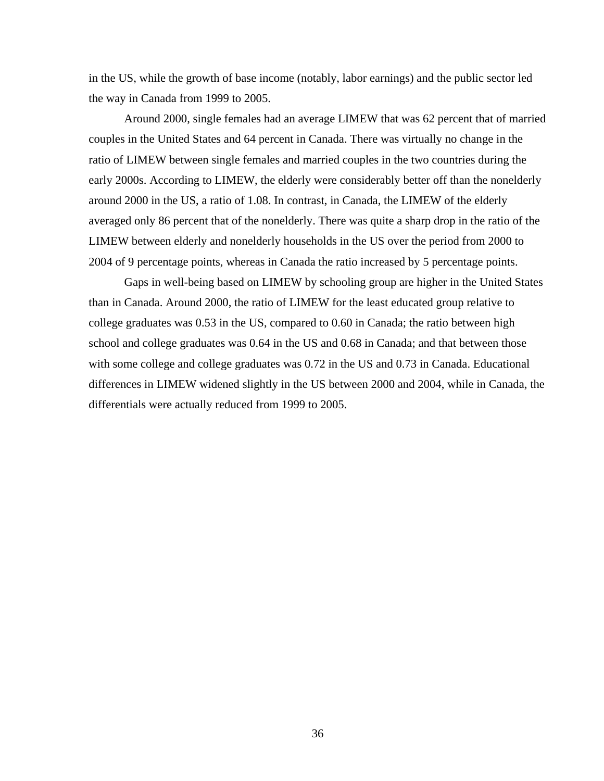in the US, while the growth of base income (notably, labor earnings) and the public sector led the way in Canada from 1999 to 2005.

Around 2000, single females had an average LIMEW that was 62 percent that of married couples in the United States and 64 percent in Canada. There was virtually no change in the ratio of LIMEW between single females and married couples in the two countries during the early 2000s. According to LIMEW, the elderly were considerably better off than the nonelderly around 2000 in the US, a ratio of 1.08. In contrast, in Canada, the LIMEW of the elderly averaged only 86 percent that of the nonelderly. There was quite a sharp drop in the ratio of the LIMEW between elderly and nonelderly households in the US over the period from 2000 to 2004 of 9 percentage points, whereas in Canada the ratio increased by 5 percentage points.

Gaps in well-being based on LIMEW by schooling group are higher in the United States than in Canada. Around 2000, the ratio of LIMEW for the least educated group relative to college graduates was 0.53 in the US, compared to 0.60 in Canada; the ratio between high school and college graduates was 0.64 in the US and 0.68 in Canada; and that between those with some college and college graduates was 0.72 in the US and 0.73 in Canada. Educational differences in LIMEW widened slightly in the US between 2000 and 2004, while in Canada, the differentials were actually reduced from 1999 to 2005.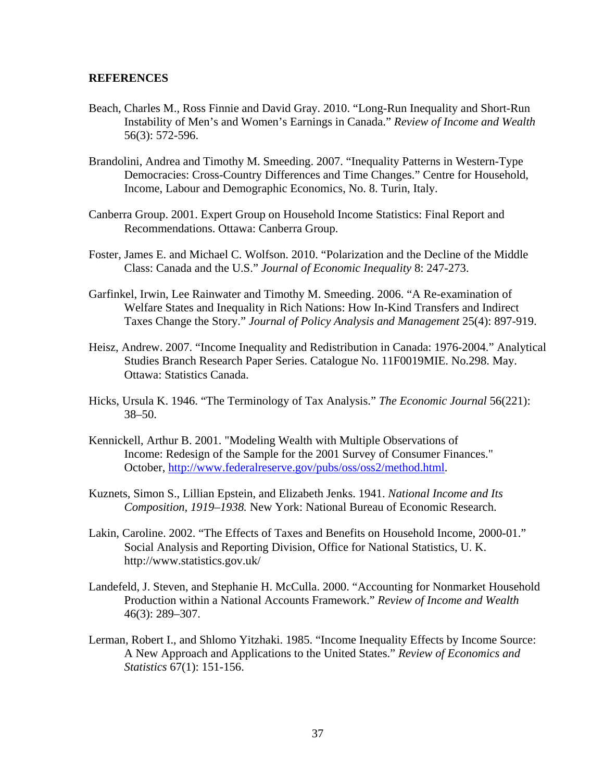## **REFERENCES**

- Beach, Charles M., Ross Finnie and David Gray. 2010. "Long-Run Inequality and Short-Run Instability of Men's and Women's Earnings in Canada." *Review of Income and Wealth* 56(3): 572-596.
- Brandolini, Andrea and Timothy M. Smeeding. 2007. "Inequality Patterns in Western-Type Democracies: Cross-Country Differences and Time Changes." Centre for Household, Income, Labour and Demographic Economics, No. 8. Turin, Italy.
- Canberra Group. 2001. Expert Group on Household Income Statistics: Final Report and Recommendations. Ottawa: Canberra Group.
- Foster, James E. and Michael C. Wolfson. 2010. "Polarization and the Decline of the Middle Class: Canada and the U.S." *Journal of Economic Inequality* 8: 247-273.
- Garfinkel, Irwin, Lee Rainwater and Timothy M. Smeeding. 2006. "A Re-examination of Welfare States and Inequality in Rich Nations: How In-Kind Transfers and Indirect Taxes Change the Story." *Journal of Policy Analysis and Management* 25(4): 897-919.
- Heisz, Andrew. 2007. "Income Inequality and Redistribution in Canada: 1976-2004." Analytical Studies Branch Research Paper Series. Catalogue No. 11F0019MIE. No.298. May. Ottawa: Statistics Canada.
- Hicks, Ursula K. 1946. "The Terminology of Tax Analysis." *The Economic Journal* 56(221): 38–50.
- Kennickell, Arthur B. 2001. "Modeling Wealth with Multiple Observations of Income: Redesign of the Sample for the 2001 Survey of Consumer Finances." October, http://www.federalreserve.gov/pubs/oss/oss2/method.html.
- Kuznets, Simon S., Lillian Epstein, and Elizabeth Jenks. 1941. *National Income and Its Composition, 1919–1938.* New York: National Bureau of Economic Research.
- Lakin, Caroline. 2002. "The Effects of Taxes and Benefits on Household Income, 2000-01." Social Analysis and Reporting Division, Office for National Statistics, U. K. http://www.statistics.gov.uk/
- Landefeld, J. Steven, and Stephanie H. McCulla. 2000. "Accounting for Nonmarket Household Production within a National Accounts Framework." *Review of Income and Wealth*  46(3): 289–307.
- Lerman, Robert I., and Shlomo Yitzhaki. 1985. "Income Inequality Effects by Income Source: A New Approach and Applications to the United States." *Review of Economics and Statistics* 67(1): 151-156.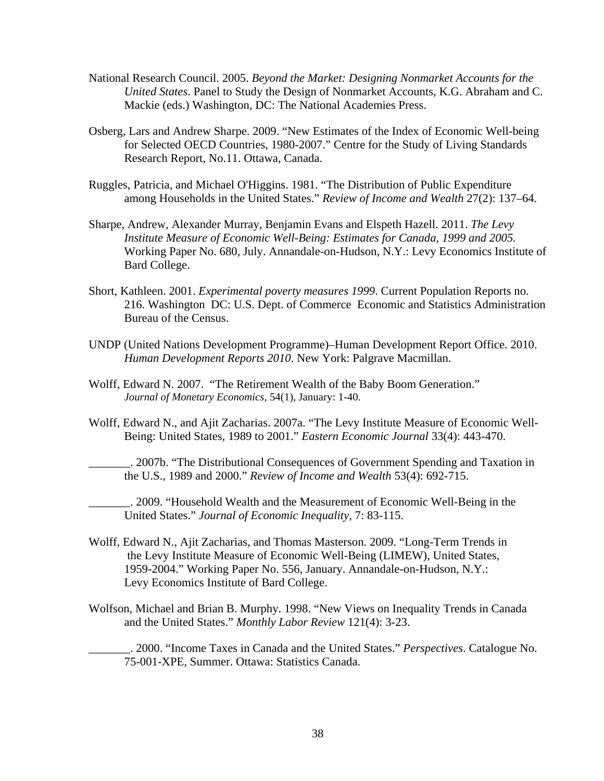- National Research Council. 2005. *Beyond the Market: Designing Nonmarket Accounts for the United States*. Panel to Study the Design of Nonmarket Accounts, K.G. Abraham and C. Mackie (eds.) Washington, DC: The National Academies Press.
- Osberg, Lars and Andrew Sharpe. 2009. "New Estimates of the Index of Economic Well-being for Selected OECD Countries, 1980-2007." Centre for the Study of Living Standards Research Report, No.11. Ottawa, Canada.
- Ruggles, Patricia, and Michael O'Higgins. 1981. "The Distribution of Public Expenditure among Households in the United States." *Review of Income and Wealth* 27(2): 137–64.
- Sharpe, Andrew, Alexander Murray, Benjamin Evans and Elspeth Hazell. 2011. *The Levy Institute Measure of Economic Well-Being: Estimates for Canada, 1999 and 2005.* Working Paper No. 680, July. Annandale-on-Hudson, N.Y.: Levy Economics Institute of Bard College.
- Short, Kathleen. 2001. *Experimental poverty measures 1999*. Current Population Reports no. 216. Washington DC: U.S. Dept. of Commerce Economic and Statistics Administration Bureau of the Census.
- UNDP (United Nations Development Programme)–Human Development Report Office. 2010. *Human Development Reports 2010*. New York: Palgrave Macmillan.
- Wolff, Edward N. 2007. "The Retirement Wealth of the Baby Boom Generation." *Journal of Monetary Economics,* 54(1), January: 1-40.
- Wolff, Edward N., and Ajit Zacharias. 2007a. "The Levy Institute Measure of Economic Well-Being: United States, 1989 to 2001." *Eastern Economic Journal* 33(4): 443-470.

\_\_\_\_\_\_\_. 2007b. "The Distributional Consequences of Government Spending and Taxation in the U.S., 1989 and 2000." *Review of Income and Wealth* 53(4): 692-715.

\_\_\_\_\_\_\_. 2009. "Household Wealth and the Measurement of Economic Well-Being in the United States." *Journal of Economic Inequality,* 7: 83-115.

- Wolff, Edward N., Ajit Zacharias, and Thomas Masterson. 2009. "Long-Term Trends in the Levy Institute Measure of Economic Well-Being (LIMEW), United States, 1959-2004." Working Paper No. 556, January. Annandale-on-Hudson, N.Y.: Levy Economics Institute of Bard College.
- Wolfson, Michael and Brian B. Murphy. 1998. "New Views on Inequality Trends in Canada and the United States." *Monthly Labor Review* 121(4): 3-23.

\_\_\_\_\_\_\_. 2000. "Income Taxes in Canada and the United States." *Perspectives*. Catalogue No. 75-001-XPE, Summer. Ottawa: Statistics Canada.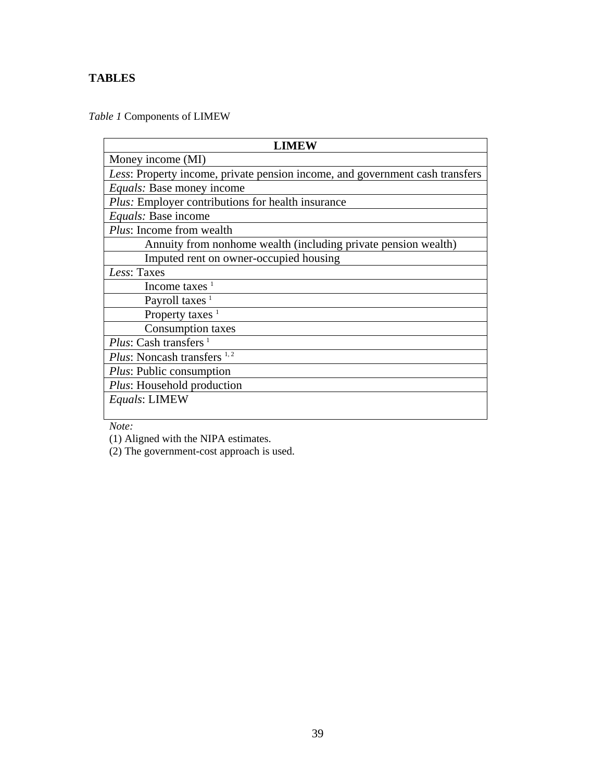## **TABLES**

*Table 1* Components of LIMEW

| <b>LIMEW</b>                                                                 |
|------------------------------------------------------------------------------|
| Money income (MI)                                                            |
| Less: Property income, private pension income, and government cash transfers |
| <i>Equals:</i> Base money income                                             |
| <i>Plus:</i> Employer contributions for health insurance                     |
| Equals: Base income                                                          |
| Plus: Income from wealth                                                     |
| Annuity from nonhome wealth (including private pension wealth)               |
| Imputed rent on owner-occupied housing                                       |
| Less: Taxes                                                                  |
| Income taxes $1$                                                             |
| Payroll taxes $1$                                                            |
| Property taxes $1$                                                           |
| <b>Consumption taxes</b>                                                     |
| <i>Plus:</i> Cash transfers $^1$                                             |
| Plus: Noncash transfers <sup>1,2</sup>                                       |
| Plus: Public consumption                                                     |
| Plus: Household production                                                   |
| Equals: LIMEW                                                                |
|                                                                              |

*Note:* 

(1) Aligned with the NIPA estimates.

(2) The government-cost approach is used.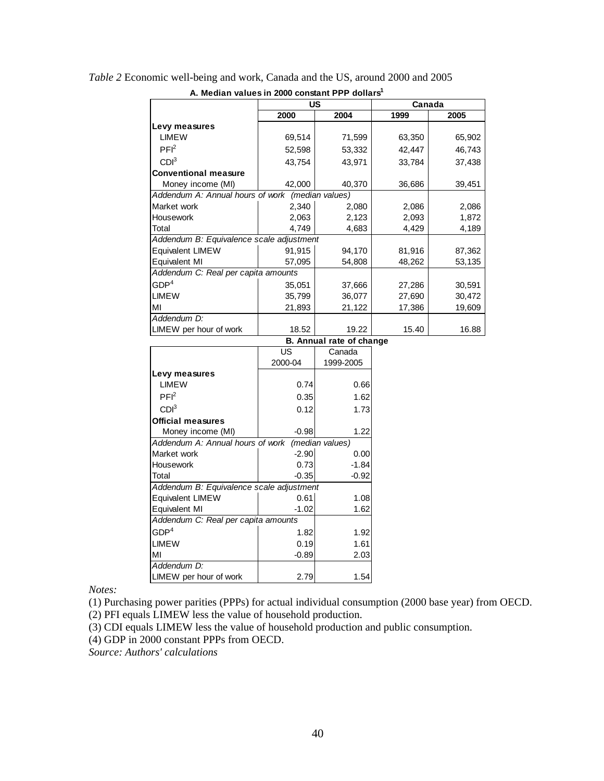|                                                  | US      |                          | Canada |        |
|--------------------------------------------------|---------|--------------------------|--------|--------|
|                                                  | 2000    | 2004                     | 1999   | 2005   |
| Levy measures                                    |         |                          |        |        |
| <b>LIMEW</b>                                     | 69,514  | 71,599                   | 63,350 | 65,902 |
| PFI <sup>2</sup>                                 | 52,598  | 53,332                   | 42,447 | 46,743 |
| CDI <sup>3</sup>                                 | 43,754  | 43,971                   | 33,784 | 37,438 |
| <b>Conventional measure</b>                      |         |                          |        |        |
| Money income (MI)                                | 42,000  | 40,370                   | 36,686 | 39,451 |
| Addendum A: Annual hours of work (median values) |         |                          |        |        |
| Market work                                      | 2,340   | 2,080                    | 2,086  | 2,086  |
| <b>Housework</b>                                 | 2,063   | 2,123                    | 2,093  | 1,872  |
| Total                                            | 4,749   | 4,683                    | 4,429  | 4,189  |
| Addendum B: Equivalence scale adjustment         |         |                          |        |        |
| <b>Equivalent LIMEW</b>                          | 91,915  | 94,170                   | 81,916 | 87,362 |
| Equivalent MI                                    | 57,095  | 54,808                   | 48,262 | 53,135 |
| Addendum C: Real per capita amounts              |         |                          |        |        |
| GDP <sup>4</sup>                                 | 35,051  | 37,666                   | 27,286 | 30,591 |
| <b>LIMEW</b>                                     | 35,799  | 36,077                   | 27,690 | 30,472 |
| MI                                               | 21,893  | 21,122                   | 17,386 | 19,609 |
| Addendum D:                                      |         |                          |        |        |
| LIMEW per hour of work                           | 18.52   | 19.22                    | 15.40  | 16.88  |
|                                                  |         | B. Annual rate of change |        |        |
|                                                  | US      | Canada                   |        |        |
|                                                  | 2000-04 | 1999-2005                |        |        |
| Levy measures                                    |         |                          |        |        |
| <b>LIMEW</b>                                     | 0.74    | 0.66                     |        |        |
| PFI <sup>2</sup>                                 | 0.35    | 1.62                     |        |        |
| CDI <sup>3</sup>                                 | 0.12    | 1.73                     |        |        |
| <b>Official measures</b>                         |         |                          |        |        |
| Money income (MI)                                | $-0.98$ | 1.22                     |        |        |
| Addendum A: Annual hours of work (median values) |         |                          |        |        |
| Market work                                      | $-2.90$ | 0.00                     |        |        |
| Housework                                        | 0.73    | $-1.84$                  |        |        |
| Total                                            | $-0.35$ | $-0.92$                  |        |        |
| Addendum B: Equivalence scale adjustment         |         |                          |        |        |
| <b>Equivalent LIMEW</b>                          | 0.61    | 1.08                     |        |        |
| Equivalent MI                                    | $-1.02$ | 1.62                     |        |        |
| Addendum C: Real per capita amounts              |         |                          |        |        |
| GDP <sup>4</sup>                                 | 1.82    | 1.92                     |        |        |
| <b>LIMEW</b>                                     | 0.19    | 1.61                     |        |        |
| MI                                               | $-0.89$ | 2.03                     |        |        |
| Addendum D:                                      |         |                          |        |        |
| LIMEW per hour of work                           | 2.79    | 1.54                     |        |        |

*Table 2* Economic well-being and work, Canada and the US, around 2000 and 2005

*Notes:* 

(1) Purchasing power parities (PPPs) for actual individual consumption (2000 base year) from OECD. (2) PFI equals LIMEW less the value of household production.

(3) CDI equals LIMEW less the value of household production and public consumption.

(4) GDP in 2000 constant PPPs from OECD.

*Source: Authors' calculations*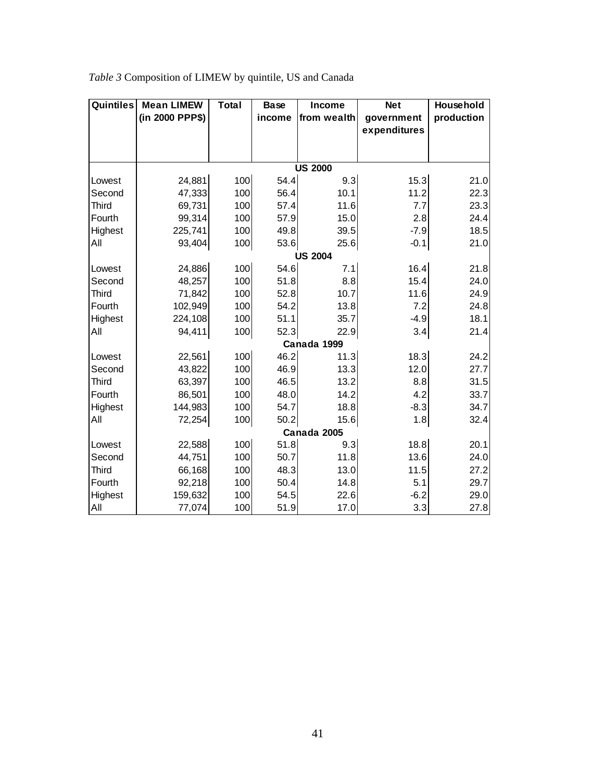| <b>Quintiles</b> | <b>Mean LIMEW</b> | <b>Total</b> | <b>Base</b> | Income         | <b>Net</b>   | Household  |  |  |
|------------------|-------------------|--------------|-------------|----------------|--------------|------------|--|--|
|                  | (in 2000 PPP\$)   |              | income      | from wealth    | government   | production |  |  |
|                  |                   |              |             |                | expenditures |            |  |  |
|                  |                   |              |             |                |              |            |  |  |
|                  |                   |              |             |                |              |            |  |  |
|                  | <b>US 2000</b>    |              |             |                |              |            |  |  |
| Lowest           | 24,881            | 100          | 54.4        | 9.3            | 15.3         | 21.0       |  |  |
| Second           | 47,333            | 100          | 56.4        | 10.1           | 11.2         | 22.3       |  |  |
| Third            | 69,731            | 100          | 57.4        | 11.6           | 7.7          | 23.3       |  |  |
| Fourth           | 99,314            | 100          | 57.9        | 15.0           | 2.8          | 24.4       |  |  |
| Highest          | 225,741           | 100          | 49.8        | 39.5           | $-7.9$       | 18.5       |  |  |
| All              | 93,404            | 100          | 53.6        | 25.6           | $-0.1$       | 21.0       |  |  |
|                  |                   |              |             | <b>US 2004</b> |              |            |  |  |
| Lowest           | 24,886            | 100          | 54.6        | 7.1            | 16.4         | 21.8       |  |  |
| Second           | 48,257            | 100          | 51.8        | 8.8            | 15.4         | 24.0       |  |  |
| Third            | 71,842            | 100          | 52.8        | 10.7           | 11.6         | 24.9       |  |  |
| Fourth           | 102,949           | 100          | 54.2        | 13.8           | 7.2          | 24.8       |  |  |
| Highest          | 224,108           | 100          | 51.1        | 35.7           | $-4.9$       | 18.1       |  |  |
| All              | 94,411            | 100          | 52.3        | 22.9           | 3.4          | 21.4       |  |  |
|                  |                   |              |             | Canada 1999    |              |            |  |  |
| Lowest           | 22,561            | 100          | 46.2        | 11.3           | 18.3         | 24.2       |  |  |
| Second           | 43,822            | 100          | 46.9        | 13.3           | 12.0         | 27.7       |  |  |
| Third            | 63,397            | 100          | 46.5        | 13.2           | 8.8          | 31.5       |  |  |
| Fourth           | 86,501            | 100          | 48.0        | 14.2           | 4.2          | 33.7       |  |  |
| Highest          | 144,983           | 100          | 54.7        | 18.8           | $-8.3$       | 34.7       |  |  |
| All              | 72,254            | 100          | 50.2        | 15.6           | 1.8          | 32.4       |  |  |
|                  |                   |              |             | Canada 2005    |              |            |  |  |
| Lowest           | 22,588            | 100          | 51.8        | 9.3            | 18.8         | 20.1       |  |  |
| Second           | 44,751            | 100          | 50.7        | 11.8           | 13.6         | 24.0       |  |  |
| Third            | 66,168            | 100          | 48.3        | 13.0           | 11.5         | 27.2       |  |  |
| Fourth           | 92,218            | 100          | 50.4        | 14.8           | 5.1          | 29.7       |  |  |
| Highest          | 159,632           | 100          | 54.5        | 22.6           | $-6.2$       | 29.0       |  |  |
| All              | 77,074            | 100          | 51.9        | 17.0           | 3.3          | 27.8       |  |  |

*Table 3* Composition of LIMEW by quintile, US and Canada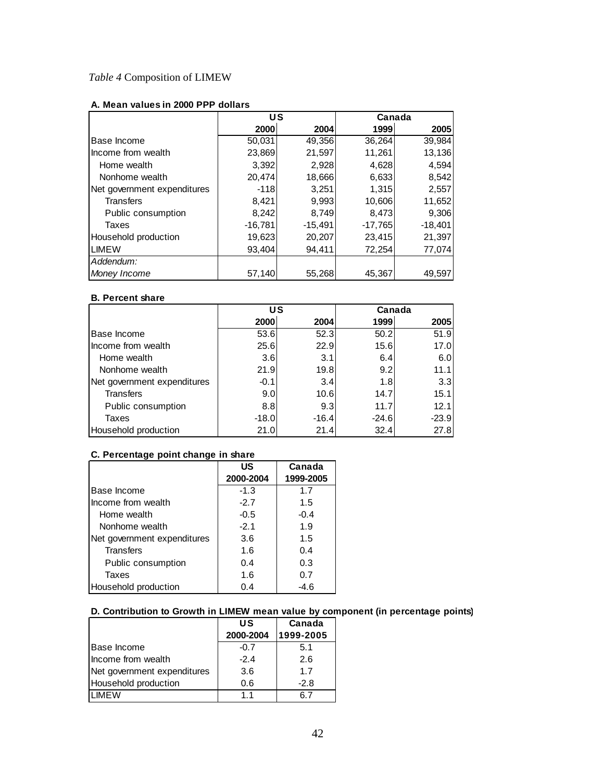## *Table 4* Composition of LIMEW

## **A. Mean values in 2000 PPP dollars**

|                             | บร        |           | Canada    |           |
|-----------------------------|-----------|-----------|-----------|-----------|
|                             | 2000      | 2004      | 1999      | 2005      |
| Base Income                 | 50,031    | 49,356    | 36,264    | 39,984    |
| Income from wealth          | 23,869    | 21,597    | 11,261    | 13,136    |
| Home wealth                 | 3,392     | 2,928     | 4,628     | 4,594     |
| Nonhome wealth              | 20,474    | 18,666    | 6,633     | 8,542     |
| Net government expenditures | $-118$    | 3,251     | 1,315     | 2,557     |
| <b>Transfers</b>            | 8,421     | 9,993     | 10,606    | 11,652    |
| Public consumption          | 8,242     | 8,749     | 8,473     | 9,306     |
| Taxes                       | $-16,781$ | $-15,491$ | $-17,765$ | $-18,401$ |
| Household production        | 19,623    | 20,207    | 23,415    | 21,397    |
| <b>LIMEW</b>                | 93,404    | 94.411    | 72,254    | 77,074    |
| Addendum:                   |           |           |           |           |
| Money Income                | 57,140    | 55,268    | 45,367    | 49,597    |

#### **B. Percent share**

|                             | บร      |         | Canada  |         |
|-----------------------------|---------|---------|---------|---------|
|                             | 2000    | 2004    | 1999    | 2005    |
| Base Income                 | 53.6    | 52.3    | 50.2    | 51.9    |
| Income from wealth          | 25.6    | 22.9    | 15.6    | 17.0    |
| Home wealth                 | 3.6     | 3.1     | 6.4     | 6.0     |
| Nonhome wealth              | 21.9    | 19.8    | 9.2     | 11.1    |
| Net government expenditures | $-0.1$  | 3.4     | 1.8     | 3.3     |
| Transfers                   | 9.0     | 10.6    | 14.7    | 15.1    |
| Public consumption          | 8.8     | 9.3     | 11.7    | 12.1    |
| Taxes                       | $-18.0$ | $-16.4$ | $-24.6$ | $-23.9$ |
| Household production        | 21.0    | 21.4    | 32.4    | 27.8    |

## **C. Percentage point change in share**

|                             | US        | Canada    |
|-----------------------------|-----------|-----------|
|                             | 2000-2004 | 1999-2005 |
| Base Income                 | $-1.3$    | 1.7       |
| Income from wealth          | $-2.7$    | 1.5       |
| Home wealth                 | $-0.5$    | $-0.4$    |
| Nonhome wealth              | $-2.1$    | 1.9       |
| Net government expenditures | 3.6       | 1.5       |
| <b>Transfers</b>            | 1.6       | 0.4       |
| Public consumption          | 0.4       | 0.3       |
| Taxes                       | 1.6       | 0.7       |
| Household production        | 0.4       | -4.6      |

## **D. Contribution to Growth in LIMEW mean value by component (in percentage points)**

|                             | US        | Canada    |
|-----------------------------|-----------|-----------|
|                             | 2000-2004 | 1999-2005 |
| Base Income                 | $-0.7$    | 5.1       |
| Income from wealth          | $-2.4$    | 2.6       |
| Net government expenditures | 3.6       | 1.7       |
| Household production        | 0.6       | $-2.8$    |
| II IMFW                     | 11        | հ 7       |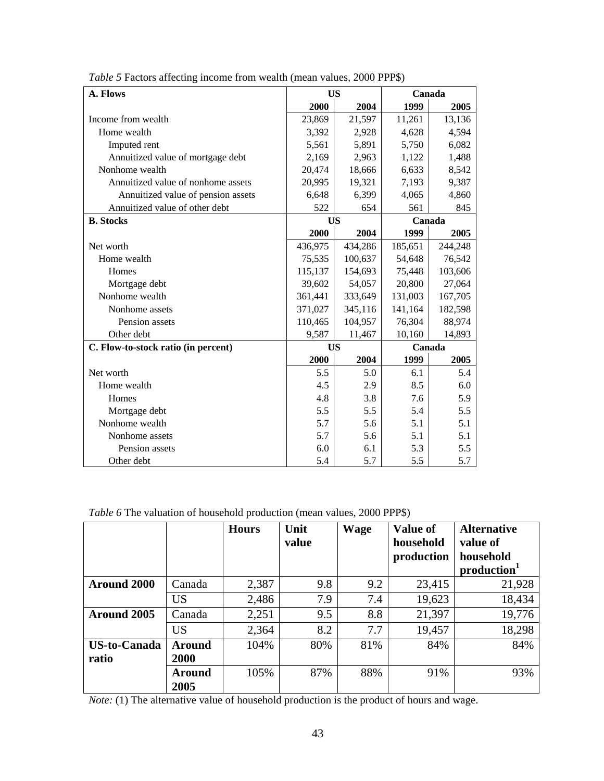| A. Flows                            | <b>US</b> |           | Canada  |         |
|-------------------------------------|-----------|-----------|---------|---------|
|                                     | 2000      | 2004      | 1999    | 2005    |
| Income from wealth                  | 23,869    | 21,597    | 11,261  | 13,136  |
| Home wealth                         | 3,392     | 2,928     | 4,628   | 4,594   |
| Imputed rent                        | 5,561     | 5,891     | 5,750   | 6,082   |
| Annuitized value of mortgage debt   | 2,169     | 2,963     | 1,122   | 1,488   |
| Nonhome wealth                      | 20,474    | 18,666    | 6,633   | 8,542   |
| Annuitized value of nonhome assets  | 20,995    | 19,321    | 7,193   | 9,387   |
| Annuitized value of pension assets  | 6,648     | 6,399     | 4,065   | 4,860   |
| Annuitized value of other debt      | 522       | 654       | 561     | 845     |
| <b>B.</b> Stocks                    |           | <b>US</b> | Canada  |         |
|                                     | 2000      | 2004      | 1999    | 2005    |
| Net worth                           | 436,975   | 434,286   | 185,651 | 244,248 |
| Home wealth                         | 75,535    | 100,637   | 54,648  | 76,542  |
| Homes                               | 115,137   | 154,693   | 75,448  | 103,606 |
| Mortgage debt                       | 39,602    | 54,057    | 20,800  | 27,064  |
| Nonhome wealth                      | 361,441   | 333,649   | 131,003 | 167,705 |
| Nonhome assets                      | 371,027   | 345,116   | 141,164 | 182,598 |
| Pension assets                      | 110,465   | 104,957   | 76,304  | 88,974  |
| Other debt                          | 9,587     | 11,467    | 10,160  | 14,893  |
| C. Flow-to-stock ratio (in percent) |           | <b>US</b> | Canada  |         |
|                                     | 2000      | 2004      | 1999    | 2005    |
| Net worth                           | 5.5       | 5.0       | 6.1     | 5.4     |
| Home wealth                         | 4.5       | 2.9       | 8.5     | 6.0     |
| Homes                               | 4.8       | 3.8       | 7.6     | 5.9     |
| Mortgage debt                       | 5.5       | 5.5       | 5.4     | 5.5     |
| Nonhome wealth                      | 5.7       | 5.6       | 5.1     | 5.1     |
| Nonhome assets                      | 5.7       | 5.6       | 5.1     | 5.1     |
| Pension assets                      | 6.0       | 6.1       | 5.3     | 5.5     |
| Other debt                          | 5.4       | 5.7       | 5.5     | 5.7     |

*Table 5* Factors affecting income from wealth (mean values, 2000 PPP\$)

*Table 6* The valuation of household production (mean values, 2000 PPP\$)

|                     |               | <b>Hours</b> | Unit  | <b>Wage</b> | Value of   | <b>Alternative</b>      |
|---------------------|---------------|--------------|-------|-------------|------------|-------------------------|
|                     |               |              | value |             | household  | value of                |
|                     |               |              |       |             | production | household               |
|                     |               |              |       |             |            | production <sup>1</sup> |
| <b>Around 2000</b>  | Canada        | 2,387        | 9.8   | 9.2         | 23,415     | 21,928                  |
|                     | <b>US</b>     | 2,486        | 7.9   | 7.4         | 19,623     | 18,434                  |
| <b>Around 2005</b>  | Canada        | 2,251        | 9.5   | 8.8         | 21,397     | 19,776                  |
|                     | <b>US</b>     | 2,364        | 8.2   | 7.7         | 19,457     | 18,298                  |
| <b>US-to-Canada</b> | <b>Around</b> | 104%         | 80%   | 81%         | 84%        | 84%                     |
| ratio               | 2000          |              |       |             |            |                         |
|                     | <b>Around</b> | 105%         | 87%   | 88%         | 91%        | 93%                     |
|                     | 2005          |              |       |             |            |                         |

*Note:* (1) The alternative value of household production is the product of hours and wage.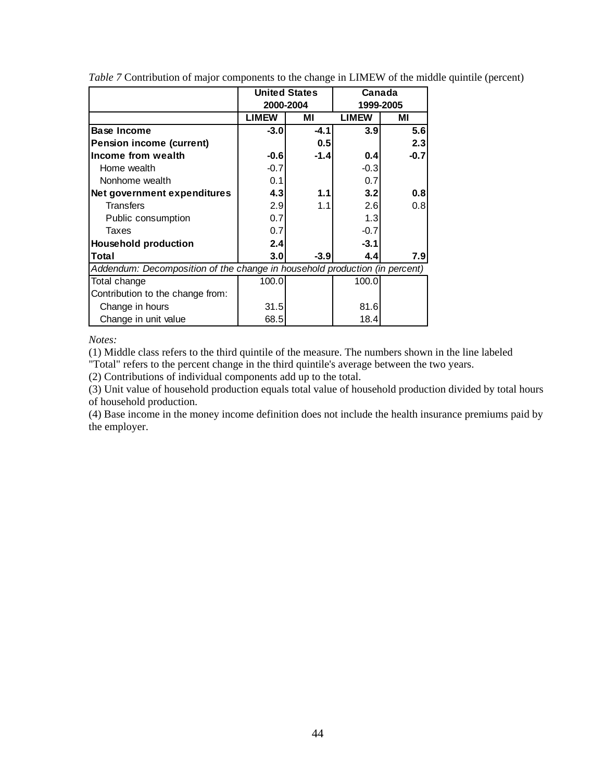|                                                                            |                  | <b>United States</b> | Canada           |           |
|----------------------------------------------------------------------------|------------------|----------------------|------------------|-----------|
|                                                                            |                  | 2000-2004            |                  | 1999-2005 |
|                                                                            | <b>LIMEW</b>     | MI                   | <b>LIMEW</b>     | MI        |
| <b>Base Income</b>                                                         | $-3.0$           | $-4.1$               | 3.9 <sub>l</sub> | 5.6       |
| Pension income (current)                                                   |                  | 0.5                  |                  | 2.3       |
| Income from wealth                                                         | -0.61            | $-1.4$               | 0.4              | $-0.7$    |
| Home wealth                                                                | $-0.7$           |                      | $-0.3$           |           |
| Nonhome wealth                                                             | 0.1              |                      | 0.7              |           |
| Net government expenditures                                                | 4.3              | 1.1                  | 3.2 <sub>l</sub> | 0.8       |
| Transfers                                                                  | 2.9              | 1.1                  | 2.6              | 0.8       |
| Public consumption                                                         | 0.7              |                      | 1.3 <sub>1</sub> |           |
| Taxes                                                                      | 0.7              |                      | $-0.7$           |           |
| <b>Household production</b>                                                | 2.4              |                      | $-3.1$           |           |
| <b>Total</b>                                                               | 3.0 <sub>l</sub> | $-3.9$               | 4.4              | 7.9       |
| Addendum: Decomposition of the change in household production (in percent) |                  |                      |                  |           |
| Total change                                                               | 100.0            |                      | 100.0            |           |
| Contribution to the change from:                                           |                  |                      |                  |           |
| Change in hours                                                            | 31.5             |                      | 81.6             |           |
| Change in unit value                                                       | 68.5             |                      | 18.4             |           |

*Table 7* Contribution of major components to the change in LIMEW of the middle quintile (percent)

*Notes:* 

(1) Middle class refers to the third quintile of the measure. The numbers shown in the line labeled "Total" refers to the percent change in the third quintile's average between the two years.

(2) Contributions of individual components add up to the total.

(3) Unit value of household production equals total value of household production divided by total hours of household production.

(4) Base income in the money income definition does not include the health insurance premiums paid by the employer.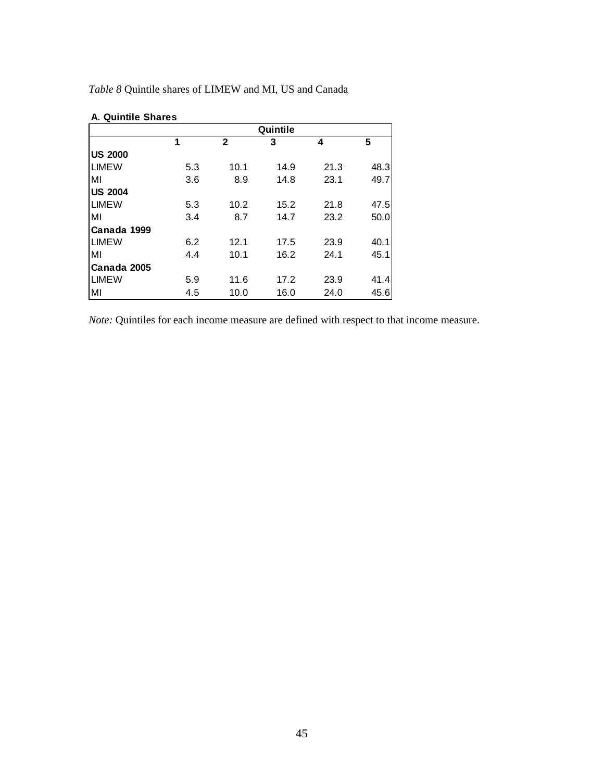| Table 8 Quintile shares of LIMEW and MI, US and Canada |  |  |  |  |
|--------------------------------------------------------|--|--|--|--|
|--------------------------------------------------------|--|--|--|--|

|                | Quintile |              |      |      |      |  |
|----------------|----------|--------------|------|------|------|--|
|                | 1        | $\mathbf{2}$ | 3    | 4    | 5    |  |
| <b>US 2000</b> |          |              |      |      |      |  |
| <b>LIMEW</b>   | 5.3      | 10.1         | 14.9 | 21.3 | 48.3 |  |
| MI             | 3.6      | 8.9          | 14.8 | 23.1 | 49.7 |  |
| <b>US 2004</b> |          |              |      |      |      |  |
| <b>LIMEW</b>   | 5.3      | 10.2         | 15.2 | 21.8 | 47.5 |  |
| MI             | 3.4      | 8.7          | 14.7 | 23.2 | 50.0 |  |
| Canada 1999    |          |              |      |      |      |  |
| <b>LIMEW</b>   | 6.2      | 12.1         | 17.5 | 23.9 | 40.1 |  |
| MI             | 4.4      | 10.1         | 16.2 | 24.1 | 45.1 |  |
| Canada 2005    |          |              |      |      |      |  |
| <b>LIMEW</b>   | 5.9      | 11.6         | 17.2 | 23.9 | 41.4 |  |
| MI             | 4.5      | 10.0         | 16.0 | 24.0 | 45.6 |  |

## **A. Quintile Shares**

*Note:* Quintiles for each income measure are defined with respect to that income measure.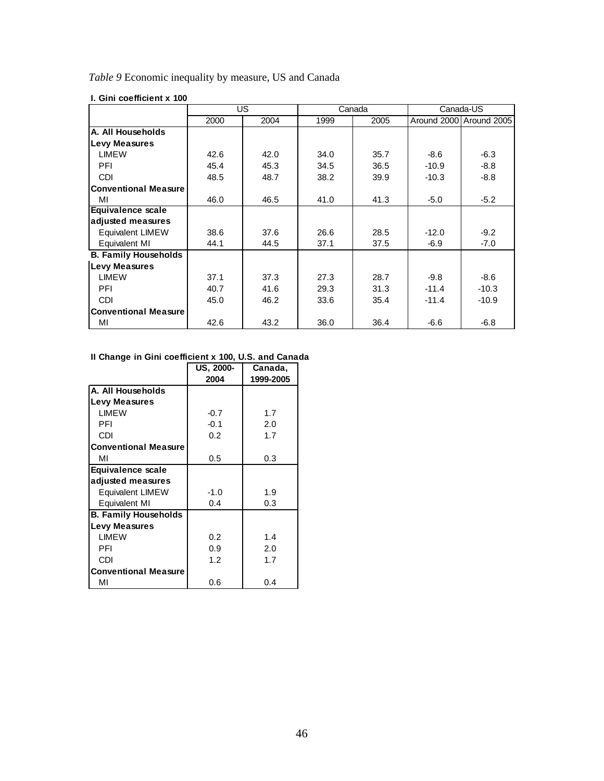*Table 9* Economic inequality by measure, US and Canada

|  |  |  | I. Gini coefficient x 100 |  |
|--|--|--|---------------------------|--|
|--|--|--|---------------------------|--|

|                             | US.  |      | Canada |      | Canada-US |                         |
|-----------------------------|------|------|--------|------|-----------|-------------------------|
|                             | 2000 | 2004 | 1999   | 2005 |           | Around 2000 Around 2005 |
| A. All Households           |      |      |        |      |           |                         |
| <b>Levy Measures</b>        |      |      |        |      |           |                         |
| <b>LIMEW</b>                | 42.6 | 42.0 | 34.0   | 35.7 | $-8.6$    | $-6.3$                  |
| <b>PFI</b>                  | 45.4 | 45.3 | 34.5   | 36.5 | $-10.9$   | $-8.8$                  |
| <b>CDI</b>                  | 48.5 | 48.7 | 38.2   | 39.9 | $-10.3$   | $-8.8$                  |
| <b>Conventional Measure</b> |      |      |        |      |           |                         |
| МI                          | 46.0 | 46.5 | 41.0   | 41.3 | $-5.0$    | $-5.2$                  |
| <b>Equivalence scale</b>    |      |      |        |      |           |                         |
| adjusted measures           |      |      |        |      |           |                         |
| <b>Equivalent LIMEW</b>     | 38.6 | 37.6 | 26.6   | 28.5 | $-12.0$   | $-9.2$                  |
| Equivalent MI               | 44.1 | 44.5 | 37.1   | 37.5 | $-6.9$    | $-7.0$                  |
| <b>B. Family Households</b> |      |      |        |      |           |                         |
| Levy Measures               |      |      |        |      |           |                         |
| <b>LIMEW</b>                | 37.1 | 37.3 | 27.3   | 28.7 | $-9.8$    | $-8.6$                  |
| <b>PFI</b>                  | 40.7 | 41.6 | 29.3   | 31.3 | $-11.4$   | $-10.3$                 |
| <b>CDI</b>                  | 45.0 | 46.2 | 33.6   | 35.4 | $-11.4$   | $-10.9$                 |
| <b>Conventional Measure</b> |      |      |        |      |           |                         |
| МI                          | 42.6 | 43.2 | 36.0   | 36.4 | $-6.6$    | $-6.8$                  |

## **II Change in Gini coefficient x 100, U.S. and Canada**

|                             | US, 2000- | Canada,   |
|-----------------------------|-----------|-----------|
|                             | 2004      | 1999-2005 |
| A. All Households           |           |           |
| <b>Levy Measures</b>        |           |           |
| <b>I IMFW</b>               | $-0.7$    | 1.7       |
| PFI                         | $-0.1$    | 2.0       |
| CDI                         | 0.2       | 1.7       |
| <b>Conventional Measure</b> |           |           |
| ΜI                          | 0.5       | 0.3       |
| Equivalence scale           |           |           |
| adjusted measures           |           |           |
| <b>Equivalent LIMEW</b>     | $-1.0$    | 1.9       |
| Equivalent MI               | 0.4       | 0.3       |
| <b>B. Family Households</b> |           |           |
| <b>Levy Measures</b>        |           |           |
| <b>I IMFW</b>               | 0.2       | 1.4       |
| PFI                         | 0.9       | 2.0       |
| CDI                         | 1.2       | 1.7       |
| <b>Conventional Measure</b> |           |           |
| МΙ                          | 0.6       | 0.4       |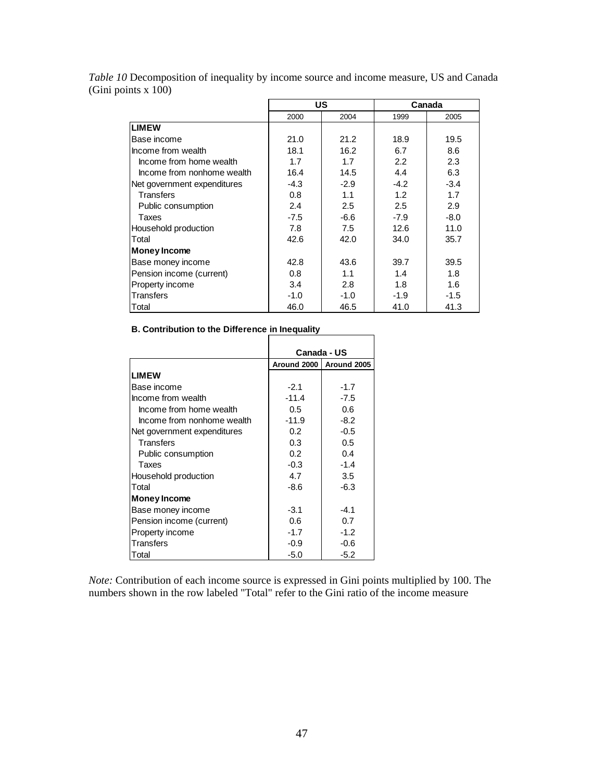| Table 10 Decomposition of inequality by income source and income measure, US and Canada |  |  |  |  |
|-----------------------------------------------------------------------------------------|--|--|--|--|
| (Gini points $x 100$ )                                                                  |  |  |  |  |

|                             | US     |        | Canada        |        |
|-----------------------------|--------|--------|---------------|--------|
|                             | 2000   | 2004   | 1999          | 2005   |
| <b>LIMEW</b>                |        |        |               |        |
| Base income                 | 21.0   | 21.2   | 18.9          | 19.5   |
| Income from wealth          | 18.1   | 16.2   | 6.7           | 8.6    |
| Income from home wealth     | 1.7    | 1.7    | $2.2^{\circ}$ | 2.3    |
| Income from nonhome wealth  | 16.4   | 14.5   | 4.4           | 6.3    |
| Net government expenditures | $-4.3$ | $-2.9$ | $-4.2$        | $-3.4$ |
| <b>Transfers</b>            | 0.8    | 1.1    | 1.2           | 1.7    |
| Public consumption          | 2.4    | 2.5    | 2.5           | 2.9    |
| Taxes                       | $-7.5$ | $-6.6$ | $-7.9$        | $-8.0$ |
| Household production        | 7.8    | 7.5    | 12.6          | 11.0   |
| <b>Total</b>                | 42.6   | 42.0   | 34.0          | 35.7   |
| <b>Money Income</b>         |        |        |               |        |
| Base money income           | 42.8   | 43.6   | 39.7          | 39.5   |
| Pension income (current)    | 0.8    | 1.1    | 1.4           | 1.8    |
| Property income             | 3.4    | 2.8    | 1.8           | 1.6    |
| Transfers                   | -1.0   | $-1.0$ | $-1.9$        | $-1.5$ |
| Total                       | 46.0   | 46.5   | 41.0          | 41.3   |

# **B. Contribution to the Difference in Inequality**

|                             | Canada - US      |             |  |
|-----------------------------|------------------|-------------|--|
|                             | Around 2000      | Around 2005 |  |
| <b>LIMEW</b>                |                  |             |  |
| Base income                 | $-2.1$           | $-1.7$      |  |
| Income from wealth          | $-11.4$          | $-7.5$      |  |
| Income from home wealth     | 0.5              | 0.6         |  |
| Income from nonhome wealth  | $-11.9$          | $-8.2$      |  |
| Net government expenditures | 0.2 <sub>2</sub> | $-0.5$      |  |
| <b>Transfers</b>            | 0.3              | 0.5         |  |
| Public consumption          | 0.2              | 0.4         |  |
| Taxes                       | $-0.3$           | $-1.4$      |  |
| Household production        | 4.7              | 3.5         |  |
| Total                       | $-8.6$           | $-6.3$      |  |
| <b>Money Income</b>         |                  |             |  |
| Base money income           | $-3.1$           | $-4.1$      |  |
| Pension income (current)    | 0.6              | 0.7         |  |
| Property income             | $-1.7$           | $-1.2$      |  |
| Transfers                   | $-0.9$           | $-0.6$      |  |
| Total                       | $-5.0$           | $-5.2$      |  |

*Note:* Contribution of each income source is expressed in Gini points multiplied by 100. The numbers shown in the row labeled "Total" refer to the Gini ratio of the income measure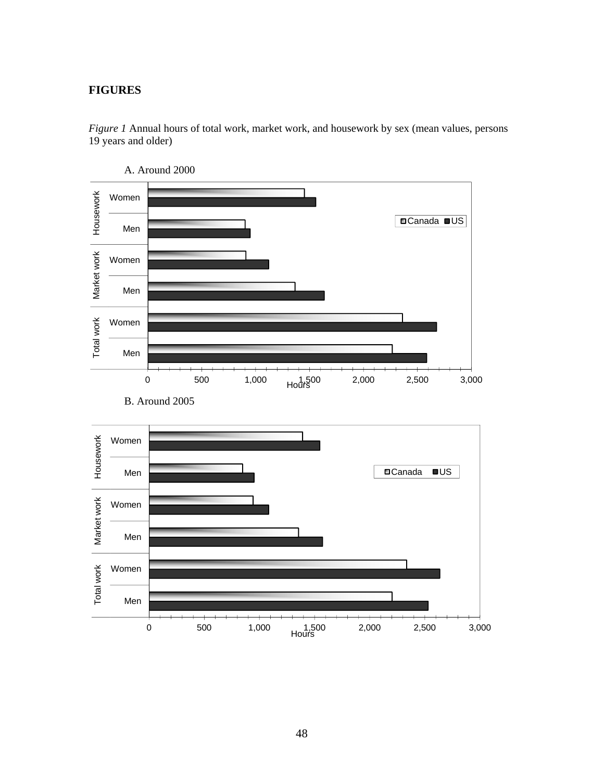## **FIGURES**

*Figure 1* Annual hours of total work, market work, and housework by sex (mean values, persons 19 years and older)



A. Around 2000

0 500 1,000 1,500 2,000 2,500 3,000 Hours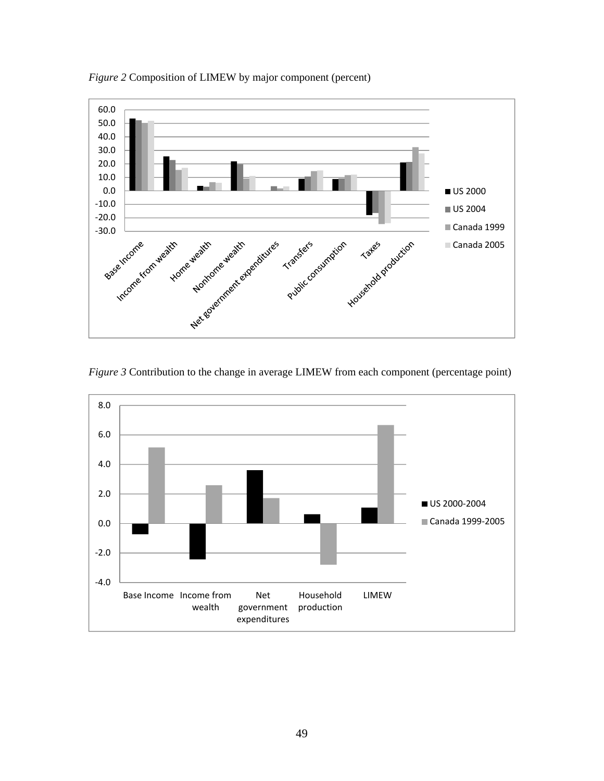

*Figure 2* Composition of LIMEW by major component (percent)

*Figure 3* Contribution to the change in average LIMEW from each component (percentage point)

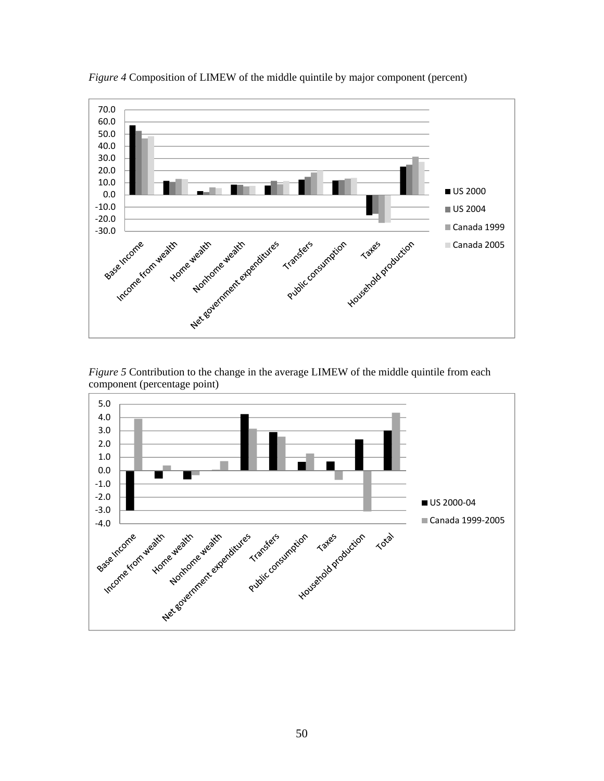

*Figure 4* Composition of LIMEW of the middle quintile by major component (percent)

*Figure 5* Contribution to the change in the average LIMEW of the middle quintile from each component (percentage point)

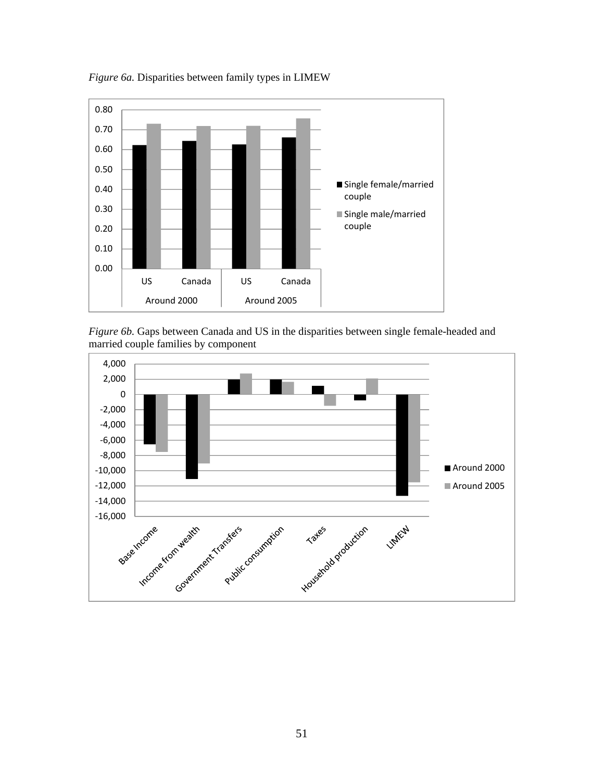

*Figure 6a.* Disparities between family types in LIMEW



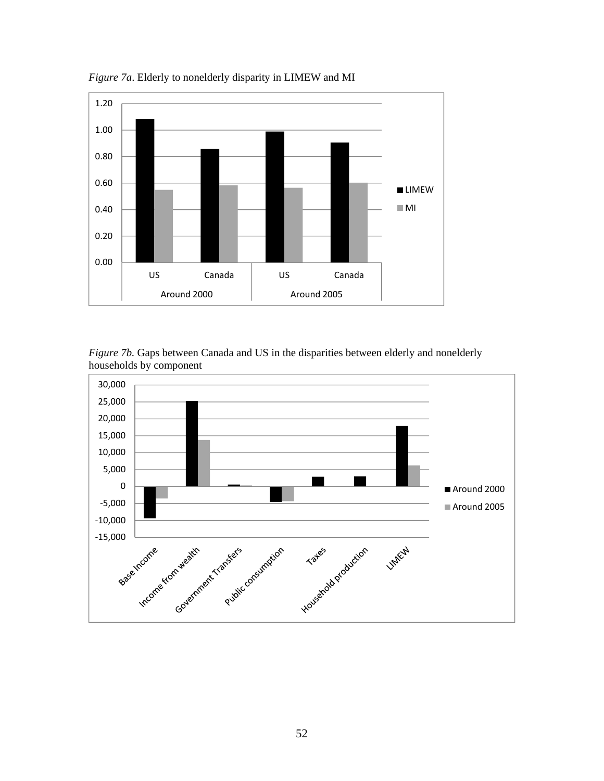

*Figure 7a*. Elderly to nonelderly disparity in LIMEW and MI



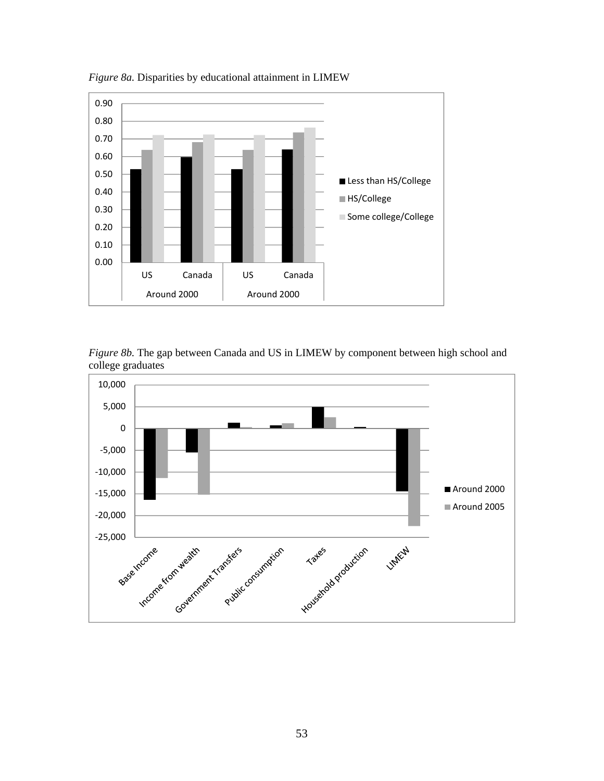

*Figure 8a.* Disparities by educational attainment in LIMEW



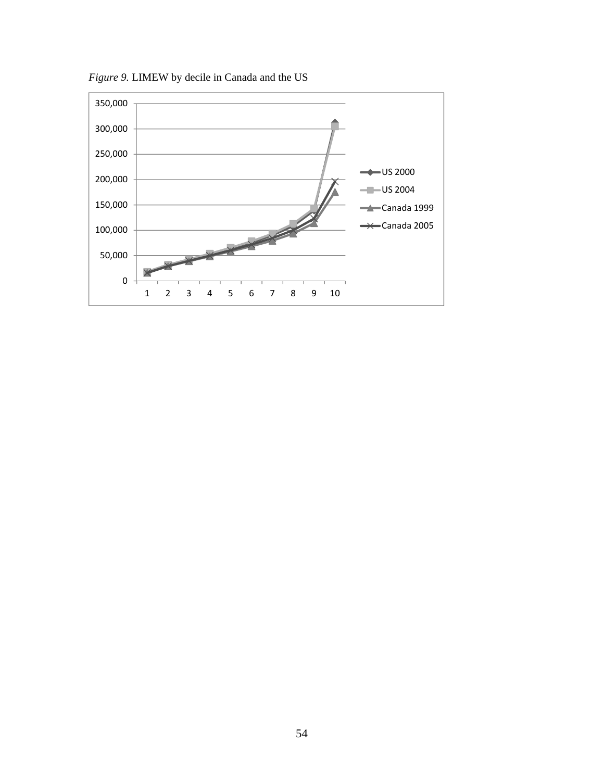

*Figure 9.* LIMEW by decile in Canada and the US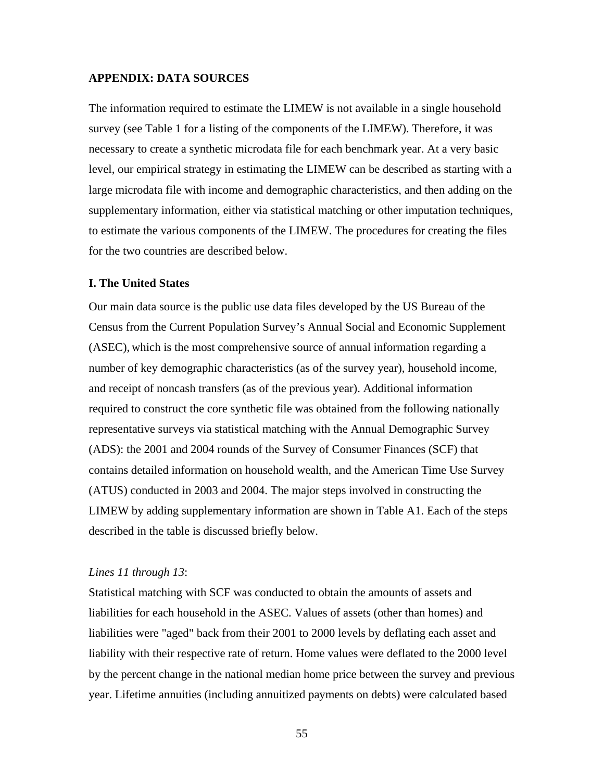## **APPENDIX: DATA SOURCES**

The information required to estimate the LIMEW is not available in a single household survey (see Table 1 for a listing of the components of the LIMEW). Therefore, it was necessary to create a synthetic microdata file for each benchmark year. At a very basic level, our empirical strategy in estimating the LIMEW can be described as starting with a large microdata file with income and demographic characteristics, and then adding on the supplementary information, either via statistical matching or other imputation techniques, to estimate the various components of the LIMEW. The procedures for creating the files for the two countries are described below.

## **I. The United States**

Our main data source is the public use data files developed by the US Bureau of the Census from the Current Population Survey's Annual Social and Economic Supplement (ASEC), which is the most comprehensive source of annual information regarding a number of key demographic characteristics (as of the survey year), household income, and receipt of noncash transfers (as of the previous year). Additional information required to construct the core synthetic file was obtained from the following nationally representative surveys via statistical matching with the Annual Demographic Survey (ADS): the 2001 and 2004 rounds of the Survey of Consumer Finances (SCF) that contains detailed information on household wealth, and the American Time Use Survey (ATUS) conducted in 2003 and 2004. The major steps involved in constructing the LIMEW by adding supplementary information are shown in Table A1. Each of the steps described in the table is discussed briefly below.

## *Lines 11 through 13*:

Statistical matching with SCF was conducted to obtain the amounts of assets and liabilities for each household in the ASEC. Values of assets (other than homes) and liabilities were "aged" back from their 2001 to 2000 levels by deflating each asset and liability with their respective rate of return. Home values were deflated to the 2000 level by the percent change in the national median home price between the survey and previous year. Lifetime annuities (including annuitized payments on debts) were calculated based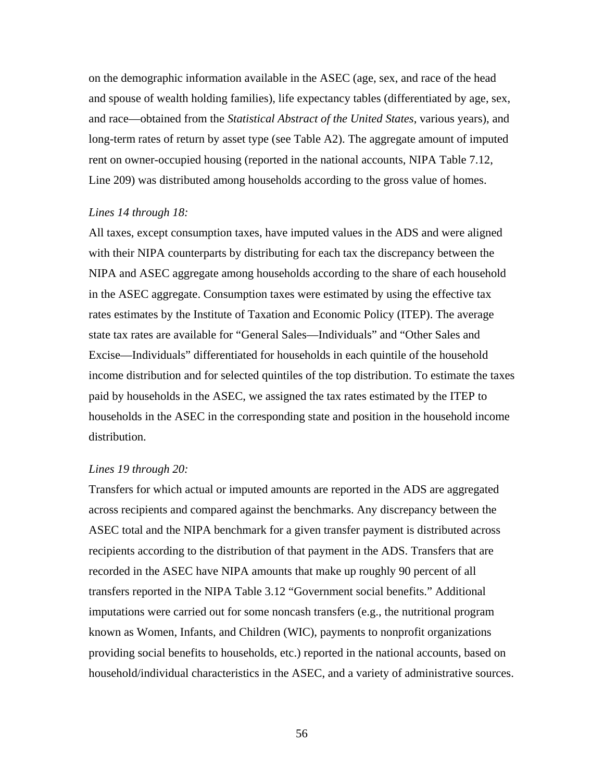on the demographic information available in the ASEC (age, sex, and race of the head and spouse of wealth holding families), life expectancy tables (differentiated by age, sex, and race—obtained from the *Statistical Abstract of the United States*, various years), and long-term rates of return by asset type (see Table A2). The aggregate amount of imputed rent on owner-occupied housing (reported in the national accounts, NIPA Table 7.12, Line 209) was distributed among households according to the gross value of homes.

#### *Lines 14 through 18:*

All taxes, except consumption taxes, have imputed values in the ADS and were aligned with their NIPA counterparts by distributing for each tax the discrepancy between the NIPA and ASEC aggregate among households according to the share of each household in the ASEC aggregate. Consumption taxes were estimated by using the effective tax rates estimates by the Institute of Taxation and Economic Policy (ITEP). The average state tax rates are available for "General Sales—Individuals" and "Other Sales and Excise—Individuals" differentiated for households in each quintile of the household income distribution and for selected quintiles of the top distribution. To estimate the taxes paid by households in the ASEC, we assigned the tax rates estimated by the ITEP to households in the ASEC in the corresponding state and position in the household income distribution.

## *Lines 19 through 20:*

Transfers for which actual or imputed amounts are reported in the ADS are aggregated across recipients and compared against the benchmarks. Any discrepancy between the ASEC total and the NIPA benchmark for a given transfer payment is distributed across recipients according to the distribution of that payment in the ADS. Transfers that are recorded in the ASEC have NIPA amounts that make up roughly 90 percent of all transfers reported in the NIPA Table 3.12 "Government social benefits." Additional imputations were carried out for some noncash transfers (e.g., the nutritional program known as Women, Infants, and Children (WIC), payments to nonprofit organizations providing social benefits to households, etc.) reported in the national accounts, based on household/individual characteristics in the ASEC, and a variety of administrative sources.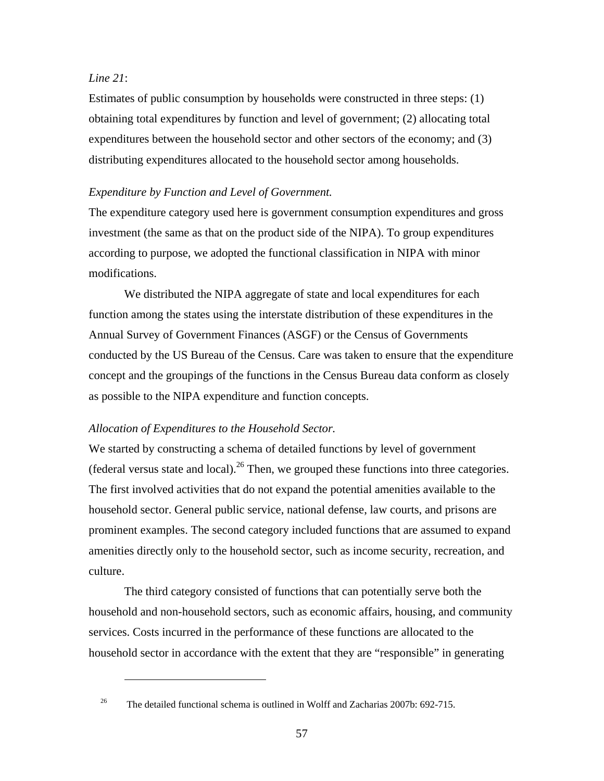## *Line 21*:

Estimates of public consumption by households were constructed in three steps: (1) obtaining total expenditures by function and level of government; (2) allocating total expenditures between the household sector and other sectors of the economy; and (3) distributing expenditures allocated to the household sector among households.

## *Expenditure by Function and Level of Government.*

The expenditure category used here is government consumption expenditures and gross investment (the same as that on the product side of the NIPA). To group expenditures according to purpose, we adopted the functional classification in NIPA with minor modifications.

We distributed the NIPA aggregate of state and local expenditures for each function among the states using the interstate distribution of these expenditures in the Annual Survey of Government Finances (ASGF) or the Census of Governments conducted by the US Bureau of the Census. Care was taken to ensure that the expenditure concept and the groupings of the functions in the Census Bureau data conform as closely as possible to the NIPA expenditure and function concepts.

## *Allocation of Expenditures to the Household Sector.*

We started by constructing a schema of detailed functions by level of government (federal versus state and local).<sup>26</sup> Then, we grouped these functions into three categories. The first involved activities that do not expand the potential amenities available to the household sector. General public service, national defense, law courts, and prisons are prominent examples. The second category included functions that are assumed to expand amenities directly only to the household sector, such as income security, recreation, and culture.

The third category consisted of functions that can potentially serve both the household and non-household sectors, such as economic affairs, housing, and community services. Costs incurred in the performance of these functions are allocated to the household sector in accordance with the extent that they are "responsible" in generating

<sup>&</sup>lt;sup>26</sup> The detailed functional schema is outlined in Wolff and Zacharias 2007b: 692-715.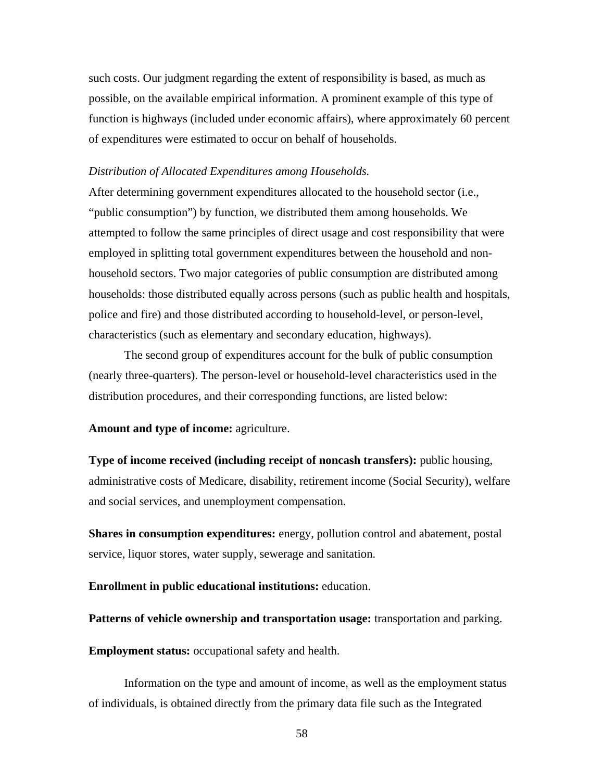such costs. Our judgment regarding the extent of responsibility is based, as much as possible, on the available empirical information. A prominent example of this type of function is highways (included under economic affairs), where approximately 60 percent of expenditures were estimated to occur on behalf of households.

#### *Distribution of Allocated Expenditures among Households.*

After determining government expenditures allocated to the household sector (i.e., "public consumption") by function, we distributed them among households. We attempted to follow the same principles of direct usage and cost responsibility that were employed in splitting total government expenditures between the household and nonhousehold sectors. Two major categories of public consumption are distributed among households: those distributed equally across persons (such as public health and hospitals, police and fire) and those distributed according to household-level, or person-level, characteristics (such as elementary and secondary education, highways).

The second group of expenditures account for the bulk of public consumption (nearly three-quarters). The person-level or household-level characteristics used in the distribution procedures, and their corresponding functions, are listed below:

## **Amount and type of income:** agriculture.

**Type of income received (including receipt of noncash transfers):** public housing, administrative costs of Medicare, disability, retirement income (Social Security), welfare and social services, and unemployment compensation.

**Shares in consumption expenditures:** energy, pollution control and abatement, postal service, liquor stores, water supply, sewerage and sanitation.

**Enrollment in public educational institutions:** education.

**Patterns of vehicle ownership and transportation usage:** transportation and parking.

**Employment status:** occupational safety and health.

Information on the type and amount of income, as well as the employment status of individuals, is obtained directly from the primary data file such as the Integrated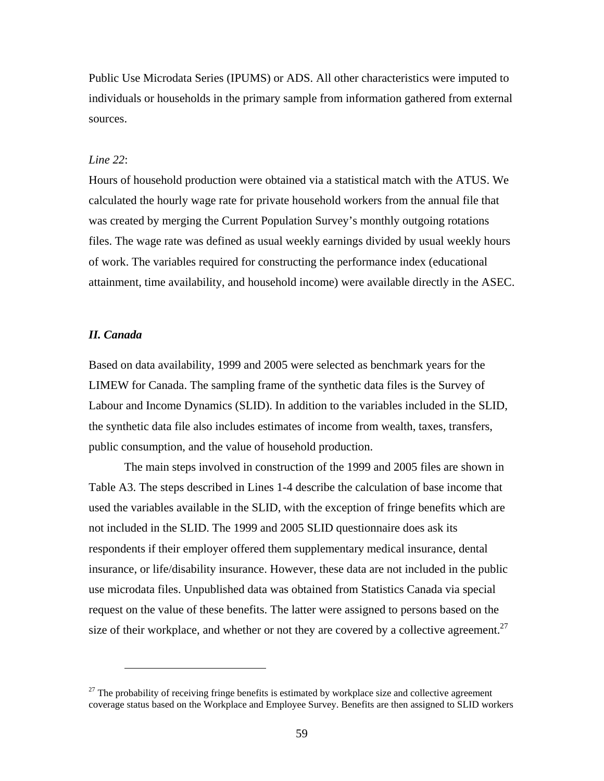Public Use Microdata Series (IPUMS) or ADS. All other characteristics were imputed to individuals or households in the primary sample from information gathered from external sources.

#### *Line 22*:

Hours of household production were obtained via a statistical match with the ATUS. We calculated the hourly wage rate for private household workers from the annual file that was created by merging the Current Population Survey's monthly outgoing rotations files. The wage rate was defined as usual weekly earnings divided by usual weekly hours of work. The variables required for constructing the performance index (educational attainment, time availability, and household income) were available directly in the ASEC.

## *II. Canada*

1

Based on data availability, 1999 and 2005 were selected as benchmark years for the LIMEW for Canada. The sampling frame of the synthetic data files is the Survey of Labour and Income Dynamics (SLID). In addition to the variables included in the SLID, the synthetic data file also includes estimates of income from wealth, taxes, transfers, public consumption, and the value of household production.

The main steps involved in construction of the 1999 and 2005 files are shown in Table A3. The steps described in Lines 1-4 describe the calculation of base income that used the variables available in the SLID, with the exception of fringe benefits which are not included in the SLID. The 1999 and 2005 SLID questionnaire does ask its respondents if their employer offered them supplementary medical insurance, dental insurance, or life/disability insurance. However, these data are not included in the public use microdata files. Unpublished data was obtained from Statistics Canada via special request on the value of these benefits. The latter were assigned to persons based on the size of their workplace, and whether or not they are covered by a collective agreement.<sup>27</sup>

 $27$  The probability of receiving fringe benefits is estimated by workplace size and collective agreement coverage status based on the Workplace and Employee Survey. Benefits are then assigned to SLID workers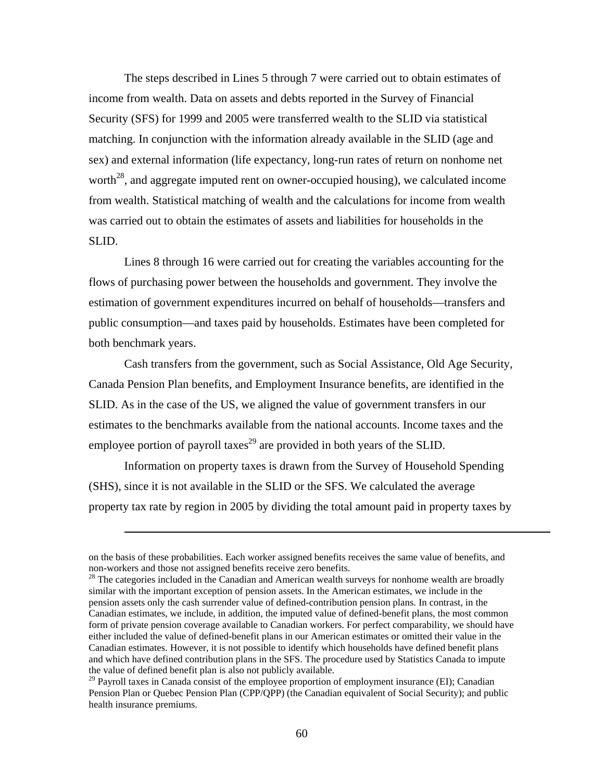The steps described in Lines 5 through 7 were carried out to obtain estimates of income from wealth. Data on assets and debts reported in the Survey of Financial Security (SFS) for 1999 and 2005 were transferred wealth to the SLID via statistical matching. In conjunction with the information already available in the SLID (age and sex) and external information (life expectancy, long-run rates of return on nonhome net worth<sup>28</sup>, and aggregate imputed rent on owner-occupied housing), we calculated income from wealth. Statistical matching of wealth and the calculations for income from wealth was carried out to obtain the estimates of assets and liabilities for households in the SLID.

Lines 8 through 16 were carried out for creating the variables accounting for the flows of purchasing power between the households and government. They involve the estimation of government expenditures incurred on behalf of households—transfers and public consumption—and taxes paid by households. Estimates have been completed for both benchmark years.

Cash transfers from the government, such as Social Assistance, Old Age Security, Canada Pension Plan benefits, and Employment Insurance benefits, are identified in the SLID. As in the case of the US, we aligned the value of government transfers in our estimates to the benchmarks available from the national accounts. Income taxes and the employee portion of payroll taxes<sup>29</sup> are provided in both years of the SLID.

Information on property taxes is drawn from the Survey of Household Spending (SHS), since it is not available in the SLID or the SFS. We calculated the average property tax rate by region in 2005 by dividing the total amount paid in property taxes by

on the basis of these probabilities. Each worker assigned benefits receives the same value of benefits, and non-workers and those not assigned benefits receive zero benefits.<br><sup>28</sup> The categories included in the Canadian and American wealth surveys for nonhome wealth are broadly

similar with the important exception of pension assets. In the American estimates, we include in the pension assets only the cash surrender value of defined-contribution pension plans. In contrast, in the Canadian estimates, we include, in addition, the imputed value of defined-benefit plans, the most common form of private pension coverage available to Canadian workers. For perfect comparability, we should have either included the value of defined-benefit plans in our American estimates or omitted their value in the Canadian estimates. However, it is not possible to identify which households have defined benefit plans and which have defined contribution plans in the SFS. The procedure used by Statistics Canada to impute the value of defined benefit plan is also not publicly available.

<sup>&</sup>lt;sup>29</sup> Payroll taxes in Canada consist of the employee proportion of employment insurance (EI); Canadian Pension Plan or Quebec Pension Plan (CPP/QPP) (the Canadian equivalent of Social Security); and public health insurance premiums.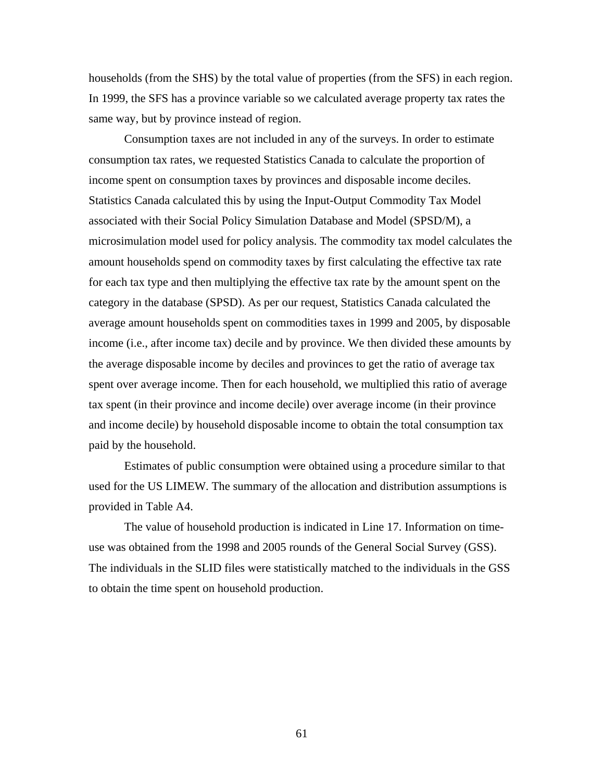households (from the SHS) by the total value of properties (from the SFS) in each region. In 1999, the SFS has a province variable so we calculated average property tax rates the same way, but by province instead of region.

Consumption taxes are not included in any of the surveys. In order to estimate consumption tax rates, we requested Statistics Canada to calculate the proportion of income spent on consumption taxes by provinces and disposable income deciles. Statistics Canada calculated this by using the Input-Output Commodity Tax Model associated with their Social Policy Simulation Database and Model (SPSD/M), a microsimulation model used for policy analysis. The commodity tax model calculates the amount households spend on commodity taxes by first calculating the effective tax rate for each tax type and then multiplying the effective tax rate by the amount spent on the category in the database (SPSD). As per our request, Statistics Canada calculated the average amount households spent on commodities taxes in 1999 and 2005, by disposable income (i.e., after income tax) decile and by province. We then divided these amounts by the average disposable income by deciles and provinces to get the ratio of average tax spent over average income. Then for each household, we multiplied this ratio of average tax spent (in their province and income decile) over average income (in their province and income decile) by household disposable income to obtain the total consumption tax paid by the household.

Estimates of public consumption were obtained using a procedure similar to that used for the US LIMEW. The summary of the allocation and distribution assumptions is provided in Table A4.

The value of household production is indicated in Line 17. Information on timeuse was obtained from the 1998 and 2005 rounds of the General Social Survey (GSS). The individuals in the SLID files were statistically matched to the individuals in the GSS to obtain the time spent on household production.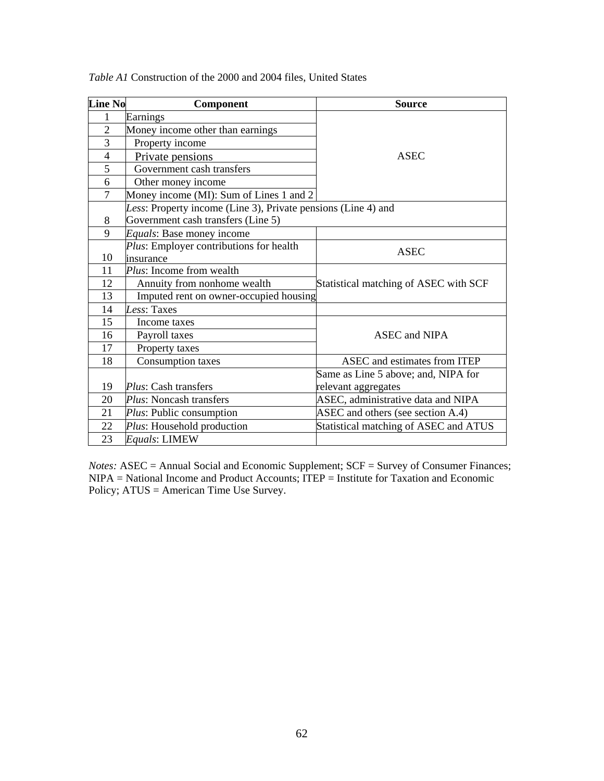| <b>Line No</b> | Component                                                     | <b>Source</b>                         |
|----------------|---------------------------------------------------------------|---------------------------------------|
| 1              | Earnings                                                      |                                       |
| $\overline{2}$ | Money income other than earnings                              |                                       |
| 3              | Property income                                               |                                       |
| 4              | Private pensions                                              | <b>ASEC</b>                           |
| 5              | Government cash transfers                                     |                                       |
| 6              | Other money income                                            |                                       |
| 7              | Money income (MI): Sum of Lines 1 and 2                       |                                       |
|                | Less: Property income (Line 3), Private pensions (Line 4) and |                                       |
| 8              | Government cash transfers (Line 5)                            |                                       |
| 9              | <i>Equals:</i> Base money income                              |                                       |
|                | Plus: Employer contributions for health                       | ASEC                                  |
| 10             | insurance                                                     |                                       |
| 11             | Plus: Income from wealth                                      |                                       |
| 12             | Annuity from nonhome wealth                                   | Statistical matching of ASEC with SCF |
| 13             | Imputed rent on owner-occupied housing                        |                                       |
| 14             | Less: Taxes                                                   |                                       |
| 15             | Income taxes                                                  |                                       |
| 16             | Payroll taxes                                                 | ASEC and NIPA                         |
| 17             | Property taxes                                                |                                       |
| 18             | Consumption taxes                                             | ASEC and estimates from ITEP          |
|                |                                                               | Same as Line 5 above; and, NIPA for   |
| 19             | <i>Plus:</i> Cash transfers                                   | relevant aggregates                   |
| 20             | Plus: Noncash transfers                                       | ASEC, administrative data and NIPA    |
| 21             | Plus: Public consumption                                      | ASEC and others (see section A.4)     |
| 22             | Plus: Household production                                    | Statistical matching of ASEC and ATUS |
| 23             | Equals: LIMEW                                                 |                                       |

*Table A1* Construction of the 2000 and 2004 files, United States

*Notes:* ASEC = Annual Social and Economic Supplement; SCF = Survey of Consumer Finances; NIPA = National Income and Product Accounts; ITEP = Institute for Taxation and Economic Policy; ATUS = American Time Use Survey.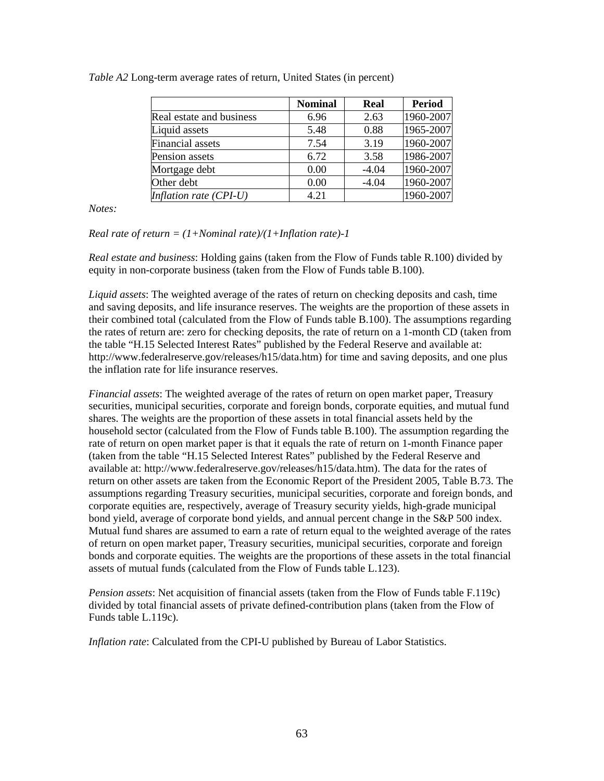|                          | <b>Nominal</b> | Real    | <b>Period</b> |
|--------------------------|----------------|---------|---------------|
| Real estate and business | 6.96           | 2.63    | 1960-2007     |
| Liquid assets            | 5.48           | 0.88    | 1965-2007     |
| <b>Financial</b> assets  | 7.54           | 3.19    | 1960-2007     |
| Pension assets           | 6.72           | 3.58    | 1986-2007     |
| Mortgage debt            | 0.00           | $-4.04$ | 1960-2007     |
| Other debt               | 0.00           | $-4.04$ | 1960-2007     |
| Inflation rate $(CPI-U)$ | 4.21           |         | 1960-2007     |

*Table A2* Long-term average rates of return, United States (in percent)

*Notes:* 

## *Real rate of return = (1+Nominal rate)/(1+Inflation rate)-1*

*Real estate and business*: Holding gains (taken from the Flow of Funds table R.100) divided by equity in non-corporate business (taken from the Flow of Funds table B.100).

*Liquid assets*: The weighted average of the rates of return on checking deposits and cash, time and saving deposits, and life insurance reserves. The weights are the proportion of these assets in their combined total (calculated from the Flow of Funds table B.100). The assumptions regarding the rates of return are: zero for checking deposits, the rate of return on a 1-month CD (taken from the table "H.15 Selected Interest Rates" published by the Federal Reserve and available at: http://www.federalreserve.gov/releases/h15/data.htm) for time and saving deposits, and one plus the inflation rate for life insurance reserves.

*Financial assets*: The weighted average of the rates of return on open market paper, Treasury securities, municipal securities, corporate and foreign bonds, corporate equities, and mutual fund shares. The weights are the proportion of these assets in total financial assets held by the household sector (calculated from the Flow of Funds table B.100). The assumption regarding the rate of return on open market paper is that it equals the rate of return on 1-month Finance paper (taken from the table "H.15 Selected Interest Rates" published by the Federal Reserve and available at: http://www.federalreserve.gov/releases/h15/data.htm). The data for the rates of return on other assets are taken from the Economic Report of the President 2005, Table B.73. The assumptions regarding Treasury securities, municipal securities, corporate and foreign bonds, and corporate equities are, respectively, average of Treasury security yields, high-grade municipal bond yield, average of corporate bond yields, and annual percent change in the S&P 500 index. Mutual fund shares are assumed to earn a rate of return equal to the weighted average of the rates of return on open market paper, Treasury securities, municipal securities, corporate and foreign bonds and corporate equities. The weights are the proportions of these assets in the total financial assets of mutual funds (calculated from the Flow of Funds table L.123).

*Pension assets*: Net acquisition of financial assets (taken from the Flow of Funds table F.119c) divided by total financial assets of private defined-contribution plans (taken from the Flow of Funds table L.119c).

*Inflation rate*: Calculated from the CPI-U published by Bureau of Labor Statistics.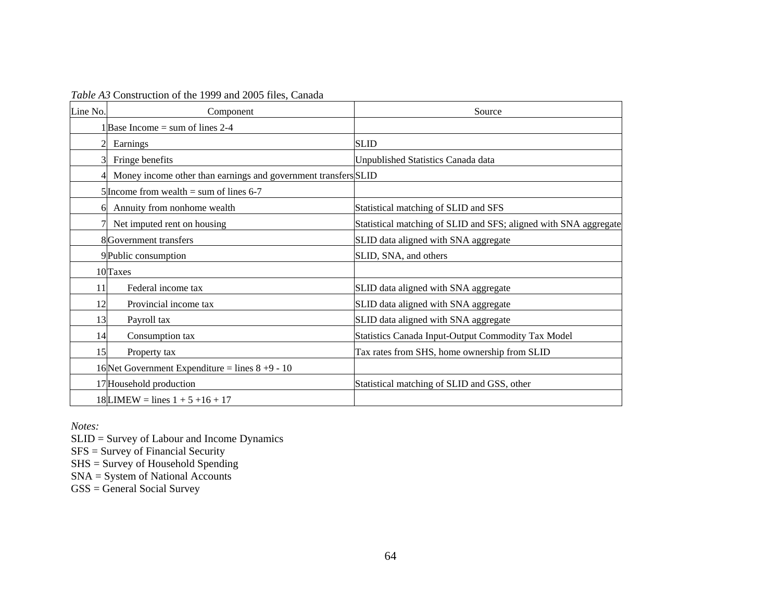| Line No. | Component                                                      | Source                                                           |
|----------|----------------------------------------------------------------|------------------------------------------------------------------|
|          | 1 Base Income $=$ sum of lines 2-4                             |                                                                  |
|          | Earnings                                                       | <b>SLID</b>                                                      |
|          | Fringe benefits                                                | Unpublished Statistics Canada data                               |
|          | Money income other than earnings and government transfers SLID |                                                                  |
|          | $5$ Income from wealth = sum of lines 6-7                      |                                                                  |
| 61       | Annuity from nonhome wealth                                    | Statistical matching of SLID and SFS                             |
|          | Net imputed rent on housing                                    | Statistical matching of SLID and SFS; aligned with SNA aggregate |
|          | 8 Government transfers                                         | SLID data aligned with SNA aggregate                             |
|          | 9 Public consumption                                           | SLID, SNA, and others                                            |
|          | 10 Taxes                                                       |                                                                  |
| 11       | Federal income tax                                             | SLID data aligned with SNA aggregate                             |
| 12       | Provincial income tax                                          | SLID data aligned with SNA aggregate                             |
| 13       | Payroll tax                                                    | SLID data aligned with SNA aggregate                             |
| 14       | Consumption tax                                                | Statistics Canada Input-Output Commodity Tax Model               |
| 15       | Property tax                                                   | Tax rates from SHS, home ownership from SLID                     |
|          | 16 Net Government Expenditure = lines $8 + 9 - 10$             |                                                                  |
|          | 17 Household production                                        | Statistical matching of SLID and GSS, other                      |
|          | $18$ LIMEW = lines $1 + 5 + 16 + 17$                           |                                                                  |

*Table A3* Construction of the 1999 and 2005 files, Canada

*Notes:* 

SLID = Survey of Labour and Income Dynamics

SFS = Survey of Financial Security

SHS = Survey of Household Spending

SNA = System of National Accounts

GSS = General Social Survey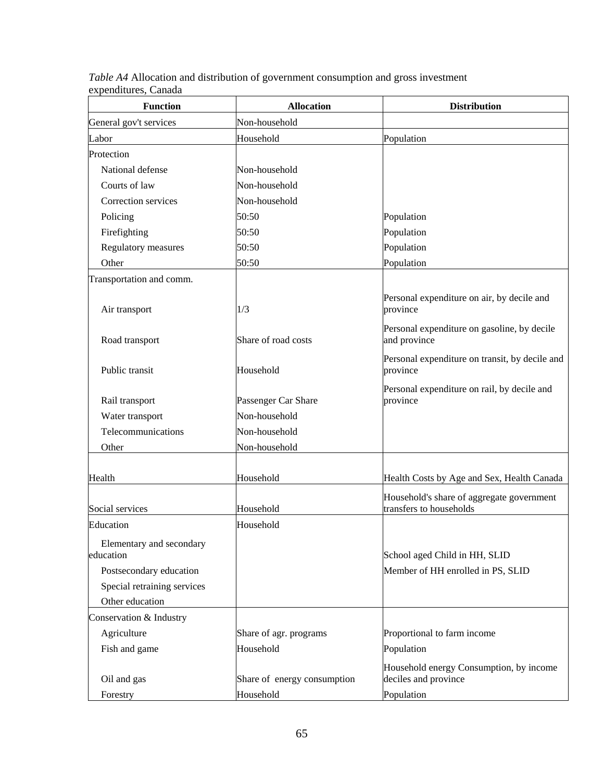| <b>Function</b>                       | <b>Allocation</b>           | <b>Distribution</b>                                                  |
|---------------------------------------|-----------------------------|----------------------------------------------------------------------|
| General gov't services                | Non-household               |                                                                      |
| Labor                                 | Household                   | Population                                                           |
| Protection                            |                             |                                                                      |
| National defense                      | Non-household               |                                                                      |
| Courts of law                         | Non-household               |                                                                      |
| Correction services                   | Non-household               |                                                                      |
| Policing                              | 50:50                       | Population                                                           |
| Firefighting                          | 50:50                       | Population                                                           |
| Regulatory measures                   | 50:50                       | Population                                                           |
| Other                                 | 50:50                       | Population                                                           |
| Transportation and comm.              |                             |                                                                      |
| Air transport                         | 1/3                         | Personal expenditure on air, by decile and<br>province               |
| Road transport                        | Share of road costs         | Personal expenditure on gasoline, by decile<br>and province          |
| Public transit                        | Household                   | Personal expenditure on transit, by decile and<br>province           |
| Rail transport                        | Passenger Car Share         | Personal expenditure on rail, by decile and<br>province              |
| Water transport                       | Non-household               |                                                                      |
| Telecommunications                    | Non-household               |                                                                      |
| Other                                 | Non-household               |                                                                      |
|                                       |                             |                                                                      |
| Health                                | Household                   | Health Costs by Age and Sex, Health Canada                           |
| Social services                       | Household                   | Household's share of aggregate government<br>transfers to households |
| Education                             | Household                   |                                                                      |
| Elementary and secondary<br>education |                             | School aged Child in HH, SLID                                        |
| Postsecondary education               |                             | Member of HH enrolled in PS, SLID                                    |
| Special retraining services           |                             |                                                                      |
| Other education                       |                             |                                                                      |
| Conservation & Industry               |                             |                                                                      |
| Agriculture                           | Share of agr. programs      | Proportional to farm income                                          |
| Fish and game                         | Household                   | Population                                                           |
| Oil and gas                           | Share of energy consumption | Household energy Consumption, by income<br>deciles and province      |
| Forestry                              | Household                   | Population                                                           |

*Table A4* Allocation and distribution of government consumption and gross investment expenditures, Canada